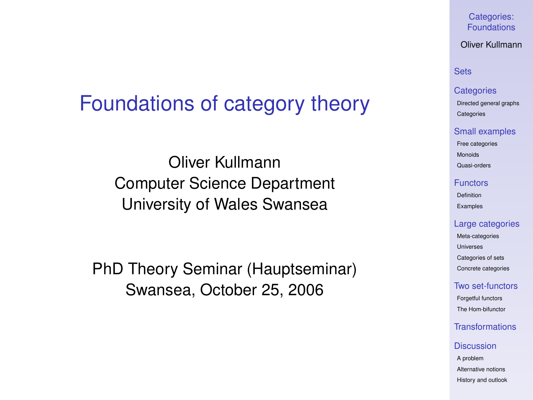# Foundations of category theory

Oliver Kullmann Computer Science Department University of Wales Swansea

<span id="page-0-0"></span>PhD Theory Seminar (Hauptseminar) Swansea, October 25, 2006

Categories: [Foundations](#page-97-0)

Oliver Kullmann

### **[Sets](#page-3-0)**

### **[Categories](#page-12-0)**

[Directed general graphs](#page-12-0) **[Categories](#page-17-0)** 

#### [Small examples](#page-20-0)

[Free categories](#page-20-0) [Monoids](#page-21-0)

[Quasi-orders](#page-26-0)

#### [Functors](#page-31-0)

[Definition](#page-31-0) [Examples](#page-35-0)

### [Large categories](#page-41-0)

[Meta-categories](#page-42-0) [Universes](#page-46-0) [Categories of sets](#page-49-0) [Concrete categories](#page-53-0)

### [Two set-functors](#page-58-0)

[Forgetful functors](#page-58-0) [The Hom-bifunctor](#page-67-0)

### [Transformations](#page-71-0)

#### **[Discussion](#page-76-0)**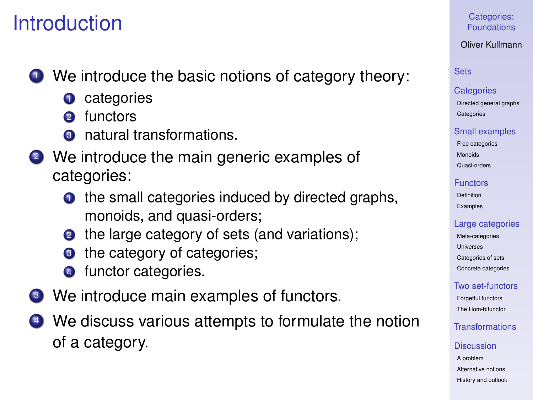# **Introduction**

- **1** We introduce the basic notions of category theory:
	- **1** categories
	- 2 functors
	- **3** natural transformations.
- <sup>2</sup> We introduce the main generic examples of categories:
	- $\bullet$  the small categories induced by directed graphs, monoids, and quasi-orders;
	- **2** the large category of sets (and variations);
	- **3** the category of categories;
	- **4** functor categories.
- <sup>3</sup> We introduce main examples of functors.
- <sup>4</sup> We discuss various attempts to formulate the notion of a category.

Categories: [Foundations](#page-0-0)

Oliver Kullmann

# [Sets](#page-3-0)

### **[Categories](#page-12-0)**

[Directed general graphs](#page-12-0) **[Categories](#page-17-0)** 

### [Small examples](#page-20-0)

[Free categories](#page-20-0) [Monoids](#page-21-0)

[Quasi-orders](#page-26-0)

### [Functors](#page-31-0)

[Definition](#page-31-0) [Examples](#page-35-0)

# [Large categories](#page-41-0)

[Meta-categories](#page-42-0) [Universes](#page-46-0) [Categories of sets](#page-49-0) [Concrete categories](#page-53-0)

# [Two set-functors](#page-58-0)

[Forgetful functors](#page-58-0) [The Hom-bifunctor](#page-67-0)

# [Transformations](#page-71-0)

### **[Discussion](#page-76-0)**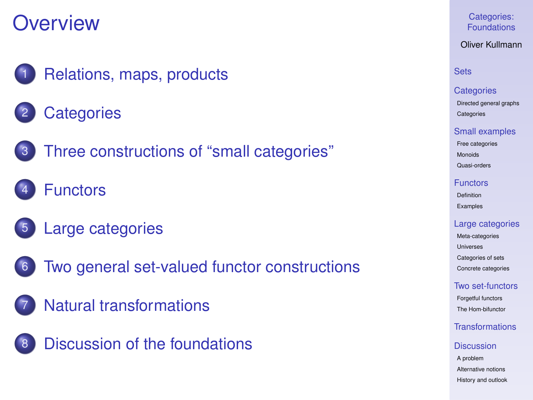# **Overview**

- [Relations, maps, products](#page-3-0)
- **[Categories](#page-12-0)**
- 
- 3 [Three constructions of "small categories"](#page-20-0)
- **[Functors](#page-31-0)**
- 5 [Large categories](#page-41-0)
- 
- [Two general set-valued functor constructions](#page-58-0)
- [Natural transformations](#page-71-0)



Categories: [Foundations](#page-0-0)

Oliver Kullmann

# **[Sets](#page-3-0)**

### **[Categories](#page-12-0)**

[Directed general graphs](#page-12-0) **[Categories](#page-17-0)** 

#### [Small examples](#page-20-0)

[Free categories](#page-20-0) [Monoids](#page-21-0) [Quasi-orders](#page-26-0)

#### [Functors](#page-31-0)

[Definition](#page-31-0) [Examples](#page-35-0)

### [Large categories](#page-41-0)

[Meta-categories](#page-42-0) [Universes](#page-46-0) [Categories of sets](#page-49-0) [Concrete categories](#page-53-0)

### [Two set-functors](#page-58-0)

[Forgetful functors](#page-58-0) [The Hom-bifunctor](#page-67-0)

# [Transformations](#page-71-0)

#### **[Discussion](#page-76-0)**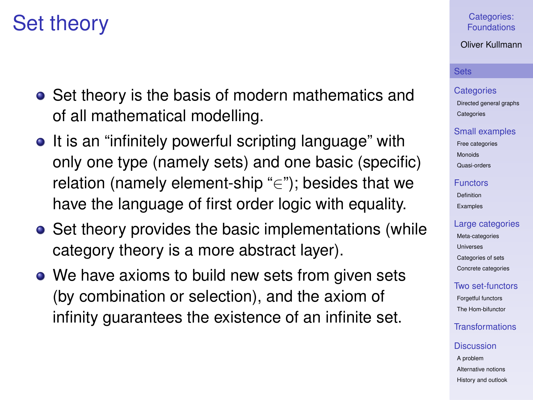# Set theory

- Set theory is the basis of modern mathematics and of all mathematical modelling.
- It is an "infinitely powerful scripting language" with only one type (namely sets) and one basic (specific) relation (namely element-ship "∈"); besides that we have the language of first order logic with equality.
- Set theory provides the basic implementations (while category theory is a more abstract layer).
- <span id="page-3-0"></span>• We have axioms to build new sets from given sets (by combination or selection), and the axiom of infinity guarantees the existence of an infinite set.

### Categories: [Foundations](#page-0-0)

### Oliver Kullmann

### **[Sets](#page-3-0)**

### **[Categories](#page-12-0)**

[Directed general graphs](#page-12-0) **[Categories](#page-17-0)** 

### [Small examples](#page-20-0)

[Free categories](#page-20-0) [Monoids](#page-21-0) [Quasi-orders](#page-26-0)

### [Functors](#page-31-0)

[Definition](#page-31-0) [Examples](#page-35-0)

### [Large categories](#page-41-0)

[Meta-categories](#page-42-0) [Universes](#page-46-0) [Categories of sets](#page-49-0) [Concrete categories](#page-53-0)

# [Two set-functors](#page-58-0)

[Forgetful functors](#page-58-0) [The Hom-bifunctor](#page-67-0)

# [Transformations](#page-71-0)

### **[Discussion](#page-76-0)**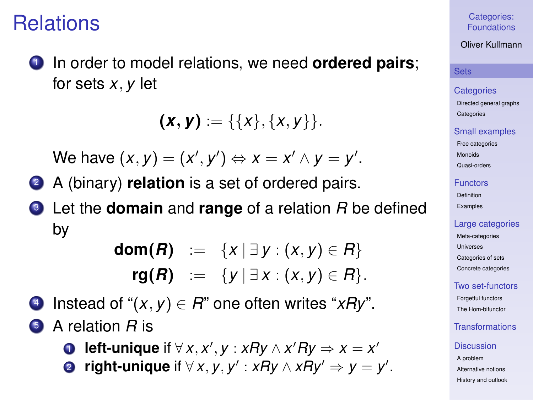# Relations

<sup>1</sup> In order to model relations, we need **ordered pairs**; for sets *x*, *y* let

 $(\mathbf{x}, \mathbf{y}) := \{ \{x\}, \{x, y\} \}.$ 

We have  $(x, y) = (x', y') \Leftrightarrow x = x' \wedge y = y'.$ 

- <sup>2</sup> A (binary) **relation** is a set of ordered pairs.
- <sup>3</sup> Let the **domain** and **range** of a relation *R* be defined by

**dom(***R***)** :=  $\{x | \exists y : (x, y) \in R\}$ **rg(***R***)** := {*y* | ∃ *x* : (*x*, *y*) ∈ *R*}.

4 Instead of " $(x, y) \in R$ " one often writes " $xRy$ ".

- <sup>5</sup> A relation *R* is
	- **D** left-unique if  $\forall x, x', y : xRy \land x'Ry \Rightarrow x = x'$
	- **2 right-unique** if  $\forall x, y, y' : xRy \land xRy' \Rightarrow y = y'.$

### Categories: [Foundations](#page-0-0)

Oliver Kullmann

### **[Sets](#page-3-0)**

### **[Categories](#page-12-0)**

[Directed general graphs](#page-12-0) **[Categories](#page-17-0)** 

### [Small examples](#page-20-0)

[Free categories](#page-20-0) [Monoids](#page-21-0) [Quasi-orders](#page-26-0)

### [Functors](#page-31-0)

[Definition](#page-31-0) [Examples](#page-35-0)

### [Large categories](#page-41-0)

[Meta-categories](#page-42-0) [Universes](#page-46-0) [Categories of sets](#page-49-0) [Concrete categories](#page-53-0)

### [Two set-functors](#page-58-0)

[Forgetful functors](#page-58-0) [The Hom-bifunctor](#page-67-0)

# [Transformations](#page-71-0)

### **[Discussion](#page-76-0)**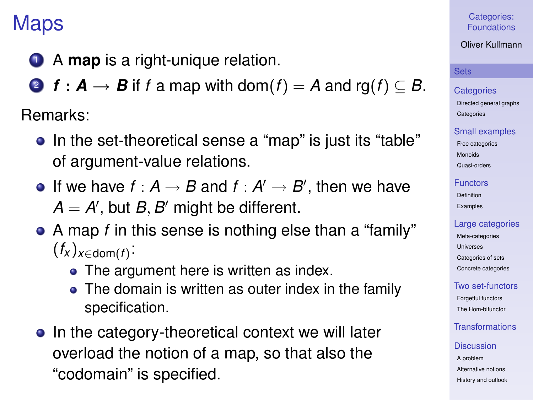# Maps

**1** A **map** is a right-unique relation.

2 *f* :  $A \rightarrow B$  if *f* a map with dom(*f*) = A and rg(*f*)  $\subseteq B$ .

Remarks:

- In the set-theoretical sense a "map" is just its "table" of argument-value relations.
- If we have  $f : A \rightarrow B$  and  $f : A' \rightarrow B'$ , then we have  $A = A'$ , but  $B, B'$  might be different.
- A map *f* in this sense is nothing else than a "family"  $(f_x)_{x \in \text{dom}(f)}$ :
	- The argument here is written as index.
	- The domain is written as outer index in the family specification.
- In the category-theoretical context we will later overload the notion of a map, so that also the "codomain" is specified.

### Categories: [Foundations](#page-0-0)

Oliver Kullmann

### **[Sets](#page-3-0)**

**[Categories](#page-12-0)** 

[Directed general graphs](#page-12-0) **[Categories](#page-17-0)** 

### [Small examples](#page-20-0)

[Free categories](#page-20-0) [Monoids](#page-21-0) [Quasi-orders](#page-26-0)

### [Functors](#page-31-0)

[Definition](#page-31-0) [Examples](#page-35-0)

# [Large categories](#page-41-0)

[Meta-categories](#page-42-0) [Universes](#page-46-0) [Categories of sets](#page-49-0) [Concrete categories](#page-53-0)

# [Two set-functors](#page-58-0)

[Forgetful functors](#page-58-0) [The Hom-bifunctor](#page-67-0)

# [Transformations](#page-71-0)

### **[Discussion](#page-76-0)**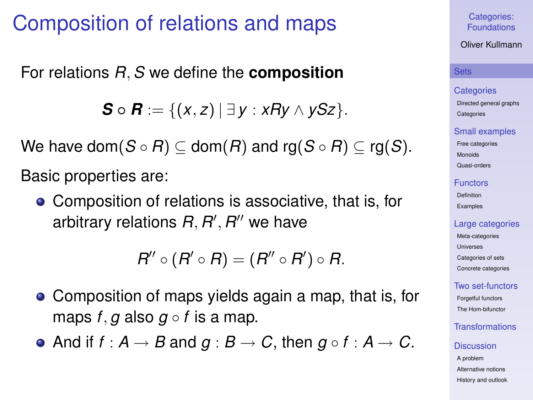# Composition of relations and maps

For relations *R*,*S* we define the **composition**

*S* ∘ *R* := {(*x*, *z*) | ∃ *y* : *xRy* ∧ *ySz* }.

We have dom( $S \circ R$ )  $\subset$  dom( $R$ ) and rg( $S \circ R$ )  $\subset$  rg( $S$ ).

Basic properties are:

• Composition of relations is associative, that is, for arbitrary relations  $R, R', R''$  we have

 $R'' \circ (R' \circ R) = (R'' \circ R') \circ R$ .

- Composition of maps yields again a map, that is, for maps  $f, g$  also  $g \circ f$  is a map.
- And if  $f : A \rightarrow B$  and  $g : B \rightarrow C$ , then  $g \circ f : A \rightarrow C$ .

Categories: [Foundations](#page-0-0)

Oliver Kullmann

### **[Sets](#page-3-0)**

### **[Categories](#page-12-0)**

[Directed general graphs](#page-12-0) **[Categories](#page-17-0)** 

### [Small examples](#page-20-0)

[Free categories](#page-20-0) [Monoids](#page-21-0) [Quasi-orders](#page-26-0)

### [Functors](#page-31-0)

[Definition](#page-31-0) [Examples](#page-35-0)

### [Large categories](#page-41-0)

[Meta-categories](#page-42-0) [Universes](#page-46-0) [Categories of sets](#page-49-0) [Concrete categories](#page-53-0)

### [Two set-functors](#page-58-0)

[Forgetful functors](#page-58-0) [The Hom-bifunctor](#page-67-0)

# [Transformations](#page-71-0)

# **[Discussion](#page-76-0)**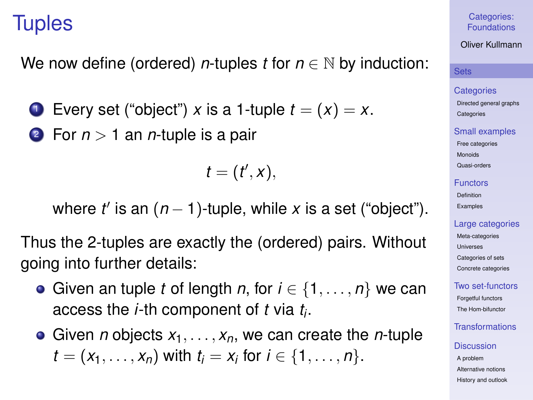# **Tuples**

We now define (ordered) *n*-tuples *t* for *n* ∈ N by induction:

- **1** Every set ("object") *x* is a 1-tuple  $t = (x) = x$ .
- <sup>2</sup> For *n* > 1 an *n*-tuple is a pair

 $t = (t', x),$ 

where  $t'$  is an  $(n - 1)$ -tuple, while  $x$  is a set ("object").

Thus the 2-tuples are exactly the (ordered) pairs. Without going into further details:

- Given an tuple *t* of length *n*, for  $i \in \{1, \ldots, n\}$  we can access the *i*-th component of *t* via *t<sup>i</sup>* .
- **•** Given *n* objects  $x_1, \ldots, x_n$ , we can create the *n*-tuple *t* =  $(x_1, ..., x_n)$  with  $t_i = x_i$  for  $i \in \{1, ..., n\}$ .

Categories: [Foundations](#page-0-0)

Oliver Kullmann

### **[Sets](#page-3-0)**

#### **[Categories](#page-12-0)**

[Directed general graphs](#page-12-0) **[Categories](#page-17-0)** 

### [Small examples](#page-20-0)

[Free categories](#page-20-0) [Monoids](#page-21-0) [Quasi-orders](#page-26-0)

### [Functors](#page-31-0)

[Definition](#page-31-0) [Examples](#page-35-0)

### [Large categories](#page-41-0)

[Meta-categories](#page-42-0) [Universes](#page-46-0) [Categories of sets](#page-49-0) [Concrete categories](#page-53-0)

# [Two set-functors](#page-58-0)

[Forgetful functors](#page-58-0) [The Hom-bifunctor](#page-67-0)

# [Transformations](#page-71-0)

### **[Discussion](#page-76-0)**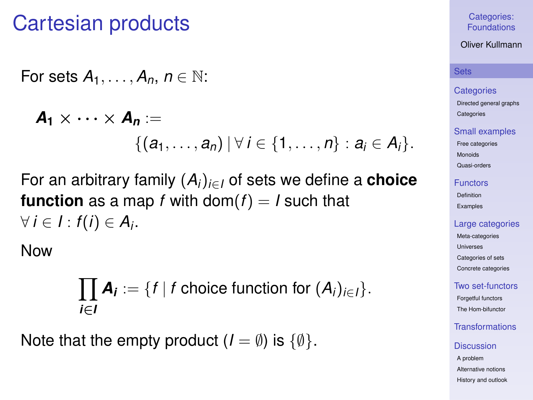# Cartesian products

For sets 
$$
A_1, \ldots, A_n, n \in \mathbb{N}
$$
:

$$
\mathbf{A}_1 \times \cdots \times \mathbf{A}_n :=
$$
  
 
$$
\{(a_1, \ldots, a_n) \mid \forall i \in \{1, \ldots, n\} : a_i \in A_i\}.
$$

For an arbitrary family (*Ai*)*i*∈*<sup>I</sup>* of sets we define a **choice function** as a map *f* with dom( $f$ ) = *I* such that  $∀ i ∈ I : f(i) ∈ A<sub>i</sub>$ .

Now

$$
\prod_{i\in I} A_i := \{f \mid f \text{ choice function for } (A_i)_{i\in I}\}.
$$

Note that the empty product  $(I = \emptyset)$  is  $\{\emptyset\}$ .

### Categories: [Foundations](#page-0-0)

### Oliver Kullmann

### **[Sets](#page-3-0)**

### **[Categories](#page-12-0)**

[Directed general graphs](#page-12-0) **[Categories](#page-17-0)** 

### [Small examples](#page-20-0)

[Free categories](#page-20-0) [Monoids](#page-21-0) [Quasi-orders](#page-26-0)

### [Functors](#page-31-0)

[Definition](#page-31-0) [Examples](#page-35-0)

### [Large categories](#page-41-0)

[Meta-categories](#page-42-0) [Universes](#page-46-0) [Categories of sets](#page-49-0) [Concrete categories](#page-53-0)

### [Two set-functors](#page-58-0)

[Forgetful functors](#page-58-0) [The Hom-bifunctor](#page-67-0)

# [Transformations](#page-71-0)

### **[Discussion](#page-76-0)**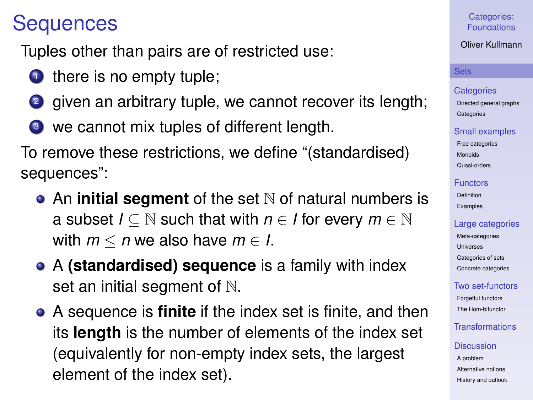# **Sequences**

Tuples other than pairs are of restricted use:

- $\bullet$  there is no empty tuple;
- 2 given an arbitrary tuple, we cannot recover its length;
- <sup>3</sup> we cannot mix tuples of different length.

To remove these restrictions, we define "(standardised) sequences":

- An **initial segment** of the set N of natural numbers is a subset  $I \subseteq \mathbb{N}$  such that with  $n \in I$  for every  $m \in \mathbb{N}$ with  $m < n$  we also have  $m \in I$ .
- A **(standardised) sequence** is a family with index set an initial segment of  $\mathbb N$ .
- A sequence is **finite** if the index set is finite, and then its **length** is the number of elements of the index set (equivalently for non-empty index sets, the largest element of the index set).

# Categories: [Foundations](#page-0-0)

Oliver Kullmann

### **[Sets](#page-3-0)**

### **[Categories](#page-12-0)**

[Directed general graphs](#page-12-0) **[Categories](#page-17-0)** 

### [Small examples](#page-20-0)

[Free categories](#page-20-0) [Monoids](#page-21-0) [Quasi-orders](#page-26-0)

### [Functors](#page-31-0)

[Definition](#page-31-0) [Examples](#page-35-0)

# [Large categories](#page-41-0)

[Meta-categories](#page-42-0) **[Universes](#page-46-0)** [Categories of sets](#page-49-0) [Concrete categories](#page-53-0)

# [Two set-functors](#page-58-0)

[Forgetful functors](#page-58-0) [The Hom-bifunctor](#page-67-0)

# [Transformations](#page-71-0)

### **[Discussion](#page-76-0)**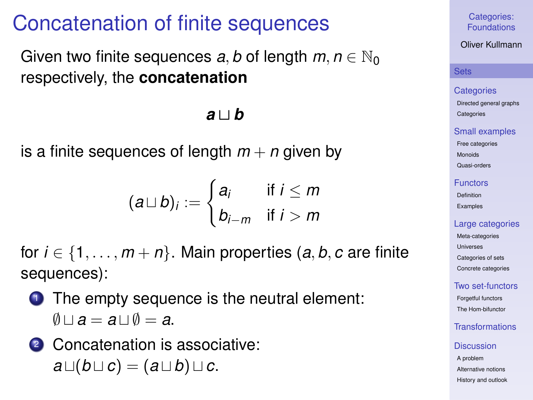# Concatenation of finite sequences

Given two finite sequences *a*, *b* of length  $m, n \in \mathbb{N}_0$ respectively, the **concatenation**

# $a \cup b$

is a finite sequences of length  $m + n$  given by

$$
(a \sqcup b)_i := \begin{cases} a_i & \text{if } i \leq m \\ b_{i-m} & \text{if } i > m \end{cases}
$$

for  $i \in \{1, \ldots, m+n\}$ . Main properties  $(a, b, c$  are finite sequences):

- **1** The empty sequence is the neutral element:  $\emptyset \cup \emptyset = a \cup \emptyset = a$ .
- 2 Concatenation is associative:  $a \sqcup (b \sqcup c) = (a \sqcup b) \sqcup c.$

Categories: [Foundations](#page-0-0)

Oliver Kullmann

### **[Sets](#page-3-0)**

### **[Categories](#page-12-0)**

[Directed general graphs](#page-12-0) **[Categories](#page-17-0)** 

### [Small examples](#page-20-0)

[Free categories](#page-20-0) [Monoids](#page-21-0)

[Quasi-orders](#page-26-0)

#### [Functors](#page-31-0)

[Definition](#page-31-0) [Examples](#page-35-0)

### [Large categories](#page-41-0)

[Meta-categories](#page-42-0) [Universes](#page-46-0) [Categories of sets](#page-49-0) [Concrete categories](#page-53-0)

### [Two set-functors](#page-58-0)

[Forgetful functors](#page-58-0) [The Hom-bifunctor](#page-67-0)

# [Transformations](#page-71-0)

### **[Discussion](#page-76-0)**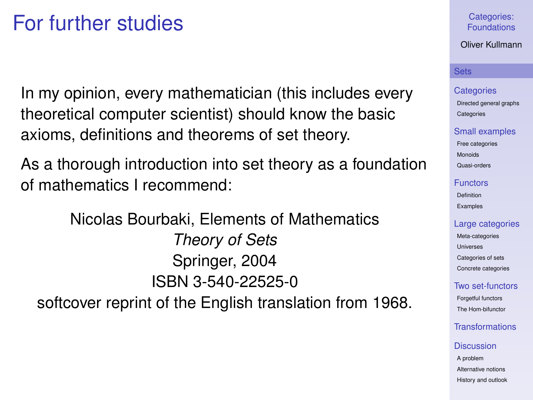# For further studies

In my opinion, every mathematician (this includes every theoretical computer scientist) should know the basic axioms, definitions and theorems of set theory.

As a thorough introduction into set theory as a foundation of mathematics I recommend:

Nicolas Bourbaki, Elements of Mathematics *Theory of Sets* Springer, 2004 ISBN 3-540-22525-0 softcover reprint of the English translation from 1968.

### Categories: [Foundations](#page-0-0)

### Oliver Kullmann

### **[Sets](#page-3-0)**

#### **[Categories](#page-12-0)**

[Directed general graphs](#page-12-0) **[Categories](#page-17-0)** 

### [Small examples](#page-20-0)

[Free categories](#page-20-0) [Monoids](#page-21-0) [Quasi-orders](#page-26-0)

#### [Functors](#page-31-0)

[Definition](#page-31-0) [Examples](#page-35-0)

### [Large categories](#page-41-0)

[Meta-categories](#page-42-0) [Universes](#page-46-0) [Categories of sets](#page-49-0) [Concrete categories](#page-53-0)

### [Two set-functors](#page-58-0)

[Forgetful functors](#page-58-0) [The Hom-bifunctor](#page-67-0)

# [Transformations](#page-71-0)

### **[Discussion](#page-76-0)**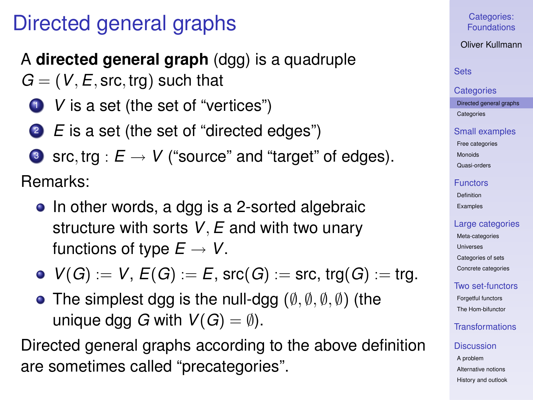# Directed general graphs

# A **directed general graph** (dgg) is a quadruple

- $G = (V, E, \text{src}, \text{trg})$  such that
	- **1** *V* is a set (the set of "vertices")
	- <sup>2</sup> *E* is a set (the set of "directed edges")
	- **3** src, trg :  $E \rightarrow V$  ("source" and "target" of edges).

Remarks:

- In other words, a dgg is a 2-sorted algebraic structure with sorts *V*,*E* and with two unary functions of type  $E \to V$ .
- $V(G) := V$ ,  $E(G) := E$ ,  $S(C(G)) := S(C, \text{trg}(G)) := \text{trg}$ .
- The simplest dgg is the null-dgg  $(\emptyset, \emptyset, \emptyset, \emptyset)$  (the unique dgg *G* with  $V(G) = \emptyset$ ).

<span id="page-12-0"></span>Directed general graphs according to the above definition are sometimes called "precategories".

# Categories: [Foundations](#page-0-0)

Oliver Kullmann

# **[Sets](#page-3-0)**

#### **[Categories](#page-12-0)**

[Directed general graphs](#page-12-0) **[Categories](#page-17-0)** 

### [Small examples](#page-20-0)

[Free categories](#page-20-0) [Monoids](#page-21-0)

[Quasi-orders](#page-26-0)

### [Functors](#page-31-0)

[Definition](#page-31-0) [Examples](#page-35-0)

# [Large categories](#page-41-0)

[Meta-categories](#page-42-0) [Universes](#page-46-0) [Categories of sets](#page-49-0) [Concrete categories](#page-53-0)

# [Two set-functors](#page-58-0)

[Forgetful functors](#page-58-0) [The Hom-bifunctor](#page-67-0)

# [Transformations](#page-71-0)

# **[Discussion](#page-76-0)**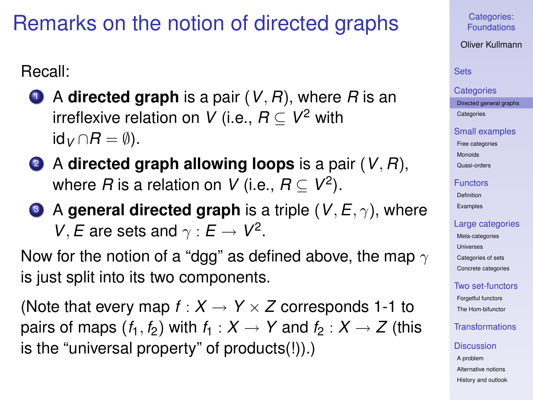# Remarks on the notion of directed graphs

Recall:

- $\bullet$  A directed graph is a pair  $(V, R)$ , where *R* is an irreflexive relation on *V* (i.e.,  $R \subseteq V^2$  with id $V$  ∩ $R = ∅$ ).
- <sup>2</sup> A **directed graph allowing loops** is a pair (*V*, *R*), where  $R$  is a relation on  $V$  (i.e.,  $R \subseteq V^2$ ).
- **3** A general directed graph is a triple  $(V, E, \gamma)$ , where *V*, *E* are sets and  $\gamma$  :  $E \rightarrow V^2$ .

Now for the notion of a "dgg" as defined above, the map  $\gamma$ is just split into its two components.

(Note that every map  $f: X \to Y \times Z$  corresponds 1-1 to pairs of maps  $(f_1, f_2)$  with  $f_1: X \rightarrow Y$  and  $f_2: X \rightarrow Z$  (this is the "universal property" of products(!)).)

Categories: [Foundations](#page-0-0)

Oliver Kullmann

### [Sets](#page-3-0)

#### **[Categories](#page-12-0)**

[Directed general graphs](#page-12-0) **[Categories](#page-17-0)** 

### [Small examples](#page-20-0)

[Free categories](#page-20-0) [Monoids](#page-21-0) [Quasi-orders](#page-26-0)

# [Functors](#page-31-0)

[Definition](#page-31-0) [Examples](#page-35-0)

# [Large categories](#page-41-0)

[Meta-categories](#page-42-0) [Universes](#page-46-0) [Categories of sets](#page-49-0) [Concrete categories](#page-53-0)

# [Two set-functors](#page-58-0)

[Forgetful functors](#page-58-0) [The Hom-bifunctor](#page-67-0)

# [Transformations](#page-71-0)

### **[Discussion](#page-76-0)**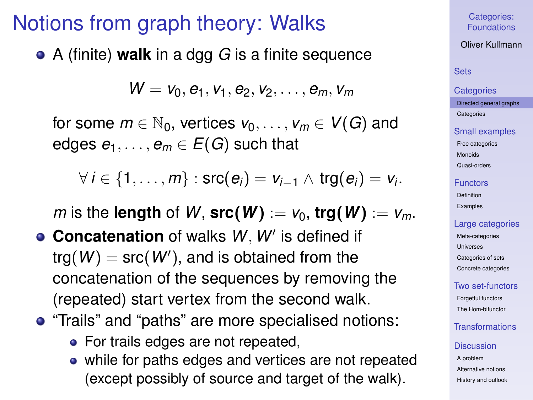# Notions from graph theory: Walks

A (finite) **walk** in a dgg *G* is a finite sequence

$$
W = v_0, e_1, v_1, e_2, v_2, \ldots, e_m, v_m
$$

for some  $m \in \mathbb{N}_0$ , vertices  $v_0, \ldots, v_m \in V(G)$  and edges  $e_1, \ldots, e_m \in E(G)$  such that

$$
\forall i \in \{1,\ldots,m\} : \mathsf{src}(e_i) = v_{i-1} \wedge \mathsf{trg}(e_i) = v_i.
$$

*m* is the **length** of *W*,  $src(W) = v_0$ ,  $trg(W) = v_m$ .

- **Concatenation** of walks W, W' is defined if  $trg(W) = src(W')$ , and is obtained from the concatenation of the sequences by removing the (repeated) start vertex from the second walk.
- **•** "Trails" and "paths" are more specialised notions:
	- For trails edges are not repeated,
	- while for paths edges and vertices are not repeated (except possibly of source and target of the walk).

### Categories: [Foundations](#page-0-0)

Oliver Kullmann

# **[Sets](#page-3-0)**

### **[Categories](#page-12-0)**

[Directed general graphs](#page-12-0) **[Categories](#page-17-0)** 

#### [Small examples](#page-20-0)

[Free categories](#page-20-0) [Monoids](#page-21-0) [Quasi-orders](#page-26-0)

# [Functors](#page-31-0)

[Definition](#page-31-0) [Examples](#page-35-0)

### [Large categories](#page-41-0)

[Meta-categories](#page-42-0) [Universes](#page-46-0) [Categories of sets](#page-49-0) [Concrete categories](#page-53-0)

### [Two set-functors](#page-58-0)

[Forgetful functors](#page-58-0) [The Hom-bifunctor](#page-67-0)

# [Transformations](#page-71-0)

### **[Discussion](#page-76-0)**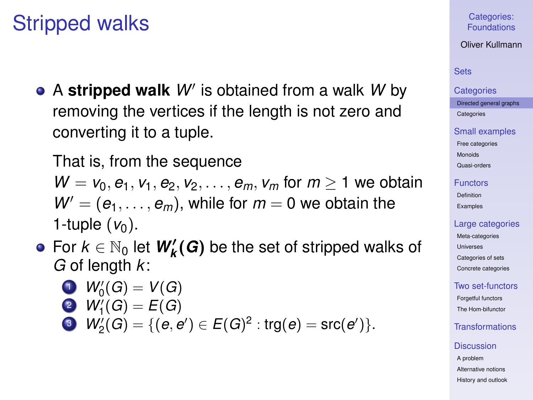# Stripped walks

A stripped walk W' is obtained from a walk W by removing the vertices if the length is not zero and converting it to a tuple.

That is, from the sequence  $W = v_0, e_1, v_1, e_2, v_2, \ldots, e_m, v_m$  for  $m \geq 1$  we obtain  $W' = (e_1, \ldots, e_m)$ , while for  $m = 0$  we obtain the 1-tuple  $(v_0)$ .

For  $k \in \mathbb{N}_0$  let  $W'_k(G)$  be the set of stripped walks of *G* of length *k*:

$$
W_0'(G)=V(G)
$$

2 
$$
W'_1(G) = E(G)
$$

$$
\bullet \quad W_2'(G) = \{ (e, e') \in E(G)^2 : \text{trg}(e) = \text{src}(e') \}.
$$

### Categories: [Foundations](#page-0-0)

### Oliver Kullmann

### [Sets](#page-3-0)

#### **[Categories](#page-12-0)**

[Directed general graphs](#page-12-0) **[Categories](#page-17-0)** 

#### [Small examples](#page-20-0)

[Free categories](#page-20-0) [Monoids](#page-21-0)

[Quasi-orders](#page-26-0)

#### [Functors](#page-31-0)

[Definition](#page-31-0) [Examples](#page-35-0)

### [Large categories](#page-41-0)

[Meta-categories](#page-42-0) [Universes](#page-46-0) [Categories of sets](#page-49-0) [Concrete categories](#page-53-0)

### [Two set-functors](#page-58-0)

[Forgetful functors](#page-58-0) [The Hom-bifunctor](#page-67-0)

# [Transformations](#page-71-0)

### **[Discussion](#page-76-0)**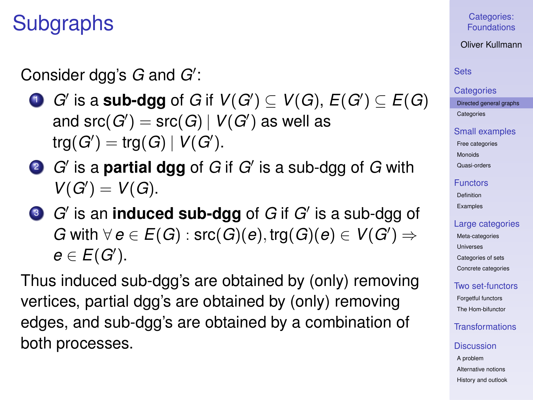# Subgraphs

Consider dgg's G and G':

- $\bullet$  *G'* is a **sub-dgg** of *G* if  $V(G') \subseteq V(G),$   $E(G') \subseteq E(G)$ and  $\operatorname{\sf src}(G') = \operatorname{\sf src}(G) \,|\, V(G')$  as well as  $trg(G') = trg(G) | V(G')$ .
- 2 *G*' is a **partial dgg** of *G* if *G'* is a sub-dgg of *G* with  $V(G') = V(G)$ .
- **3** *G*' is an **induced sub-dgg** of *G* if *G'* is a sub-dgg of *G* with  $∀$   $e ∈ E(G)$  : src $(G)(e)$ , trg $(G)(e) ∈ V(G')$   $⇒$  $e \in E(G')$ .

Thus induced sub-dgg's are obtained by (only) removing vertices, partial dgg's are obtained by (only) removing edges, and sub-dgg's are obtained by a combination of both processes.

Categories: [Foundations](#page-0-0)

Oliver Kullmann

# **[Sets](#page-3-0)**

#### **[Categories](#page-12-0)**

[Directed general graphs](#page-12-0) **[Categories](#page-17-0)** 

### [Small examples](#page-20-0)

[Free categories](#page-20-0) [Monoids](#page-21-0) [Quasi-orders](#page-26-0)

### [Functors](#page-31-0)

[Definition](#page-31-0) [Examples](#page-35-0)

### [Large categories](#page-41-0)

[Meta-categories](#page-42-0) [Universes](#page-46-0) [Categories of sets](#page-49-0) [Concrete categories](#page-53-0)

# [Two set-functors](#page-58-0)

[Forgetful functors](#page-58-0) [The Hom-bifunctor](#page-67-0)

# [Transformations](#page-71-0)

### **[Discussion](#page-76-0)**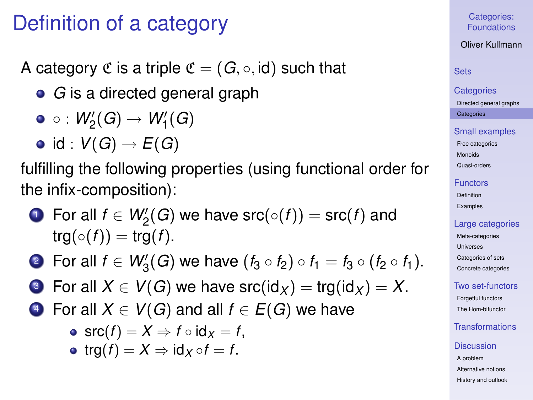# Definition of a category

A category  $\mathfrak C$  is a triple  $\mathfrak C = (G, \circ, id)$  such that

*G* is a directed general graph

$$
\bullet \, \circ : \mathit{W}_2'(G) \rightarrow \mathit{W}_1'(G)
$$

$$
\bullet \ \text{id}: V(G) \to E(G)
$$

fulfilling the following properties (using functional order for the infix-composition):

 $1$  For all  $f \in W'_2(G)$  we have  $\operatorname{src}(\circ(f)) = \operatorname{src}(f)$  and  $trg(\circ(f)) = trg(f)$ .

2 For all  $f \in W'_3(G)$  we have  $(f_3 \circ f_2) \circ f_1 = f_3 \circ (f_2 \circ f_1)$ .

- **3** For all  $X \in V(G)$  we have src( $\text{id}_X$ ) = trg( $\text{id}_X$ ) = X.
- <span id="page-17-0"></span>4 For all  $X \in V(G)$  and all  $f \in E(G)$  we have

• src
$$
(f)
$$
 =  $X \Rightarrow f \circ id_X = f$ ,

• trg $(f) = X \Rightarrow id_X \circ f = f$ .

Categories: [Foundations](#page-0-0)

Oliver Kullmann

# **[Sets](#page-3-0)**

### **[Categories](#page-12-0)** [Directed general graphs](#page-12-0) **[Categories](#page-17-0)**

[Small examples](#page-20-0)

[Free categories](#page-20-0) [Monoids](#page-21-0) [Quasi-orders](#page-26-0)

[Functors](#page-31-0)

[Definition](#page-31-0) [Examples](#page-35-0)

# [Large categories](#page-41-0)

[Meta-categories](#page-42-0) [Universes](#page-46-0) [Categories of sets](#page-49-0) [Concrete categories](#page-53-0)

[Two set-functors](#page-58-0)

[Forgetful functors](#page-58-0) [The Hom-bifunctor](#page-67-0)

# [Transformations](#page-71-0)

### **[Discussion](#page-76-0)**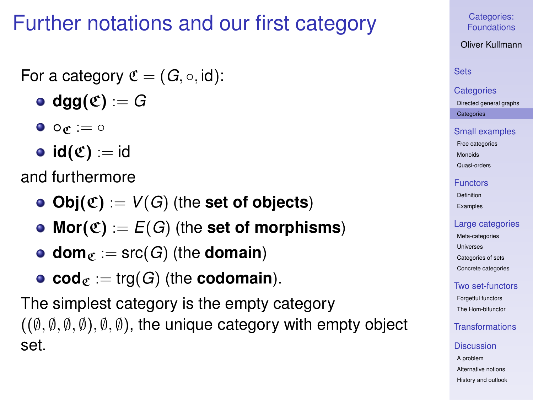# Further notations and our first category

# For a category  $\mathfrak{C} = (G, \circ, id)$ :

- $\bullet$  dgg $(\mathfrak{C}) := G$
- $\bullet$   $\circ \sigma := \circ$
- $id(\mathfrak{C}) := id$

and furthermore

- **Obj** $(\mathfrak{C}) := V(G)$  (the **set of objects**)
- Mor $(\mathfrak{C}) := E(G)$  (the set of morphisms)
- **dom** $_{\mathfrak{C}} :=$  src(*G*) (the **domain**)
- **cod** $_{\mathfrak{C}} := \text{trg}(G)$  (the **codomain**).

The simplest category is the empty category  $((\emptyset, \emptyset, \emptyset, \emptyset), \emptyset, \emptyset)$ , the unique category with empty object set.

Categories: [Foundations](#page-0-0)

Oliver Kullmann

# **[Sets](#page-3-0)**

### **[Categories](#page-12-0)** [Directed general graphs](#page-12-0) **[Categories](#page-17-0)**

[Small examples](#page-20-0)

[Free categories](#page-20-0) [Monoids](#page-21-0)

[Quasi-orders](#page-26-0)

### [Functors](#page-31-0)

[Definition](#page-31-0) [Examples](#page-35-0)

### [Large categories](#page-41-0)

[Meta-categories](#page-42-0) [Universes](#page-46-0) [Categories of sets](#page-49-0) [Concrete categories](#page-53-0)

# [Two set-functors](#page-58-0)

[Forgetful functors](#page-58-0) [The Hom-bifunctor](#page-67-0)

# [Transformations](#page-71-0)

### **[Discussion](#page-76-0)**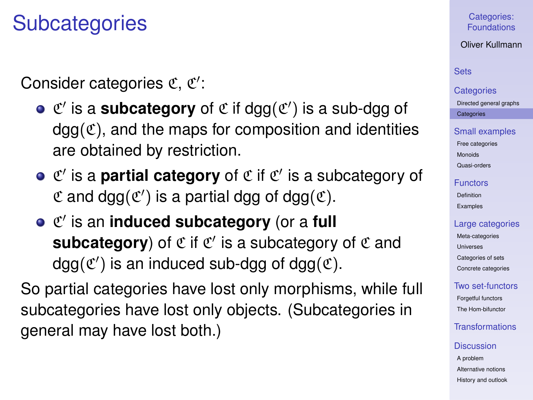# **Subcategories**

Consider categories  $\mathfrak{C}, \mathfrak{C}'$ :

- $\mathfrak{C}'$  is a **subcategory** of  $\mathfrak{C}$  if dgg( $\mathfrak{C}'$ ) is a sub-dgg of  $dqa(\mathfrak{C})$ , and the maps for composition and identities are obtained by restriction.
- $C'$  is a **partial category** of  $C$  if  $C'$  is a subcategory of  $\mathfrak C$  and dgg $(\mathfrak C')$  is a partial dgg of dgg $(\mathfrak C)$ .
- $C'$  is an **induced subcategory** (or a full subcategory) of  $\mathfrak C$  if  $\mathfrak C'$  is a subcategory of  $\mathfrak C$  and  $dg(g(\mathfrak{C}))$  is an induced sub-dgg of dgg $(\mathfrak{C})$ .

So partial categories have lost only morphisms, while full subcategories have lost only objects. (Subcategories in general may have lost both.)

# Categories: [Foundations](#page-0-0)

Oliver Kullmann

# **[Sets](#page-3-0)**

# **[Categories](#page-12-0)** [Directed general graphs](#page-12-0)

**[Categories](#page-17-0)** 

### [Small examples](#page-20-0)

[Free categories](#page-20-0) [Monoids](#page-21-0) [Quasi-orders](#page-26-0)

### [Functors](#page-31-0)

[Definition](#page-31-0) [Examples](#page-35-0)

### [Large categories](#page-41-0)

[Meta-categories](#page-42-0) **[Universes](#page-46-0)** [Categories of sets](#page-49-0) [Concrete categories](#page-53-0)

# [Two set-functors](#page-58-0)

[Forgetful functors](#page-58-0) [The Hom-bifunctor](#page-67-0)

# [Transformations](#page-71-0)

### **[Discussion](#page-76-0)**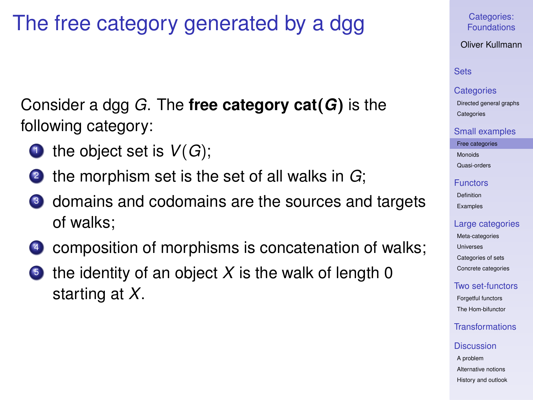# The free category generated by a dgg

Consider a dgg *G*. The **free category cat**(*G*) is the following category:

- **1** the object set is  $V(G)$ ;
- <sup>2</sup> the morphism set is the set of all walks in *G*;
- <sup>3</sup> domains and codomains are the sources and targets of walks;
- composition of morphisms is concatenation of walks;
- <span id="page-20-0"></span>the identity of an object  $X$  is the walk of length 0 starting at *X*.

Categories: [Foundations](#page-0-0)

Oliver Kullmann

# **[Sets](#page-3-0)**

#### **[Categories](#page-12-0)**

[Directed general graphs](#page-12-0) **[Categories](#page-17-0)** 

### [Small examples](#page-20-0)

[Free categories](#page-20-0)

[Monoids](#page-21-0)

[Quasi-orders](#page-26-0)

### [Functors](#page-31-0)

[Definition](#page-31-0) [Examples](#page-35-0)

### [Large categories](#page-41-0)

[Meta-categories](#page-42-0) [Universes](#page-46-0) [Categories of sets](#page-49-0) [Concrete categories](#page-53-0)

# [Two set-functors](#page-58-0)

[Forgetful functors](#page-58-0) [The Hom-bifunctor](#page-67-0)

# [Transformations](#page-71-0)

### **[Discussion](#page-76-0)**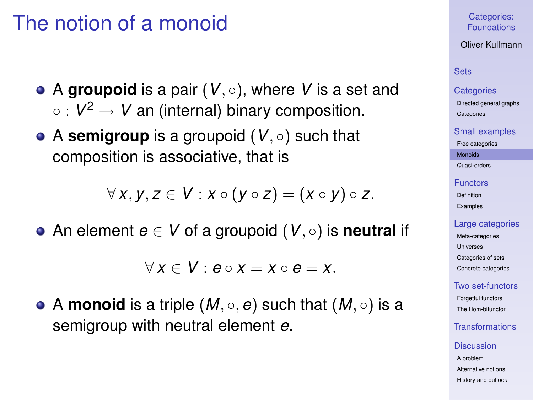# The notion of a monoid

- $\bullet$  A **groupoid** is a pair  $(V, \circ)$ , where V is a set and  $\circ$  :  $V^2 \to V$  an (internal) binary composition.
- A **semigroup** is a groupoid (*V*, ◦) such that composition is associative, that is

$$
\forall x, y, z \in V : x \circ (y \circ z) = (x \circ y) \circ z.
$$

An element *e* ∈ *V* of a groupoid (*V*, ◦) is **neutral** if

 $\forall x \in V : e \circ x = x \circ e = x$ .

<span id="page-21-0"></span>• A **monoid** is a triple  $(M, \circ, e)$  such that  $(M, \circ)$  is a semigroup with neutral element *e*.

Categories: [Foundations](#page-0-0)

Oliver Kullmann

# **[Sets](#page-3-0)**

### **[Categories](#page-12-0)**

[Directed general graphs](#page-12-0) **[Categories](#page-17-0)** 

#### [Small examples](#page-20-0)

[Free categories](#page-20-0)

[Monoids](#page-21-0)

[Quasi-orders](#page-26-0)

### [Functors](#page-31-0)

[Definition](#page-31-0) [Examples](#page-35-0)

### [Large categories](#page-41-0)

[Meta-categories](#page-42-0) [Universes](#page-46-0) [Categories of sets](#page-49-0) [Concrete categories](#page-53-0)

### [Two set-functors](#page-58-0)

[Forgetful functors](#page-58-0) [The Hom-bifunctor](#page-67-0)

# [Transformations](#page-71-0)

#### **[Discussion](#page-76-0)**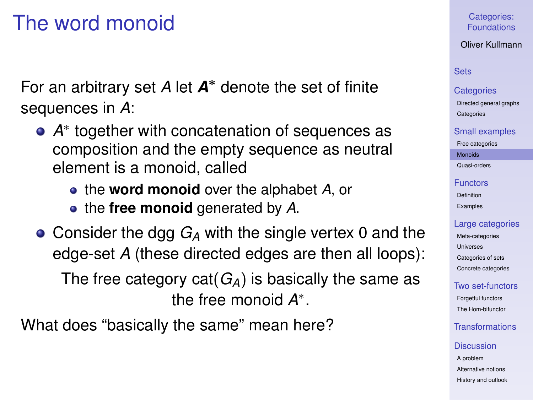# The word monoid

For an arbitrary set *A* let *A* <sup>∗</sup> denote the set of finite sequences in *A*:

- *A* ∗ together with concatenation of sequences as composition and the empty sequence as neutral element is a monoid, called
	- the **word monoid** over the alphabet *A*, or
	- the **free monoid** generated by *A*.

● Consider the dgg *G<sub>A</sub>* with the single vertex 0 and the edge-set *A* (these directed edges are then all loops): The free category cat(*GA*) is basically the same as the free monoid *A* ∗ .

What does "basically the same" mean here?

### Categories: [Foundations](#page-0-0)

Oliver Kullmann

# **[Sets](#page-3-0)**

### **[Categories](#page-12-0)**

[Directed general graphs](#page-12-0) **[Categories](#page-17-0)** 

### [Small examples](#page-20-0)

[Free categories](#page-20-0)

[Monoids](#page-21-0)

[Quasi-orders](#page-26-0)

### [Functors](#page-31-0)

[Definition](#page-31-0) [Examples](#page-35-0)

### [Large categories](#page-41-0)

[Meta-categories](#page-42-0) [Universes](#page-46-0) [Categories of sets](#page-49-0) [Concrete categories](#page-53-0)

# [Two set-functors](#page-58-0)

[Forgetful functors](#page-58-0) [The Hom-bifunctor](#page-67-0)

# [Transformations](#page-71-0)

#### **[Discussion](#page-76-0)**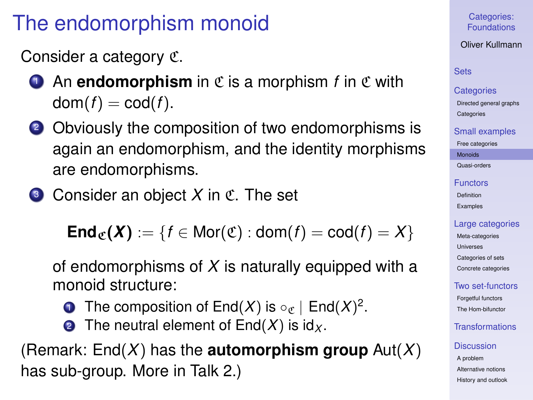# The endomorphism monoid

Consider a category C.

- **1** An **endomorphism** in  $\mathfrak{C}$  is a morphism *f* in  $\mathfrak{C}$  with  $dom(f) = cod(f)$ .
- <sup>2</sup> Obviously the composition of two endomorphisms is again an endomorphism, and the identity morphisms are endomorphisms.
- **3** Consider an object X in C. The set

**End<sub>C</sub>(***X***)** := {*f* ∈ Mor(C) : dom(*f*) = cod(*f*) = *X*}

of endomorphisms of *X* is naturally equipped with a monoid structure:

- **1** The composition of End $(X)$  is  $\circ_{\mathfrak{C}}$  | End $(X)^2$ .
- **2** The neutral element of  $End(X)$  is  $id_X$ .

(Remark: End(*X*) has the **automorphism group** Aut(*X*) has sub-group. More in Talk 2.)

Categories: [Foundations](#page-0-0)

Oliver Kullmann

# [Sets](#page-3-0)

### **[Categories](#page-12-0)**

[Directed general graphs](#page-12-0) **[Categories](#page-17-0)** 

### [Small examples](#page-20-0)

[Free categories](#page-20-0)

[Monoids](#page-21-0)

[Quasi-orders](#page-26-0)

### [Functors](#page-31-0)

[Definition](#page-31-0) [Examples](#page-35-0)

# [Large categories](#page-41-0)

[Meta-categories](#page-42-0) [Universes](#page-46-0) [Categories of sets](#page-49-0) [Concrete categories](#page-53-0)

# [Two set-functors](#page-58-0)

[Forgetful functors](#page-58-0) [The Hom-bifunctor](#page-67-0)

# [Transformations](#page-71-0)

# **[Discussion](#page-76-0)**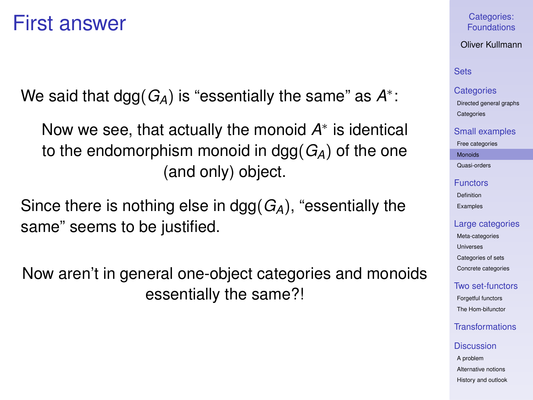# First answer

We said that dgg $(G_A)$  is "essentially the same" as  $A^*$ :

Now we see, that actually the monoid A<sup>\*</sup> is identical to the endomorphism monoid in dgg(*GA*) of the one (and only) object.

Since there is nothing else in dgg(*GA*), "essentially the same" seems to be justified.

Now aren't in general one-object categories and monoids essentially the same?!

### Categories: [Foundations](#page-0-0)

Oliver Kullmann

# **[Sets](#page-3-0)**

### **[Categories](#page-12-0)**

[Directed general graphs](#page-12-0) **[Categories](#page-17-0)** 

### [Small examples](#page-20-0)

[Free categories](#page-20-0)

[Monoids](#page-21-0)

[Quasi-orders](#page-26-0)

#### [Functors](#page-31-0)

[Definition](#page-31-0) [Examples](#page-35-0)

### [Large categories](#page-41-0)

[Meta-categories](#page-42-0) [Universes](#page-46-0) [Categories of sets](#page-49-0) [Concrete categories](#page-53-0)

### [Two set-functors](#page-58-0)

[Forgetful functors](#page-58-0) [The Hom-bifunctor](#page-67-0)

# [Transformations](#page-71-0)

### **[Discussion](#page-76-0)**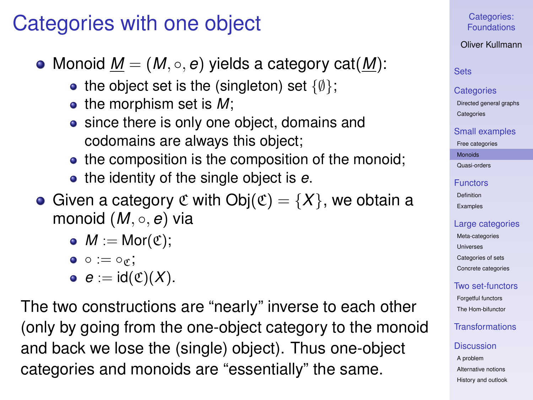# Categories with one object

• Monoid  $M = (M, \circ, e)$  yields a category cat(M):

- the object set is the (singleton) set  $\{\emptyset\}$ ;
- the morphism set is M;
- since there is only one object, domains and codomains are always this object;
- the composition is the composition of the monoid;
- the identity of the single object is *e*.
- Given a category  $\mathfrak C$  with  $Obj(\mathfrak C)=\{X\}$ , we obtain a monoid (*M*, ◦, *e*) via
	- $M := \text{Mor}(\mathfrak{C});$

$$
\bullet\ \circ := \circ_{\mathfrak{C}},
$$

$$
\bullet \ \ e := \mathsf{id}(\mathfrak{C})(X).
$$

The two constructions are "nearly" inverse to each other (only by going from the one-object category to the monoid and back we lose the (single) object). Thus one-object categories and monoids are "essentially" the same.

# Categories: [Foundations](#page-0-0)

### Oliver Kullmann

# **[Sets](#page-3-0)**

### **[Categories](#page-12-0)**

[Directed general graphs](#page-12-0) **[Categories](#page-17-0)** 

### [Small examples](#page-20-0)

[Free categories](#page-20-0)

[Monoids](#page-21-0)

[Quasi-orders](#page-26-0)

### [Functors](#page-31-0)

[Definition](#page-31-0) [Examples](#page-35-0)

### [Large categories](#page-41-0)

[Meta-categories](#page-42-0) [Universes](#page-46-0) [Categories of sets](#page-49-0) [Concrete categories](#page-53-0)

# [Two set-functors](#page-58-0)

[Forgetful functors](#page-58-0) [The Hom-bifunctor](#page-67-0)

# **[Transformations](#page-71-0)**

### **[Discussion](#page-76-0)**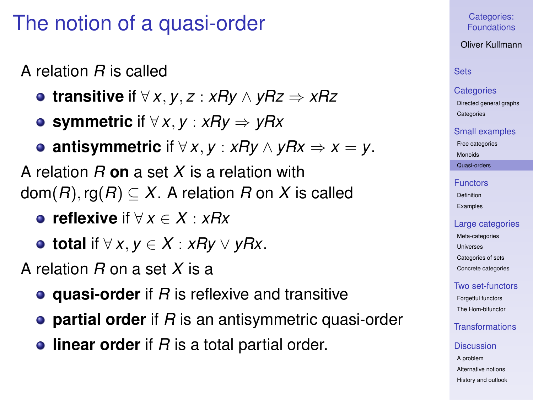# The notion of a quasi-order

A relation *R* is called

- **transitive** if ∀ *x*, *y*, *z* : *xRy* ∧ *yRz* ⇒ *xRz*
- **symmetric** if ∀ *x*, *y* : *xRy* ⇒ *yRx*

**• antisymmetric** if  $\forall$  *x*, *y* : *xRy* ∧ *yRx*  $\Rightarrow$  *x* = *y*.

A relation *R* **on** a set *X* is a relation with  $dom(R)$ , rg $(R) \subset X$ . A relation *R* on *X* is called

**reflexive** if ∀ *x* ∈ *X* : *xRx*

**total** if ∀ *x*, *y* ∈ *X* : *xRy* ∨ *yRx*.

A relation *R* on a set *X* is a

- **quasi-order** if *R* is reflexive and transitive
- **partial order** if *R* is an antisymmetric quasi-order
- <span id="page-26-0"></span>**.** linear order if *R* is a total partial order.

### Categories: [Foundations](#page-0-0)

Oliver Kullmann

# **[Sets](#page-3-0)**

### **[Categories](#page-12-0)**

[Directed general graphs](#page-12-0) **[Categories](#page-17-0)** 

### [Small examples](#page-20-0)

[Free categories](#page-20-0)

[Monoids](#page-21-0)

[Quasi-orders](#page-26-0)

### [Functors](#page-31-0)

[Definition](#page-31-0) [Examples](#page-35-0)

# [Large categories](#page-41-0)

[Meta-categories](#page-42-0) [Universes](#page-46-0) [Categories of sets](#page-49-0) [Concrete categories](#page-53-0)

# [Two set-functors](#page-58-0)

[Forgetful functors](#page-58-0) [The Hom-bifunctor](#page-67-0)

# [Transformations](#page-71-0)

### **[Discussion](#page-76-0)**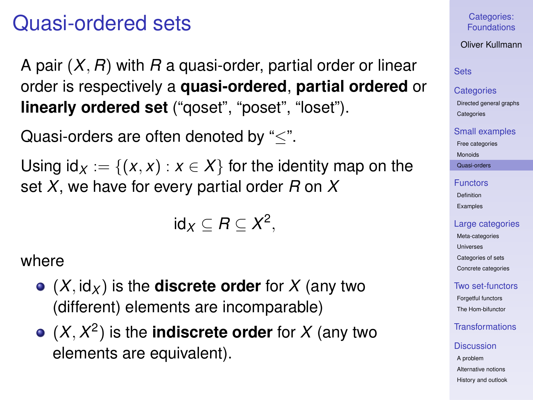# Quasi-ordered sets

A pair (*X*, *R*) with *R* a quasi-order, partial order or linear order is respectively a **quasi-ordered**, **partial ordered** or **linearly ordered set** ("qoset", "poset", "loset").

Quasi-orders are often denoted by "<".

Using  $id_X := \{(x, x) : x \in X\}$  for the identity map on the set *X*, we have for every partial order *R* on *X*

$$
id_X\subseteq R\subseteq X^2,
$$

where

- $\bullet$   $(X, id_X)$  is the **discrete order** for X (any two (different) elements are incomparable)
- $(X, X^2)$  is the **indiscrete order** for X (any two elements are equivalent).

Categories: [Foundations](#page-0-0)

Oliver Kullmann

# **[Sets](#page-3-0)**

### **[Categories](#page-12-0)**

[Directed general graphs](#page-12-0) **[Categories](#page-17-0)** 

### [Small examples](#page-20-0)

[Free categories](#page-20-0)

[Monoids](#page-21-0)

[Quasi-orders](#page-26-0)

### [Functors](#page-31-0) [Definition](#page-31-0)

[Examples](#page-35-0)

### [Large categories](#page-41-0)

[Meta-categories](#page-42-0) [Universes](#page-46-0) [Categories of sets](#page-49-0) [Concrete categories](#page-53-0)

# [Two set-functors](#page-58-0)

[Forgetful functors](#page-58-0) [The Hom-bifunctor](#page-67-0)

# [Transformations](#page-71-0)

### **[Discussion](#page-76-0)**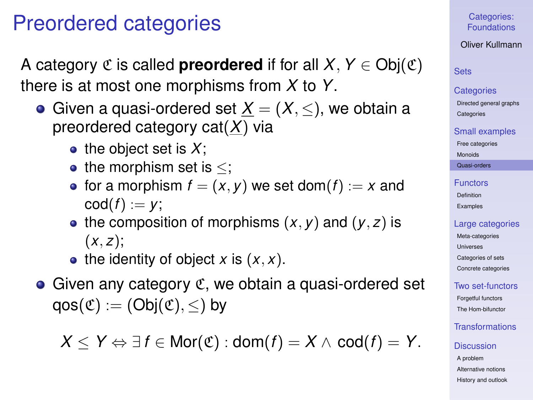# Preordered categories

A category  $\mathfrak C$  is called **preordered** if for all  $X, Y \in Ob_i(\mathfrak C)$ there is at most one morphisms from *X* to *Y*.

- Given a quasi-ordered set  $X = (X, \leq)$ , we obtain a preordered category cat(*X*) via
	- $\bullet$  the object set is X;
	- the morphism set is  $\leq$ ;
	- for a morphism  $f = (x, y)$  we set dom( $f$ ) := x and  $\operatorname{cod}(f) := v$ ;
	- the composition of morphisms  $(x, y)$  and  $(y, z)$  is  $(x, z)$ ;
	- $\bullet$  the identity of object *x* is  $(x, x)$ .
- $\bullet$  Given any category  $\mathfrak{C}$ , we obtain a quasi-ordered set  $qos(\mathfrak{C}) := (Obj(\mathfrak{C}), <)$  by

*X* ≤ *Y*  $\Leftrightarrow$  ∃*f* ∈ Mor( $\mathfrak{C}$ ) : dom(*f*) = *X* ∧ cod(*f*) = *Y*.

Categories: [Foundations](#page-0-0)

Oliver Kullmann

**[Sets](#page-3-0)** 

### **[Categories](#page-12-0)**

[Directed general graphs](#page-12-0) **[Categories](#page-17-0)** 

[Small examples](#page-20-0)

[Free categories](#page-20-0)

[Monoids](#page-21-0)

[Quasi-orders](#page-26-0)

### [Functors](#page-31-0) [Definition](#page-31-0)

[Examples](#page-35-0)

# [Large categories](#page-41-0)

[Meta-categories](#page-42-0) **[Universes](#page-46-0)** [Categories of sets](#page-49-0) [Concrete categories](#page-53-0)

[Two set-functors](#page-58-0)

[Forgetful functors](#page-58-0) [The Hom-bifunctor](#page-67-0)

# [Transformations](#page-71-0)

**[Discussion](#page-76-0)**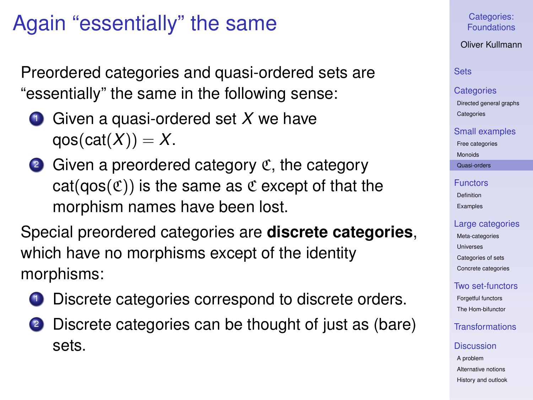# Again "essentially" the same

Preordered categories and quasi-ordered sets are "essentially" the same in the following sense:

- <sup>1</sup> Given a quasi-ordered set *X* we have  $qos(cat(X)) = X$ .
- $\bullet$  Given a preordered category  $\mathfrak{C}$ , the category  $cat(qos(\mathfrak{C}))$  is the same as  $\mathfrak{C}$  except of that the morphism names have been lost.

Special preordered categories are **discrete categories**, which have no morphisms except of the identity morphisms:

- Discrete categories correspond to discrete orders.
- Discrete categories can be thought of just as (bare) sets.

# Categories: [Foundations](#page-0-0)

Oliver Kullmann

### **[Sets](#page-3-0)**

### **[Categories](#page-12-0)**

[Directed general graphs](#page-12-0) **[Categories](#page-17-0)** 

### [Small examples](#page-20-0)

[Free categories](#page-20-0)

[Monoids](#page-21-0)

[Quasi-orders](#page-26-0)

### [Functors](#page-31-0) [Definition](#page-31-0) [Examples](#page-35-0)

### [Large categories](#page-41-0)

[Meta-categories](#page-42-0) [Universes](#page-46-0) [Categories of sets](#page-49-0) [Concrete categories](#page-53-0)

# [Two set-functors](#page-58-0)

[Forgetful functors](#page-58-0) [The Hom-bifunctor](#page-67-0)

# [Transformations](#page-71-0)

### **[Discussion](#page-76-0)**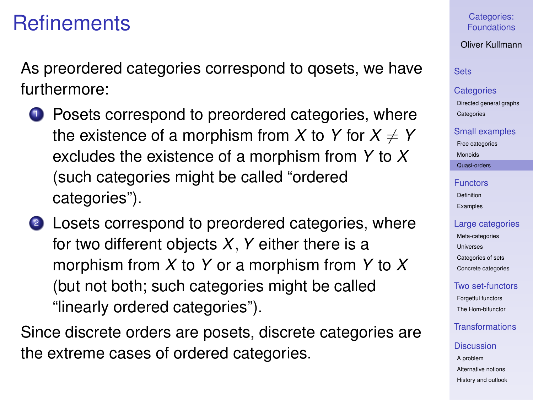# **Refinements**

As preordered categories correspond to qosets, we have furthermore:

- **1** Posets correspond to preordered categories, where the existence of a morphism from X to Y for  $X \neq Y$ excludes the existence of a morphism from *Y* to *X* (such categories might be called "ordered categories").
- 2 Losets correspond to preordered categories, where for two different objects *X*,*Y* either there is a morphism from *X* to *Y* or a morphism from *Y* to *X* (but not both; such categories might be called "linearly ordered categories").

Since discrete orders are posets, discrete categories are the extreme cases of ordered categories.

### Categories: [Foundations](#page-0-0)

Oliver Kullmann

# **[Sets](#page-3-0)**

### **[Categories](#page-12-0)**

[Directed general graphs](#page-12-0) **[Categories](#page-17-0)** 

### [Small examples](#page-20-0)

[Free categories](#page-20-0)

[Monoids](#page-21-0)

[Quasi-orders](#page-26-0)

### [Functors](#page-31-0) [Definition](#page-31-0) [Examples](#page-35-0)

### [Large categories](#page-41-0)

[Meta-categories](#page-42-0) [Universes](#page-46-0) [Categories of sets](#page-49-0) [Concrete categories](#page-53-0)

# [Two set-functors](#page-58-0)

[Forgetful functors](#page-58-0) [The Hom-bifunctor](#page-67-0)

# [Transformations](#page-71-0)

### **[Discussion](#page-76-0)**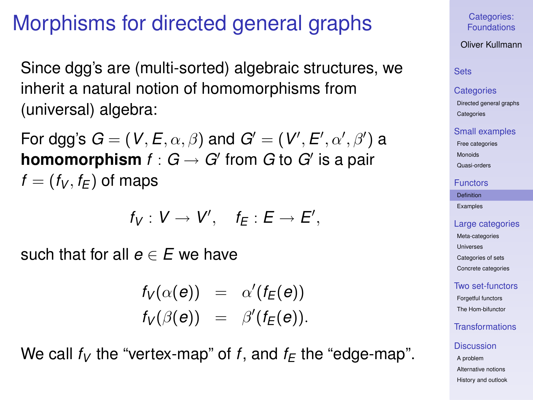# Morphisms for directed general graphs

Since dgg's are (multi-sorted) algebraic structures, we inherit a natural notion of homomorphisms from (universal) algebra:

For dgg's  $\bm{G} = (\bm{V}, \bm{E}, \alpha, \beta)$  and  $\bm{G}' = (\bm{V}', \bm{E}', \alpha', \beta')$  a **homomorphism**  $f: G \to G'$  from  $G$  to  $G'$  is a pair  $f = (f_V, f_F)$  of maps

$$
f_V: V \to V', \quad f_E: E \to E',
$$

such that for all  $e \in E$  we have

 $f_V(\alpha(e)) = \alpha'(f_E(e))$  $f_V(\beta(e)) = \beta'(f_E(e)).$ 

<span id="page-31-0"></span>We call  $f_V$  the "vertex-map" of f, and  $f_F$  the "edge-map".

Categories: [Foundations](#page-0-0)

Oliver Kullmann

# **[Sets](#page-3-0)**

#### **[Categories](#page-12-0)**

[Directed general graphs](#page-12-0) **[Categories](#page-17-0)** 

### [Small examples](#page-20-0)

[Free categories](#page-20-0)

[Monoids](#page-21-0)

[Quasi-orders](#page-26-0)

#### [Functors](#page-31-0)

[Definition](#page-31-0)

[Examples](#page-35-0)

### [Large categories](#page-41-0)

[Meta-categories](#page-42-0) [Universes](#page-46-0) [Categories of sets](#page-49-0) [Concrete categories](#page-53-0)

[Two set-functors](#page-58-0)

[Forgetful functors](#page-58-0) [The Hom-bifunctor](#page-67-0)

# [Transformations](#page-71-0)

### **[Discussion](#page-76-0)**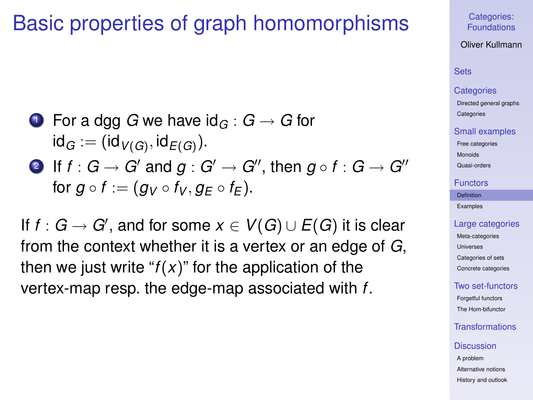# Basic properties of graph homomorphisms

- **1** For a dgg *G* we have  $\text{id}_G : G \to G$  for  $\mathsf{id}_G := (\mathsf{id}_{V(G)}, \mathsf{id}_{E(G)})$ .
- 2 If  $f : G \to G'$  and  $g : G' \to G''$ , then  $g \circ f : G \to G''$ for  $g \circ f := (g_V \circ f_V, g_F \circ f_F)$ .

If  $f: G \to G'$ , and for some  $x \in V(G) \cup E(G)$  it is clear from the context whether it is a vertex or an edge of *G*, then we just write " $f(x)$ " for the application of the vertex-map resp. the edge-map associated with *f*.

### Categories: [Foundations](#page-0-0)

Oliver Kullmann

# **[Sets](#page-3-0)**

#### **[Categories](#page-12-0)**

[Directed general graphs](#page-12-0) **[Categories](#page-17-0)** 

#### [Small examples](#page-20-0)

[Free categories](#page-20-0)

[Monoids](#page-21-0)

[Quasi-orders](#page-26-0)

### [Functors](#page-31-0)

[Definition](#page-31-0)

[Examples](#page-35-0)

### [Large categories](#page-41-0)

[Meta-categories](#page-42-0) [Universes](#page-46-0) [Categories of sets](#page-49-0) [Concrete categories](#page-53-0)

### [Two set-functors](#page-58-0)

[Forgetful functors](#page-58-0) [The Hom-bifunctor](#page-67-0)

# [Transformations](#page-71-0)

#### **[Discussion](#page-76-0)**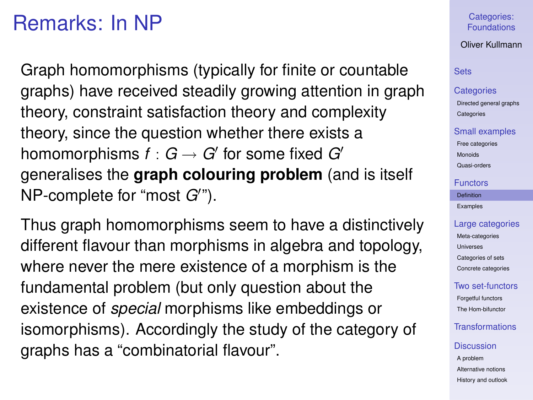# Remarks: In NP

Graph homomorphisms (typically for finite or countable graphs) have received steadily growing attention in graph theory, constraint satisfaction theory and complexity theory, since the question whether there exists a homomorphisms  $f:G\to G'$  for some fixed  $G'$ generalises the **graph colouring problem** (and is itself NP-complete for "most G'").

Thus graph homomorphisms seem to have a distinctively different flavour than morphisms in algebra and topology, where never the mere existence of a morphism is the fundamental problem (but only question about the existence of *special* morphisms like embeddings or isomorphisms). Accordingly the study of the category of graphs has a "combinatorial flavour".

Categories: [Foundations](#page-0-0)

Oliver Kullmann

# **[Sets](#page-3-0)**

### **[Categories](#page-12-0)**

[Directed general graphs](#page-12-0) **[Categories](#page-17-0)** 

### [Small examples](#page-20-0)

[Free categories](#page-20-0) [Monoids](#page-21-0)

[Quasi-orders](#page-26-0)

### [Functors](#page-31-0)

[Definition](#page-31-0)

[Examples](#page-35-0)

### [Large categories](#page-41-0)

[Meta-categories](#page-42-0) [Universes](#page-46-0) [Categories of sets](#page-49-0) [Concrete categories](#page-53-0)

### [Two set-functors](#page-58-0)

[Forgetful functors](#page-58-0) [The Hom-bifunctor](#page-67-0)

# [Transformations](#page-71-0)

### **[Discussion](#page-76-0)**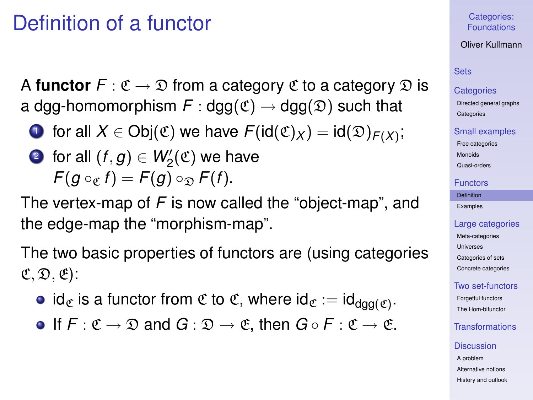# Definition of a functor

A **functor**  $F: \mathfrak{C} \to \mathfrak{D}$  from a category  $\mathfrak{C}$  to a category  $\mathfrak{D}$  is a dgg-homomorphism  $F : \text{dga}(\mathfrak{C}) \to \text{dga}(\mathfrak{D})$  such that

 $\mathbf{D}$  for all  $X \in \mathsf{Obj}(\mathfrak{C})$  we have  $\mathcal{F}(\mathsf{id}(\mathfrak{C})_X) = \mathsf{id}(\mathfrak{D})_{\mathcal{F}(X)};$ 

• for all 
$$
(f, g) \in W'_2(\mathfrak{C})
$$
 we have  
 $F(g \circ_{\mathfrak{C}} f) = F(g) \circ_{\mathfrak{D}} F(f)$ .

The vertex-map of *F* is now called the "object-map", and the edge-map the "morphism-map".

The two basic properties of functors are (using categories  $(\mathfrak{C}, \mathfrak{D}, \mathfrak{E})$ :

- id $_{\mathfrak{C}}$  is a functor from  $\mathfrak{C}$  to  $\mathfrak{C}$ , where id $_{\mathfrak{C}}:=\mathsf{id}_{\mathsf{dgg}(\mathfrak{C})}.$
- **•** If  $F: \mathfrak{C} \to \mathfrak{D}$  and  $G: \mathfrak{D} \to \mathfrak{C}$ , then  $G \circ F: \mathfrak{C} \to \mathfrak{C}$ .

### Categories: [Foundations](#page-0-0)

# Oliver Kullmann

### [Sets](#page-3-0)

### **[Categories](#page-12-0)**

[Directed general graphs](#page-12-0) **[Categories](#page-17-0)** 

### [Small examples](#page-20-0)

[Free categories](#page-20-0)

[Monoids](#page-21-0)

# [Quasi-orders](#page-26-0)

### [Functors](#page-31-0)

[Definition](#page-31-0)

[Examples](#page-35-0)

### [Large categories](#page-41-0)

[Meta-categories](#page-42-0) [Universes](#page-46-0) [Categories of sets](#page-49-0) [Concrete categories](#page-53-0)

# [Two set-functors](#page-58-0)

[Forgetful functors](#page-58-0) [The Hom-bifunctor](#page-67-0)

# [Transformations](#page-71-0)

### **[Discussion](#page-76-0)**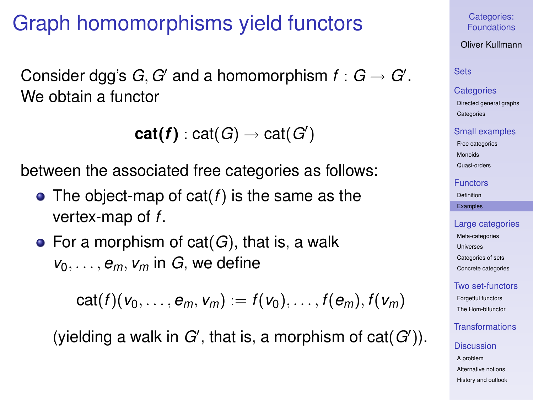# Graph homomorphisms yield functors

Consider dgg's  $G, G'$  and a homomorphism  $f: G \rightarrow G'.$ We obtain a functor

```
cat(f) : cat(G) \rightarrow cat(G')
```
between the associated free categories as follows:

- The object-map of cat(*f*) is the same as the vertex-map of *f*.
- For a morphism of cat(*G*), that is, a walk  $v_0, \ldots, e_m, v_m$  in *G*, we define

$$
cat(f)(v_0,\ldots,e_m,v_m):=f(v_0),\ldots,f(e_m),f(v_m)
$$

<span id="page-35-0"></span>(yielding a walk in  $G'$ , that is, a morphism of  $cat(G')$ ).

Categories: [Foundations](#page-0-0)

Oliver Kullmann

[Sets](#page-3-0)

**[Categories](#page-12-0)** 

[Directed general graphs](#page-12-0) **[Categories](#page-17-0)** 

[Small examples](#page-20-0)

[Free categories](#page-20-0) [Monoids](#page-21-0)

[Quasi-orders](#page-26-0)

[Functors](#page-31-0)

[Definition](#page-31-0)

[Examples](#page-35-0)

[Large categories](#page-41-0)

[Meta-categories](#page-42-0) [Universes](#page-46-0) [Categories of sets](#page-49-0) [Concrete categories](#page-53-0)

[Two set-functors](#page-58-0)

[Forgetful functors](#page-58-0) [The Hom-bifunctor](#page-67-0)

[Transformations](#page-71-0)

**[Discussion](#page-76-0)** [A problem](#page-76-0)

[Alternative notions](#page-83-0) [History and outlook](#page-96-0)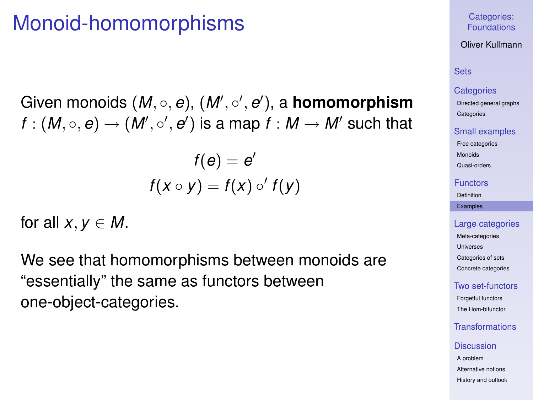## Monoid-homomorphisms

Given monoids (*M*, ◦, *e*), (*M'*, ◦', *e'*), a **homomorphism**  $f:(M,\circ ,{\bm e})\rightarrow (M',\circ ',{\bm e}')$  is a map  $f:M\rightarrow M'$  such that

$$
f(e) = e'
$$
  

$$
f(x \circ y) = f(x) \circ' f(y)
$$

for all  $x, y \in M$ .

We see that homomorphisms between monoids are "essentially" the same as functors between one-object-categories.

### Categories: [Foundations](#page-0-0)

Oliver Kullmann

## **[Sets](#page-3-0)**

#### **[Categories](#page-12-0)**

[Directed general graphs](#page-12-0) **[Categories](#page-17-0)** 

#### [Small examples](#page-20-0)

[Free categories](#page-20-0)

[Monoids](#page-21-0)

[Quasi-orders](#page-26-0)

#### [Functors](#page-31-0)

[Definition](#page-31-0)

[Examples](#page-35-0)

#### [Large categories](#page-41-0)

[Meta-categories](#page-42-0) [Universes](#page-46-0) [Categories of sets](#page-49-0) [Concrete categories](#page-53-0)

### [Two set-functors](#page-58-0)

[Forgetful functors](#page-58-0) [The Hom-bifunctor](#page-67-0)

## [Transformations](#page-71-0)

#### **[Discussion](#page-76-0)**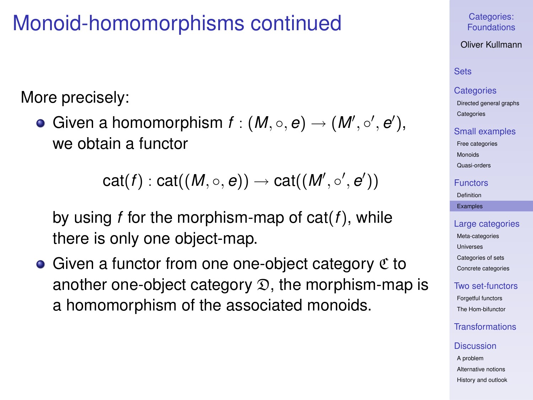## Monoid-homomorphisms continued

More precisely:

Given a homomorphism  $f : (M, \circ, e) \to (M', \circ', e'),$ we obtain a functor

$$
\mathsf{cat}(f):\mathsf{cat}((\mathit{M},\circ,e))\rightarrow \mathsf{cat}((\mathit{M}',\circ',e'))
$$

by using *f* for the morphism-map of cat(*f*), while there is only one object-map.

 $\bullet$  Given a functor from one one-object category  $\mathfrak C$  to another one-object category  $\mathcal{D}$ , the morphism-map is a homomorphism of the associated monoids.

### Categories: [Foundations](#page-0-0)

Oliver Kullmann

## **[Sets](#page-3-0)**

### **[Categories](#page-12-0)**

[Directed general graphs](#page-12-0) **[Categories](#page-17-0)** 

#### [Small examples](#page-20-0)

[Free categories](#page-20-0)

[Monoids](#page-21-0)

[Quasi-orders](#page-26-0)

#### [Functors](#page-31-0)

[Definition](#page-31-0)

[Examples](#page-35-0)

### [Large categories](#page-41-0) [Meta-categories](#page-42-0) [Universes](#page-46-0) [Categories of sets](#page-49-0) [Concrete categories](#page-53-0)

[Two set-functors](#page-58-0)

[Forgetful functors](#page-58-0) [The Hom-bifunctor](#page-67-0)

## [Transformations](#page-71-0)

#### **[Discussion](#page-76-0)**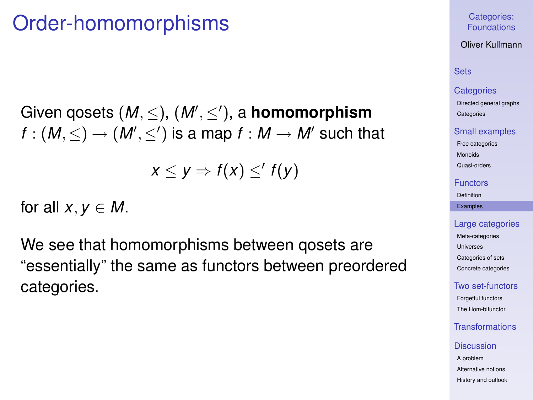## Order-homomorphisms

Given qosets (*M*, ≤), (*M'*, ≤'), a **homomorphism**  $f:(\mathit{M},\leq)\rightarrow(\mathit{M}',\leq')$  is a map  $f:\mathit{M}\rightarrow\mathit{M}'$  such that

 $x \leq y \Rightarrow f(x) \leq' f(y)$ 

for all  $x, y \in M$ .

We see that homomorphisms between qosets are "essentially" the same as functors between preordered categories.

#### Categories: [Foundations](#page-0-0)

Oliver Kullmann

## **[Sets](#page-3-0)**

#### **[Categories](#page-12-0)**

[Directed general graphs](#page-12-0) **[Categories](#page-17-0)** 

#### [Small examples](#page-20-0)

[Free categories](#page-20-0)

[Monoids](#page-21-0)

[Quasi-orders](#page-26-0)

#### [Functors](#page-31-0)

[Definition](#page-31-0)

#### [Examples](#page-35-0)

#### [Large categories](#page-41-0)

[Meta-categories](#page-42-0) [Universes](#page-46-0) [Categories of sets](#page-49-0) [Concrete categories](#page-53-0)

#### [Two set-functors](#page-58-0)

[Forgetful functors](#page-58-0) [The Hom-bifunctor](#page-67-0)

## [Transformations](#page-71-0)

#### **[Discussion](#page-76-0)**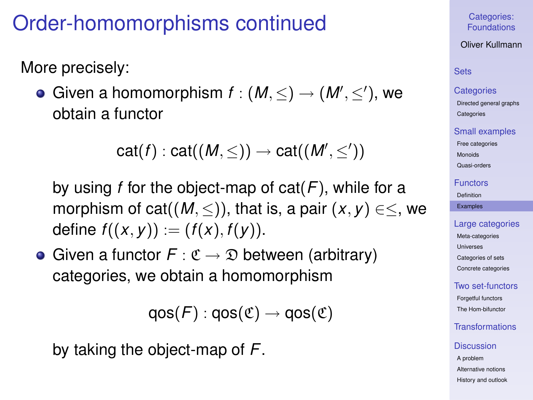# Order-homomorphisms continued

More precisely:

Given a homomorphism  $f:(M,\leq)\to (M',\leq')$ , we obtain a functor

$$
\mathsf{cat}(f):\mathsf{cat}((M,\leq))\to\mathsf{cat}((M',\leq'))
$$

by using *f* for the object-map of cat(*F*), while for a morphism of cat( $(M, \leq)$ ), that is, a pair  $(x, y) \in \leq$ , we define  $f((x, y)) := (f(x), f(y)).$ 

• Given a functor  $F : \mathfrak{C} \to \mathfrak{D}$  between (arbitrary) categories, we obtain a homomorphism

 $qos(F)$ :  $qos(\mathfrak{C}) \rightarrow qos(\mathfrak{C})$ 

by taking the object-map of *F*.

Categories: [Foundations](#page-0-0)

Oliver Kullmann

## **[Sets](#page-3-0)**

#### **[Categories](#page-12-0)**

[Directed general graphs](#page-12-0) **[Categories](#page-17-0)** 

#### [Small examples](#page-20-0)

[Free categories](#page-20-0)

[Monoids](#page-21-0) [Quasi-orders](#page-26-0)

### [Functors](#page-31-0)

[Definition](#page-31-0)

[Examples](#page-35-0)

#### [Large categories](#page-41-0)

[Meta-categories](#page-42-0) [Universes](#page-46-0) [Categories of sets](#page-49-0) [Concrete categories](#page-53-0)

### [Two set-functors](#page-58-0)

[Forgetful functors](#page-58-0) [The Hom-bifunctor](#page-67-0)

## [Transformations](#page-71-0)

#### **[Discussion](#page-76-0)**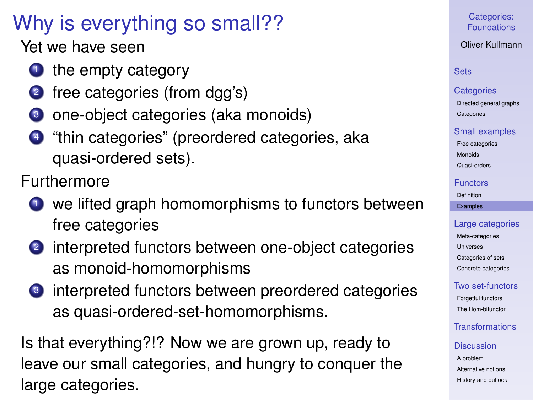## Why is everything so small??

Yet we have seen

- $\bullet$  the empty category
- 2 free categories (from dgg's)
- <sup>3</sup> one-object categories (aka monoids)
- <sup>4</sup> "thin categories" (preordered categories, aka quasi-ordered sets).

Furthermore

- $\bullet$  we lifted graph homomorphisms to functors between free categories
- <sup>2</sup> interpreted functors between one-object categories as monoid-homomorphisms
- **3** interpreted functors between preordered categories as quasi-ordered-set-homomorphisms.

Is that everything?!? Now we are grown up, ready to leave our small categories, and hungry to conquer the large categories.

## Categories: [Foundations](#page-0-0)

## Oliver Kullmann

## **[Sets](#page-3-0)**

#### **[Categories](#page-12-0)**

[Directed general graphs](#page-12-0) **[Categories](#page-17-0)** 

#### [Small examples](#page-20-0)

[Free categories](#page-20-0)

[Monoids](#page-21-0)

[Quasi-orders](#page-26-0)

#### [Functors](#page-31-0)

[Definition](#page-31-0)

#### [Examples](#page-35-0)

## [Large categories](#page-41-0)

[Meta-categories](#page-42-0) **[Universes](#page-46-0)** [Categories of sets](#page-49-0) [Concrete categories](#page-53-0)

## [Two set-functors](#page-58-0)

[Forgetful functors](#page-58-0) [The Hom-bifunctor](#page-67-0)

## [Transformations](#page-71-0)

### **[Discussion](#page-76-0)**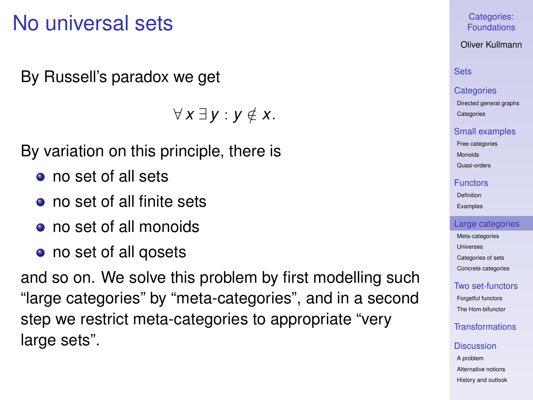## No universal sets

By Russell's paradox we get

∀ *x* ∃ *y* : *y* ∈/ *x*.

By variation on this principle, there is

- no set of all sets
- no set of all finite sets
- no set of all monoids
- no set of all gosets

<span id="page-41-0"></span>and so on. We solve this problem by first modelling such "large categories" by "meta-categories", and in a second step we restrict meta-categories to appropriate "very large sets".

Categories: [Foundations](#page-0-0)

Oliver Kullmann

## **[Sets](#page-3-0)**

#### **[Categories](#page-12-0)**

[Directed general graphs](#page-12-0) **[Categories](#page-17-0)** 

#### [Small examples](#page-20-0)

[Free categories](#page-20-0) [Monoids](#page-21-0)

[Quasi-orders](#page-26-0)

#### [Functors](#page-31-0)

[Definition](#page-31-0) [Examples](#page-35-0)

### [Large categories](#page-41-0)

[Meta-categories](#page-42-0) [Universes](#page-46-0) [Categories of sets](#page-49-0) [Concrete categories](#page-53-0)

### [Two set-functors](#page-58-0)

[Forgetful functors](#page-58-0) [The Hom-bifunctor](#page-67-0)

## [Transformations](#page-71-0)

#### **[Discussion](#page-76-0)**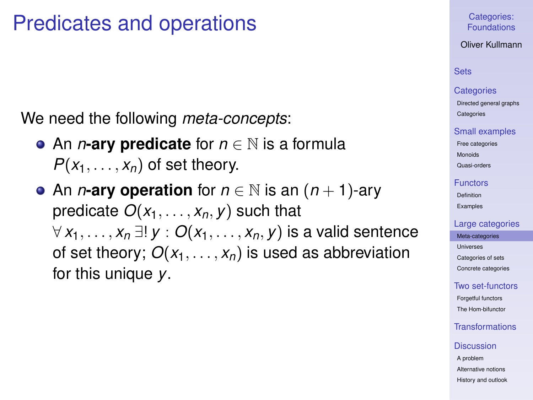## Predicates and operations

We need the following *meta-concepts*:

- An *n***-ary predicate** for *n* ∈ N is a formula  $P(x_1, \ldots, x_n)$  of set theory.
- <span id="page-42-0"></span>• An *n*-ary operation for  $n \in \mathbb{N}$  is an  $(n + 1)$ -ary predicate  $O(x_1, \ldots, x_n, v)$  such that ∀ *x*1, . . . , *x<sup>n</sup>* ∃! *y* : *O*(*x*1, . . . , *xn*, *y*) is a valid sentence of set theory;  $O(x_1, \ldots, x_n)$  is used as abbreviation for this unique *y*.

Categories: [Foundations](#page-0-0)

Oliver Kullmann

## **[Sets](#page-3-0)**

#### **[Categories](#page-12-0)**

[Directed general graphs](#page-12-0) **[Categories](#page-17-0)** 

#### [Small examples](#page-20-0)

[Free categories](#page-20-0) [Monoids](#page-21-0)

[Quasi-orders](#page-26-0)

#### [Functors](#page-31-0)

[Definition](#page-31-0) [Examples](#page-35-0)

#### [Large categories](#page-41-0)

[Meta-categories](#page-42-0) [Universes](#page-46-0) [Categories of sets](#page-49-0) [Concrete categories](#page-53-0)

#### [Two set-functors](#page-58-0)

[Forgetful functors](#page-58-0) [The Hom-bifunctor](#page-67-0)

## [Transformations](#page-71-0)

#### **[Discussion](#page-76-0)**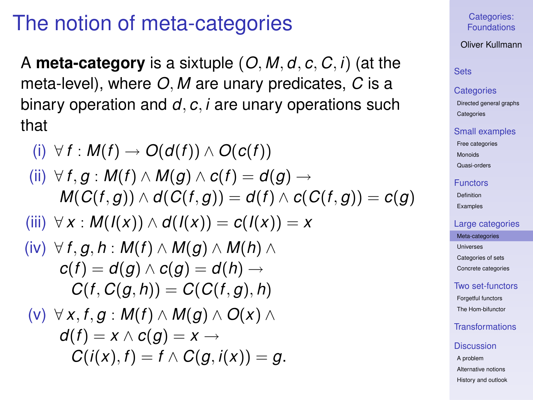## The notion of meta-categories

A **meta-category** is a sixtuple (*O*, *M*, *d*, *c*, *C*, *i*) (at the meta-level), where *O*, *M* are unary predicates, *C* is a binary operation and *d*, *c*, *i* are unary operations such that

(i) 
$$
\forall f : M(f) \rightarrow O(d(f)) \land O(c(f))
$$
  
\n(ii)  $\forall f, g : M(f) \land M(g) \land c(f) = d(g) \rightarrow M(C(f,g)) \land d(C(f,g)) = d(f) \land c(C(f,g)) = c(g)$   
\n(iii)  $\forall x : M(I(x)) \land d(I(x)) = c(I(x)) = x$   
\n(iv)  $\forall f, g, h : M(f) \land M(g) \land M(h) \land$   
\n $c(f) = d(g) \land c(g) = d(h) \rightarrow$   
\n $C(f, C(g, h)) = C(C(f, g), h)$   
\n(v)  $\forall x, f, g : M(f) \land M(g) \land O(x) \land$   
\n $d(f) = x \land c(g) = x \rightarrow$   
\n $C(i(x), f) = f \land C(g, i(x)) = g.$ 

#### Categories: [Foundations](#page-0-0)

#### Oliver Kullmann

## **[Sets](#page-3-0)**

#### **[Categories](#page-12-0)**

[Directed general graphs](#page-12-0) **[Categories](#page-17-0)** 

#### [Small examples](#page-20-0)

[Free categories](#page-20-0)

[Monoids](#page-21-0)

[Quasi-orders](#page-26-0)

#### **[Functors](#page-31-0)**

[Definition](#page-31-0) [Examples](#page-35-0)

#### [Large categories](#page-41-0)

[Meta-categories](#page-42-0) [Universes](#page-46-0) [Categories of sets](#page-49-0)

[Concrete categories](#page-53-0)

### [Two set-functors](#page-58-0)

[Forgetful functors](#page-58-0) [The Hom-bifunctor](#page-67-0)

## **[Transformations](#page-71-0)**

#### **[Discussion](#page-76-0)**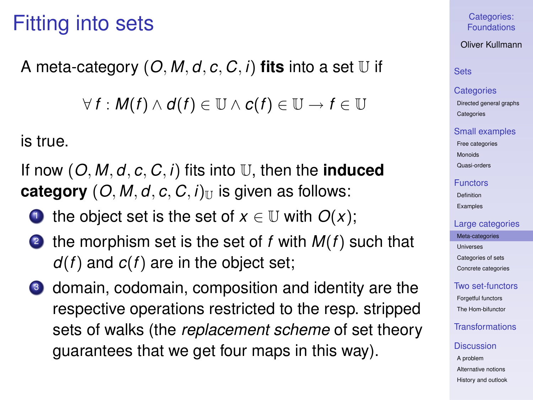## Fitting into sets

A meta-category  $(O, M, d, c, C, i)$  fits into a set  $U$  if

 $\forall$  *f* : *M*(*f*) ∧ *d*(*f*) ∈ U ∧ *c*(*f*) ∈ U → *f* ∈ U

is true.

If now (*O*, *M*, *d*, *c*, *C*, *i*) fits into U, then the **induced category**  $(O, M, d, c, C, i)$ <sub>U</sub> is given as follows:

- 1 the object set is the set of  $x \in \mathbb{U}$  with  $O(x)$ ;
- the morphism set is the set of  $f$  with  $M(f)$  such that *d*(*f*) and *c*(*f*) are in the object set;
- <sup>3</sup> domain, codomain, composition and identity are the respective operations restricted to the resp. stripped sets of walks (the *replacement scheme* of set theory guarantees that we get four maps in this way).

Categories: [Foundations](#page-0-0)

Oliver Kullmann

## **[Sets](#page-3-0)**

#### **[Categories](#page-12-0)**

[Directed general graphs](#page-12-0) **[Categories](#page-17-0)** 

#### [Small examples](#page-20-0)

[Free categories](#page-20-0) [Monoids](#page-21-0)

[Quasi-orders](#page-26-0)

#### [Functors](#page-31-0)

[Definition](#page-31-0) [Examples](#page-35-0)

#### [Large categories](#page-41-0)

[Meta-categories](#page-42-0) [Universes](#page-46-0) [Categories of sets](#page-49-0) [Concrete categories](#page-53-0)

## [Two set-functors](#page-58-0)

[Forgetful functors](#page-58-0) [The Hom-bifunctor](#page-67-0)

## [Transformations](#page-71-0)

#### **[Discussion](#page-76-0)**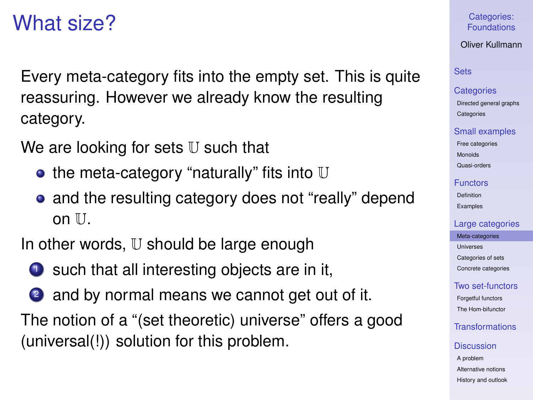## What size?

Every meta-category fits into the empty set. This is quite reassuring. However we already know the resulting category.

We are looking for sets  $U$  such that

- $\bullet$  the meta-category "naturally" fits into U
- and the resulting category does not "really" depend on  $II$

In other words,  $U$  should be large enough

- $\bullet$  such that all interesting objects are in it,
- 2 and by normal means we cannot get out of it.

The notion of a "(set theoretic) universe" offers a good (universal(!)) solution for this problem.

### Categories: [Foundations](#page-0-0)

## Oliver Kullmann

## **[Sets](#page-3-0)**

#### **[Categories](#page-12-0)**

[Directed general graphs](#page-12-0) **[Categories](#page-17-0)** 

#### [Small examples](#page-20-0)

[Free categories](#page-20-0) [Monoids](#page-21-0) [Quasi-orders](#page-26-0)

#### [Functors](#page-31-0)

[Definition](#page-31-0) [Examples](#page-35-0)

#### [Large categories](#page-41-0)

[Meta-categories](#page-42-0) [Universes](#page-46-0) [Categories of sets](#page-49-0) [Concrete categories](#page-53-0)

## [Two set-functors](#page-58-0)

[Forgetful functors](#page-58-0) [The Hom-bifunctor](#page-67-0)

## [Transformations](#page-71-0)

#### **[Discussion](#page-76-0)**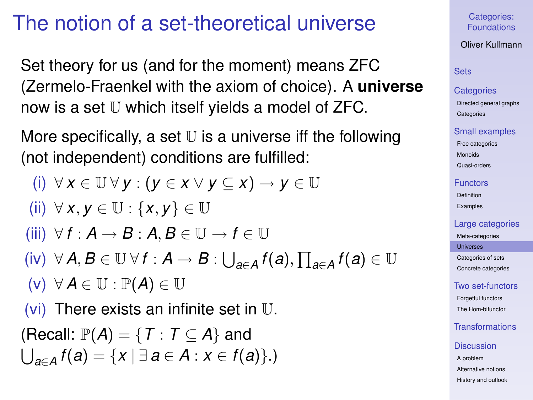# The notion of a set-theoretical universe

Set theory for us (and for the moment) means ZFC (Zermelo-Fraenkel with the axiom of choice). A **universe** now is a set U which itself yields a model of ZFC.

More specifically, a set  $U$  is a universe iff the following (not independent) conditions are fulfilled:

<span id="page-46-0"></span>(i) 
$$
\forall x \in \mathbb{U} \forall y : (y \in x \lor y \subseteq x) \rightarrow y \in \mathbb{U}
$$
  
\n(ii)  $\forall x, y \in \mathbb{U} : \{x, y\} \in \mathbb{U}$   
\n(iii)  $\forall f : A \rightarrow B : A, B \in \mathbb{U} \rightarrow f \in \mathbb{U}$   
\n(iv)  $\forall A, B \in \mathbb{U} \forall f : A \rightarrow B : \bigcup_{a \in A} f(a), \prod_{a \in A} f(a) \in \mathbb{U}$   
\n(v)  $\forall A \in \mathbb{U} : \mathbb{P}(A) \in \mathbb{U}$   
\n(vi) There exists an infinite set in  $\mathbb{U}$ .  
\n(Recall:  $\mathbb{P}(A) = \{T : T \subseteq A\}$  and  
\n $\bigcup_{a \in A} f(a) = \{x \mid \exists a \in A : x \in f(a)\}$ .)

Categories: [Foundations](#page-0-0)

Oliver Kullmann

## **[Sets](#page-3-0)**

### **[Categories](#page-12-0)**

[Directed general graphs](#page-12-0) **[Categories](#page-17-0)** 

#### [Small examples](#page-20-0)

[Free categories](#page-20-0) [Monoids](#page-21-0)

[Quasi-orders](#page-26-0)

#### [Functors](#page-31-0)

[Definition](#page-31-0) [Examples](#page-35-0)

### [Large categories](#page-41-0)

[Meta-categories](#page-42-0)

[Universes](#page-46-0)

[Categories of sets](#page-49-0) [Concrete categories](#page-53-0)

## [Two set-functors](#page-58-0)

[Forgetful functors](#page-58-0) [The Hom-bifunctor](#page-67-0)

## [Transformations](#page-71-0)

#### **[Discussion](#page-76-0)**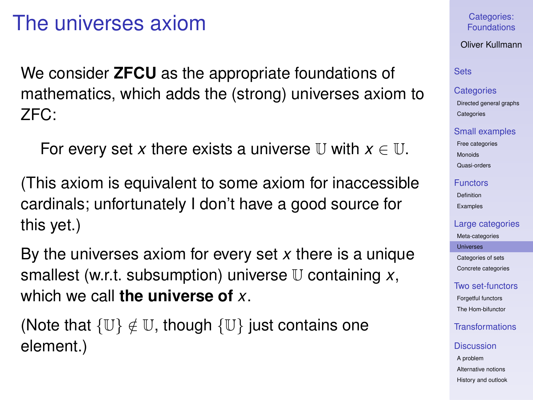## The universes axiom

We consider **ZFCU** as the appropriate foundations of mathematics, which adds the (strong) universes axiom to ZFC:

For every set x there exists a universe U with  $x \in U$ .

(This axiom is equivalent to some axiom for inaccessible cardinals; unfortunately I don't have a good source for this yet.)

By the universes axiom for every set *x* there is a unique smallest (w.r.t. subsumption) universe U containing *x*, which we call **the universe of** *x*.

(Note that  $\{U\} \notin U$ , though  $\{U\}$  just contains one element.)

### Categories: [Foundations](#page-0-0)

## Oliver Kullmann

#### **[Sets](#page-3-0)**

#### **[Categories](#page-12-0)**

[Directed general graphs](#page-12-0) **[Categories](#page-17-0)** 

#### [Small examples](#page-20-0)

[Free categories](#page-20-0) [Monoids](#page-21-0) [Quasi-orders](#page-26-0)

#### [Functors](#page-31-0)

[Definition](#page-31-0) [Examples](#page-35-0)

#### [Large categories](#page-41-0)

[Meta-categories](#page-42-0)

[Universes](#page-46-0)

[Categories of sets](#page-49-0) [Concrete categories](#page-53-0)

### [Two set-functors](#page-58-0)

[Forgetful functors](#page-58-0) [The Hom-bifunctor](#page-67-0)

## [Transformations](#page-71-0)

#### **[Discussion](#page-76-0)**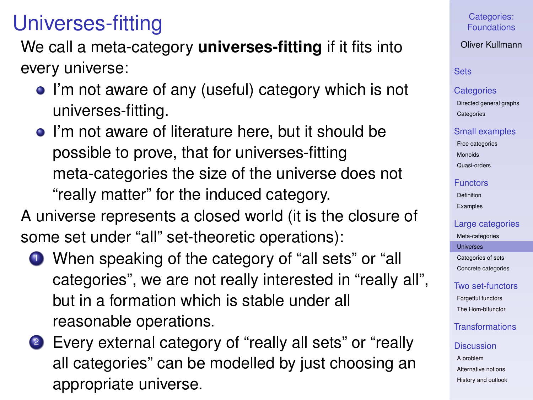## Universes-fitting

We call a meta-category **universes-fitting** if it fits into every universe:

- I'm not aware of any (useful) category which is not universes-fitting.
- I'm not aware of literature here, but it should be possible to prove, that for universes-fitting meta-categories the size of the universe does not "really matter" for the induced category.

A universe represents a closed world (it is the closure of some set under "all" set-theoretic operations):

- **1** When speaking of the category of "all sets" or "all categories", we are not really interested in "really all", but in a formation which is stable under all reasonable operations.
- <sup>2</sup> Every external category of "really all sets" or "really all categories" can be modelled by just choosing an appropriate universe.

## Categories: [Foundations](#page-0-0)

## Oliver Kullmann

## **[Sets](#page-3-0)**

#### **[Categories](#page-12-0)**

[Directed general graphs](#page-12-0) **[Categories](#page-17-0)** 

### [Small examples](#page-20-0)

[Free categories](#page-20-0) [Monoids](#page-21-0) [Quasi-orders](#page-26-0)

## [Functors](#page-31-0)

[Definition](#page-31-0) [Examples](#page-35-0)

#### [Large categories](#page-41-0)

[Meta-categories](#page-42-0)

[Universes](#page-46-0)

[Categories of sets](#page-49-0) [Concrete categories](#page-53-0)

## [Two set-functors](#page-58-0)

[Forgetful functors](#page-58-0) [The Hom-bifunctor](#page-67-0)

## [Transformations](#page-71-0)

### **[Discussion](#page-76-0)**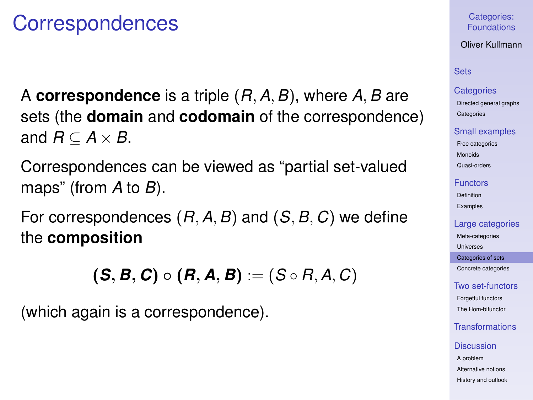## **Correspondences**

A **correspondence** is a triple (*R*,*A*,*B*), where *A*,*B* are sets (the **domain** and **codomain** of the correspondence) and  $R \subseteq A \times B$ .

Correspondences can be viewed as "partial set-valued maps" (from *A* to *B*).

For correspondences (*R*,*A*,*B*) and (*S*,*B*, *C*) we define the **composition**

 $(S, B, C) \circ (R, A, B) := (S \circ R, A, C)$ 

<span id="page-49-0"></span>(which again is a correspondence).

### Categories: [Foundations](#page-0-0)

Oliver Kullmann

## **[Sets](#page-3-0)**

#### **[Categories](#page-12-0)**

[Directed general graphs](#page-12-0) **[Categories](#page-17-0)** 

#### [Small examples](#page-20-0)

[Free categories](#page-20-0) [Monoids](#page-21-0) [Quasi-orders](#page-26-0)

[Functors](#page-31-0)

[Definition](#page-31-0) [Examples](#page-35-0)

#### [Large categories](#page-41-0)

[Meta-categories](#page-42-0)

[Universes](#page-46-0)

[Categories of sets](#page-49-0) [Concrete categories](#page-53-0)

[Two set-functors](#page-58-0)

[Forgetful functors](#page-58-0) [The Hom-bifunctor](#page-67-0)

[Transformations](#page-71-0)

#### **[Discussion](#page-76-0)**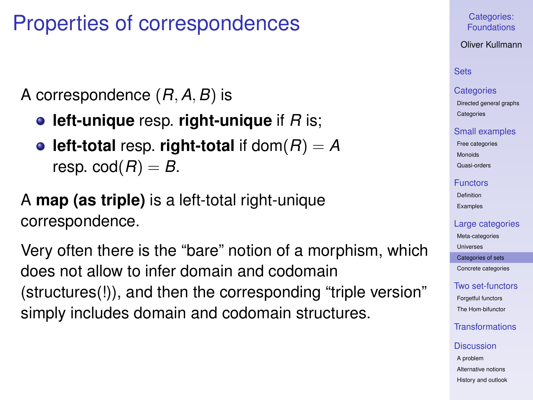## Properties of correspondences

A correspondence (*R*,*A*,*B*) is

- **left-unique** resp. **right-unique** if *R* is;
- **e** left-total resp. **right-total** if  $\text{dom}(R) = A$ resp.  $\text{cod}(R) = B$ .

## A **map (as triple)** is a left-total right-unique correspondence.

Very often there is the "bare" notion of a morphism, which does not allow to infer domain and codomain (structures(!)), and then the corresponding "triple version" simply includes domain and codomain structures.

## Categories: [Foundations](#page-0-0)

### Oliver Kullmann

## **[Sets](#page-3-0)**

#### **[Categories](#page-12-0)**

[Directed general graphs](#page-12-0) **[Categories](#page-17-0)** 

#### [Small examples](#page-20-0)

[Free categories](#page-20-0) [Monoids](#page-21-0)

[Quasi-orders](#page-26-0)

#### [Functors](#page-31-0)

[Definition](#page-31-0) [Examples](#page-35-0)

#### [Large categories](#page-41-0)

[Meta-categories](#page-42-0)

[Universes](#page-46-0)

[Categories of sets](#page-49-0) [Concrete categories](#page-53-0)

## [Two set-functors](#page-58-0)

[Forgetful functors](#page-58-0) [The Hom-bifunctor](#page-67-0)

## [Transformations](#page-71-0)

#### **[Discussion](#page-76-0)**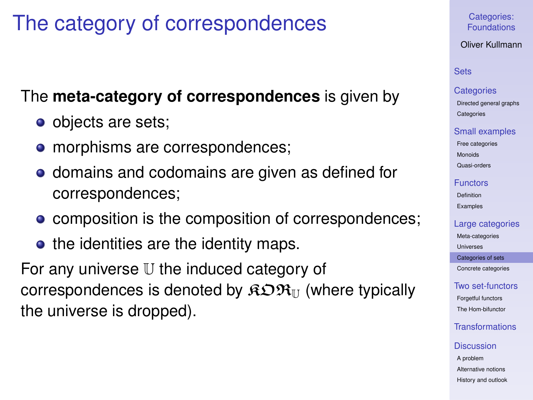## The category of correspondences

## The **meta-category of correspondences** is given by

- objects are sets;
- morphisms are correspondences;
- domains and codomains are given as defined for correspondences;
- composition is the composition of correspondences;
- the identities are the identity maps.

For any universe U the induced category of correspondences is denoted by  $\widehat{R} \mathfrak{D} \mathfrak{R}_{\mathbb{H}}$  (where typically the universe is dropped).

## Categories: [Foundations](#page-0-0)

## Oliver Kullmann

## **[Sets](#page-3-0)**

#### **[Categories](#page-12-0)**

[Directed general graphs](#page-12-0) **[Categories](#page-17-0)** 

#### [Small examples](#page-20-0)

[Free categories](#page-20-0) [Monoids](#page-21-0)

[Quasi-orders](#page-26-0)

#### [Functors](#page-31-0)

[Definition](#page-31-0) [Examples](#page-35-0)

#### [Large categories](#page-41-0)

[Meta-categories](#page-42-0)

[Universes](#page-46-0)

[Categories of sets](#page-49-0) [Concrete categories](#page-53-0)

## [Two set-functors](#page-58-0)

[Forgetful functors](#page-58-0) [The Hom-bifunctor](#page-67-0)

## [Transformations](#page-71-0)

#### **[Discussion](#page-76-0)**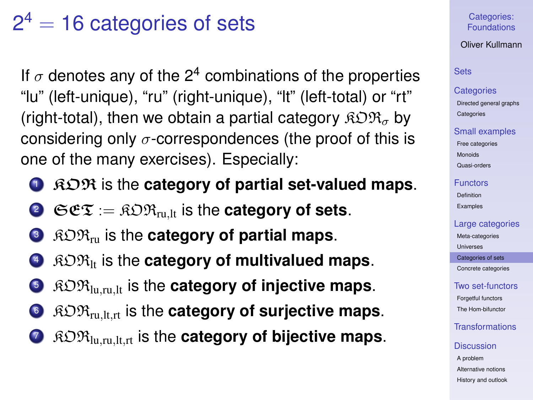# $2^4 = 16$  categories of sets

If  $\sigma$  denotes any of the 2<sup>4</sup> combinations of the properties "lu" (left-unique), "ru" (right-unique), "lt" (left-total) or "rt" (right-total), then we obtain a partial category  $\mathcal{R} \mathcal{D} \mathcal{R}_{\sigma}$  by considering only  $\sigma$ -correspondences (the proof of this is one of the many exercises). Especially:

- <sup>1</sup> KOR is the **category of partial set-valued maps**.
- **2**  $C^{\circ}$   $\mathfrak{C} \mathfrak{C} \mathfrak{T} = \mathfrak{R} \mathfrak{D} \mathfrak{R}_{\mathrm{mult}}$  is the **category of sets.**
- **3**  $RDR_{ru}$  is the **category of partial maps**.
- **4**  $\beta$   $\beta$   $\beta$   $\beta$ <sub>k</sub> is the **category of multivalued maps.**
- <sup>5</sup> KORlu,ru,lt is the **category of injective maps**.
- <sup>6</sup> KORru,lt,rt is the **category of surjective maps**.
- <sup>7</sup> KORlu,ru,lt,rt is the **category of bijective maps**.

Categories: [Foundations](#page-0-0)

Oliver Kullmann

## **[Sets](#page-3-0)**

#### **[Categories](#page-12-0)**

[Directed general graphs](#page-12-0) **[Categories](#page-17-0)** 

#### [Small examples](#page-20-0)

[Free categories](#page-20-0) [Monoids](#page-21-0) [Quasi-orders](#page-26-0)

#### [Functors](#page-31-0)

[Definition](#page-31-0) [Examples](#page-35-0)

#### [Large categories](#page-41-0)

[Meta-categories](#page-42-0)

[Universes](#page-46-0)

[Categories of sets](#page-49-0) [Concrete categories](#page-53-0)

#### [Two set-functors](#page-58-0)

[Forgetful functors](#page-58-0) [The Hom-bifunctor](#page-67-0)

## [Transformations](#page-71-0)

#### **[Discussion](#page-76-0)**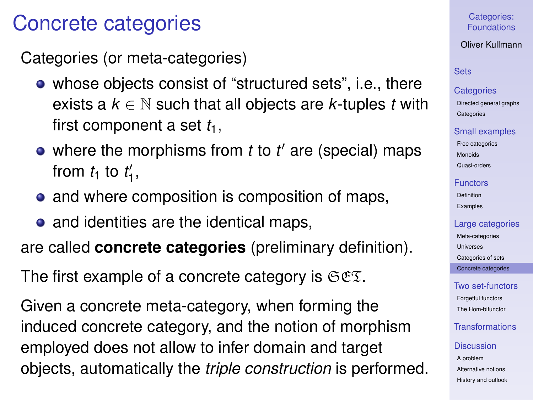## Concrete categories

Categories (or meta-categories)

- whose objects consist of "structured sets", i.e., there exists a  $k \in \mathbb{N}$  such that all objects are *k*-tuples *t* with first component a set  $t_1$ ,
- where the morphisms from *t* to *t'* are (special) maps from  $t_1$  to  $t'_1$ ,
- and where composition is composition of maps,
- and identities are the identical maps,

are called **concrete categories** (preliminary definition).

The first example of a concrete category is  $\mathfrak{S}\mathfrak{C}\mathfrak{T}$ .

<span id="page-53-0"></span>Given a concrete meta-category, when forming the induced concrete category, and the notion of morphism employed does not allow to infer domain and target objects, automatically the *triple construction* is performed.

## Categories: [Foundations](#page-0-0)

Oliver Kullmann

## **[Sets](#page-3-0)**

### **[Categories](#page-12-0)**

[Directed general graphs](#page-12-0) **[Categories](#page-17-0)** 

#### [Small examples](#page-20-0)

[Free categories](#page-20-0) [Monoids](#page-21-0) [Quasi-orders](#page-26-0)

#### [Functors](#page-31-0)

[Definition](#page-31-0) [Examples](#page-35-0)

### [Large categories](#page-41-0)

[Meta-categories](#page-42-0) **[Universes](#page-46-0)** [Categories of sets](#page-49-0) [Concrete categories](#page-53-0)

## [Two set-functors](#page-58-0) [Forgetful functors](#page-58-0)

[The Hom-bifunctor](#page-67-0)

## [Transformations](#page-71-0)

#### **[Discussion](#page-76-0)**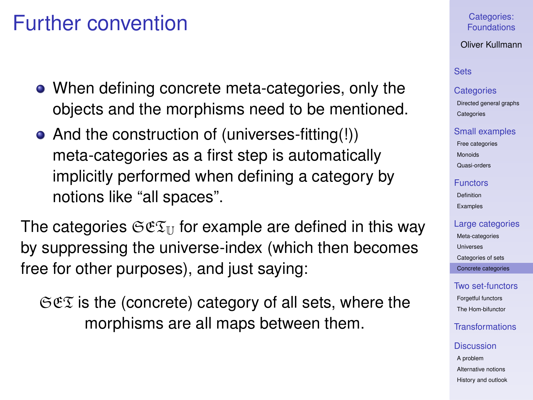## Further convention

- When defining concrete meta-categories, only the objects and the morphisms need to be mentioned.
- And the construction of (universes-fitting(!)) meta-categories as a first step is automatically implicitly performed when defining a category by notions like "all spaces".

The categories  $\mathfrak{S} \mathfrak{E} \mathfrak{T}_U$  for example are defined in this way by suppressing the universe-index (which then becomes free for other purposes), and just saying:

 $\Im \mathfrak{E}$  is the (concrete) category of all sets, where the morphisms are all maps between them.

### Categories: [Foundations](#page-0-0)

### Oliver Kullmann

## **[Sets](#page-3-0)**

### **[Categories](#page-12-0)**

[Directed general graphs](#page-12-0) **[Categories](#page-17-0)** 

#### [Small examples](#page-20-0)

[Free categories](#page-20-0) [Monoids](#page-21-0) [Quasi-orders](#page-26-0)

#### [Functors](#page-31-0)

[Definition](#page-31-0) [Examples](#page-35-0)

#### [Large categories](#page-41-0)

[Meta-categories](#page-42-0) [Universes](#page-46-0) [Categories of sets](#page-49-0) [Concrete categories](#page-53-0)

#### [Two set-functors](#page-58-0) [Forgetful functors](#page-58-0)

[The Hom-bifunctor](#page-67-0)

## [Transformations](#page-71-0)

#### **[Discussion](#page-76-0)**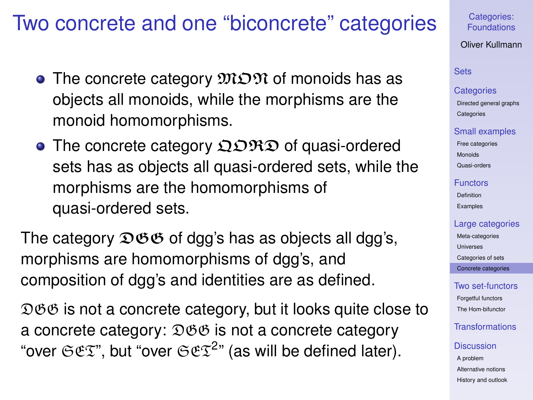## Two concrete and one "biconcrete" categories

- The concrete category  $\mathfrak{M} \mathfrak{O} \mathfrak{N}$  of monoids has as objects all monoids, while the morphisms are the monoid homomorphisms.
- The concrete category  $\mathfrak{Q} \mathfrak{R} \mathfrak{D}$  of quasi-ordered sets has as objects all quasi-ordered sets, while the morphisms are the homomorphisms of quasi-ordered sets.

The category  $\mathfrak{DSG}$  of dgg's has as objects all dgg's, morphisms are homomorphisms of dgg's, and composition of dgg's and identities are as defined.

 $\mathfrak{DSG}$  is not a concrete category, but it looks quite close to a concrete category:  $\mathfrak{DSB}$  is not a concrete category "over  $C\mathfrak{E}\mathfrak{T}$ ", but "over  $C\mathfrak{E}\mathfrak{T}^{2}$ " (as will be defined later).

Categories: [Foundations](#page-0-0)

Oliver Kullmann

## **[Sets](#page-3-0)**

#### **[Categories](#page-12-0)**

[Directed general graphs](#page-12-0) **[Categories](#page-17-0)** 

#### [Small examples](#page-20-0)

[Free categories](#page-20-0) [Monoids](#page-21-0) [Quasi-orders](#page-26-0)

#### [Functors](#page-31-0)

[Definition](#page-31-0) [Examples](#page-35-0)

#### [Large categories](#page-41-0)

[Meta-categories](#page-42-0) [Universes](#page-46-0) [Categories of sets](#page-49-0) [Concrete categories](#page-53-0)

## [Two set-functors](#page-58-0) [Forgetful functors](#page-58-0) [The Hom-bifunctor](#page-67-0)

[Transformations](#page-71-0)

#### **[Discussion](#page-76-0)**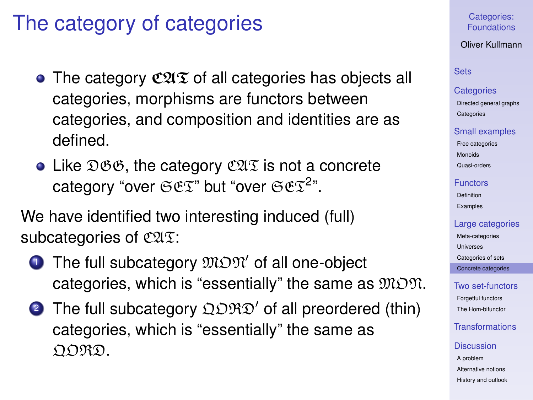## The category of categories

- The category  $\mathfrak{CAT}$  of all categories has objects all categories, morphisms are functors between categories, and composition and identities are as defined.
- Like  $\mathfrak{DSB}$ , the category  $\mathfrak{CAT}$  is not a concrete category "over  $CCFZ$ " but "over  $CCFZ$ ".

We have identified two interesting induced (full) subcategories of  $C2\sqrt{2}$ :

- $\bullet$  The full subcategory  $\mathfrak{M} \mathfrak{M}'$  of all one-object categories, which is "essentially" the same as  $MDM$ .
- **2** The full subcategory  $\Omega$  ORD<sup>'</sup> of all preordered (thin) categories, which is "essentially" the same as nord.

Categories: [Foundations](#page-0-0)

Oliver Kullmann

## **[Sets](#page-3-0)**

#### **[Categories](#page-12-0)**

[Directed general graphs](#page-12-0) **[Categories](#page-17-0)** 

#### [Small examples](#page-20-0)

[Free categories](#page-20-0) [Monoids](#page-21-0) [Quasi-orders](#page-26-0)

[Functors](#page-31-0)

[Definition](#page-31-0) [Examples](#page-35-0)

#### [Large categories](#page-41-0)

[Meta-categories](#page-42-0) [Universes](#page-46-0) [Categories of sets](#page-49-0) [Concrete categories](#page-53-0)

[Two set-functors](#page-58-0) [Forgetful functors](#page-58-0) [The Hom-bifunctor](#page-67-0)

[Transformations](#page-71-0)

#### **[Discussion](#page-76-0)**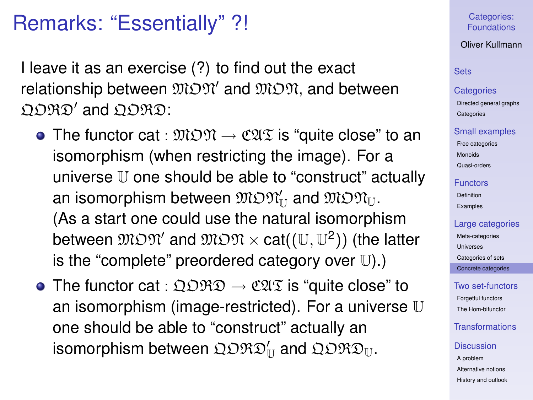## Remarks: "Essentially" ?!

I leave it as an exercise (?) to find out the exact relationship between  $\mathfrak{M} \mathfrak{M}'$  and  $\mathfrak{M} \mathfrak{M}$ , and between  $\Omega\mathfrak{DRD}'$  and  $\Omega\mathfrak{DRD}$ :

- The functor cat :  $\mathfrak{M} \mathfrak{M} \to \mathfrak{C} \mathfrak{A} \mathfrak{T}$  is "quite close" to an isomorphism (when restricting the image). For a universe U one should be able to "construct" actually an isomorphism between  $\mathfrak{M} \mathfrak{M}_\mathbb{U}$  and  $\mathfrak{M} \mathfrak{M}_\mathbb{U}$ . (As a start one could use the natural isomorphism between  $\mathfrak{M} \mathfrak{M}'$  and  $\mathfrak{M} \mathfrak{M} \times \mathfrak{cat}((\mathbb{U}, \mathbb{U}^2))$  (the latter is the "complete" preordered category over  $\mathbb{U}$ ).
- The functor cat :  $\Omega\Omega\mathfrak{R}\mathfrak{D}\to\mathfrak{C}\mathfrak{A}\mathfrak{T}$  is "quite close" to an isomorphism (image-restricted). For a universe  $\mathbb U$ one should be able to "construct" actually an isomorphism between  $\mathfrak{QDRD}^{\prime}_{\mathbb{U}}$  and  $\mathfrak{QDRD}_{\mathbb{U}}.$

## Categories: [Foundations](#page-0-0)

### Oliver Kullmann

## **[Sets](#page-3-0)**

#### **[Categories](#page-12-0)**

[Directed general graphs](#page-12-0) **[Categories](#page-17-0)** 

#### [Small examples](#page-20-0)

[Free categories](#page-20-0) [Monoids](#page-21-0) [Quasi-orders](#page-26-0)

## [Functors](#page-31-0)

[Definition](#page-31-0) [Examples](#page-35-0)

## [Large categories](#page-41-0)

[Meta-categories](#page-42-0) [Universes](#page-46-0) [Categories of sets](#page-49-0) [Concrete categories](#page-53-0)

## [Two set-functors](#page-58-0) [Forgetful functors](#page-58-0)

[The Hom-bifunctor](#page-67-0)

## [Transformations](#page-71-0)

#### **[Discussion](#page-76-0)**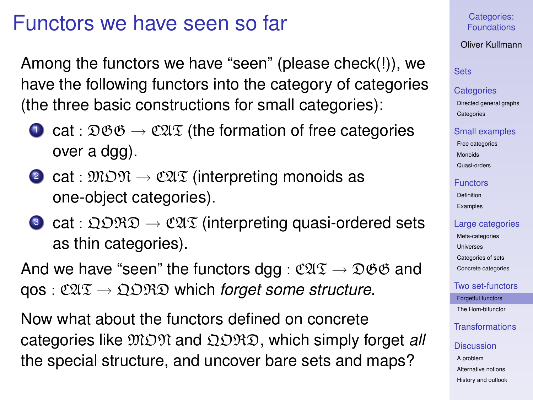## Functors we have seen so far

Among the functors we have "seen" (please check(!)), we have the following functors into the category of categories (the three basic constructions for small categories):

- **1** cat :  $\mathfrak{DSB} \rightarrow \mathfrak{C2I}\mathfrak{T}$  (the formation of free categories over a dgg).
- 2 cat :  $\mathfrak{M} \mathfrak{O} \mathfrak{N} \to \mathfrak{C} \mathfrak{A} \mathfrak{I}$  (interpreting monoids as one-object categories).
- **3** cat :  $\mathfrak{Q} \mathfrak{ORD} \to \mathfrak{C} \mathfrak{A} \mathfrak{T}$  (interpreting quasi-ordered sets as thin categories).

And we have "seen" the functors dgg :  $\mathfrak{CUT} \rightarrow \mathfrak{DOB}$  and qos : CAT → QORD which *forget some structure*.

<span id="page-58-0"></span>Now what about the functors defined on concrete categories like MON and QORD, which simply forget *all* the special structure, and uncover bare sets and maps?

## Categories: [Foundations](#page-0-0)

## Oliver Kullmann

## **[Sets](#page-3-0)**

#### **[Categories](#page-12-0)**

[Directed general graphs](#page-12-0) **[Categories](#page-17-0)** 

#### [Small examples](#page-20-0)

[Free categories](#page-20-0) [Monoids](#page-21-0) [Quasi-orders](#page-26-0)

#### [Functors](#page-31-0)

[Definition](#page-31-0) [Examples](#page-35-0)

#### [Large categories](#page-41-0)

[Meta-categories](#page-42-0) [Universes](#page-46-0) [Categories of sets](#page-49-0) [Concrete categories](#page-53-0)

## [Two set-functors](#page-58-0)

[Forgetful functors](#page-58-0) [The Hom-bifunctor](#page-67-0)

## [Transformations](#page-71-0)

#### **[Discussion](#page-76-0)**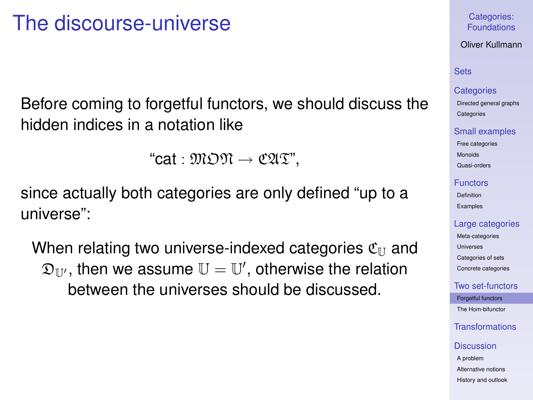## The discourse-universe

Before coming to forgetful functors, we should discuss the hidden indices in a notation like

"cat :  $\mathfrak{M} \mathfrak{M} \rightarrow \mathfrak{C} \mathfrak{A} \mathfrak{T}$ ".

since actually both categories are only defined "up to a universe":

When relating two universe-indexed categories  $\mathfrak{C}_{\text{II}}$  and  $\mathfrak{D}_{\mathbb{U}'}$ , then we assume  $\mathbb{U}=\mathbb{U}'$ , otherwise the relation between the universes should be discussed.

## Categories: [Foundations](#page-0-0)

Oliver Kullmann

## **[Sets](#page-3-0)**

#### **[Categories](#page-12-0)**

[Directed general graphs](#page-12-0) **[Categories](#page-17-0)** 

#### [Small examples](#page-20-0)

[Free categories](#page-20-0) [Monoids](#page-21-0) [Quasi-orders](#page-26-0)

#### [Functors](#page-31-0)

[Definition](#page-31-0) [Examples](#page-35-0)

#### [Large categories](#page-41-0)

[Meta-categories](#page-42-0) [Universes](#page-46-0) [Categories of sets](#page-49-0) [Concrete categories](#page-53-0)

[Two set-functors](#page-58-0)

[Forgetful functors](#page-58-0) [The Hom-bifunctor](#page-67-0)

[Transformations](#page-71-0)

#### **[Discussion](#page-76-0)**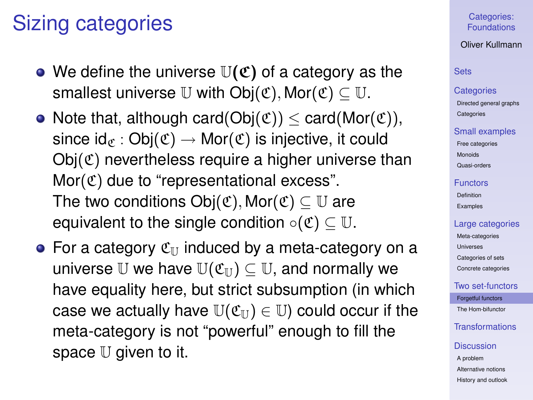## Sizing categories

- We define the universe  $\mathbb{U}(\mathfrak{C})$  of a category as the smallest universe U with  $Obj(\mathfrak{C})$ , Mor $(\mathfrak{C}) \subset \mathbb{U}$ .
- Note that, although card( $Obj(\mathfrak{C})) < card(Mor(\mathfrak{C}))$ , since  $\mathsf{id}_{\mathscr{C}} : \mathsf{Obj}(\mathfrak{C}) \to \mathsf{Mor}(\mathfrak{C})$  is injective, it could  $Obj(\mathfrak{C})$  nevertheless require a higher universe than  $Mor(\mathfrak{C})$  due to "representational excess". The two conditions  $Obj(\mathfrak{C})$ , Mor $(\mathfrak{C}) \subset \mathbb{U}$  are equivalent to the single condition  $\circ(\mathfrak{C}) \subset \mathbb{U}$ .
- For a category  $\mathfrak{C}_{\mathbb{U}}$  induced by a meta-category on a universe U we have  $\mathbb{U}(\mathfrak{C}_{\mathbb{U}})\subset \mathbb{U}$ , and normally we have equality here, but strict subsumption (in which case we actually have  $\mathbb{U}(\mathfrak{C}_{\mathbb{U}}) \in \mathbb{U}$  could occur if the meta-category is not "powerful" enough to fill the space  $U$  given to it.

## Categories: [Foundations](#page-0-0)

## Oliver Kullmann

#### **[Sets](#page-3-0)**

#### **[Categories](#page-12-0)**

[Directed general graphs](#page-12-0) **[Categories](#page-17-0)** 

#### [Small examples](#page-20-0)

[Free categories](#page-20-0) [Monoids](#page-21-0) [Quasi-orders](#page-26-0)

#### [Functors](#page-31-0)

[Definition](#page-31-0) [Examples](#page-35-0)

#### [Large categories](#page-41-0)

[Meta-categories](#page-42-0) [Universes](#page-46-0) [Categories of sets](#page-49-0) [Concrete categories](#page-53-0)

### [Two set-functors](#page-58-0)

[Forgetful functors](#page-58-0) [The Hom-bifunctor](#page-67-0)

## [Transformations](#page-71-0)

#### **[Discussion](#page-76-0)**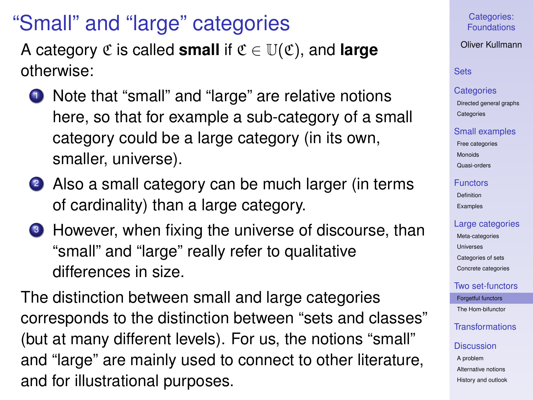# "Small" and "large" categories

A category  $\mathfrak{C}$  is called **small** if  $\mathfrak{C} \in \mathbb{U}(\mathfrak{C})$ , and **large** otherwise:

- <sup>1</sup> Note that "small" and "large" are relative notions here, so that for example a sub-category of a small category could be a large category (in its own, smaller, universe).
- 2 Also a small category can be much larger (in terms of cardinality) than a large category.
- <sup>3</sup> However, when fixing the universe of discourse, than "small" and "large" really refer to qualitative differences in size.

The distinction between small and large categories corresponds to the distinction between "sets and classes" (but at many different levels). For us, the notions "small" and "large" are mainly used to connect to other literature, and for illustrational purposes.

Categories: [Foundations](#page-0-0)

Oliver Kullmann

## **[Sets](#page-3-0)**

#### **[Categories](#page-12-0)**

[Directed general graphs](#page-12-0) **[Categories](#page-17-0)** 

#### [Small examples](#page-20-0)

[Free categories](#page-20-0) [Monoids](#page-21-0) [Quasi-orders](#page-26-0)

#### [Functors](#page-31-0)

[Definition](#page-31-0) [Examples](#page-35-0)

### [Large categories](#page-41-0)

[Meta-categories](#page-42-0) [Universes](#page-46-0) [Categories of sets](#page-49-0) [Concrete categories](#page-53-0)

### [Two set-functors](#page-58-0)

[Forgetful functors](#page-58-0) [The Hom-bifunctor](#page-67-0)

[Transformations](#page-71-0)

#### **[Discussion](#page-76-0)**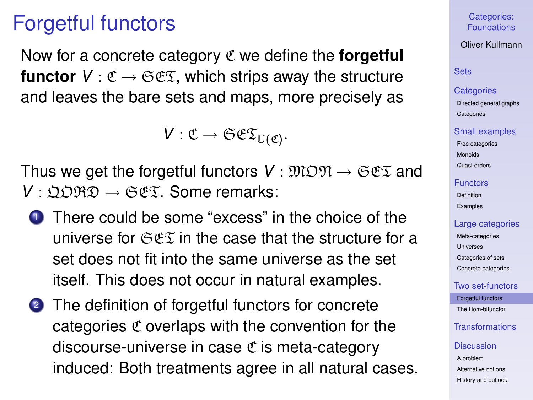## Forgetful functors

Now for a concrete category C we define the **forgetful functor**  $V : \mathfrak{C} \to \mathfrak{S} \mathfrak{C} \mathfrak{T}$ , which strips away the structure and leaves the bare sets and maps, more precisely as

 $V: \mathfrak{C} \to \mathfrak{S}\mathfrak{C}\mathfrak{T}_{\mathbb{U}(\mathfrak{C})}.$ 

Thus we get the forgetful functors  $V : \mathfrak{M} \mathfrak{O} \mathfrak{N} \to \mathfrak{S} \mathfrak{S} \mathfrak{X}$  and *V* :  $\Omega$  $\Omega$  $\mathcal{R}\Omega$  →  $\mathcal{C}\mathfrak{C}\mathfrak{T}$ . Some remarks:

- **1** There could be some "excess" in the choice of the universe for  $\mathfrak{S}\mathfrak{F}\mathfrak{T}$  in the case that the structure for a set does not fit into the same universe as the set itself. This does not occur in natural examples.
- 2 The definition of forgetful functors for concrete categories  $\mathfrak C$  overlaps with the convention for the discourse-universe in case  $\mathfrak C$  is meta-category induced: Both treatments agree in all natural cases.

Categories: [Foundations](#page-0-0)

Oliver Kullmann

### **[Sets](#page-3-0)**

**[Categories](#page-12-0)** 

[Directed general graphs](#page-12-0) **[Categories](#page-17-0)** 

#### [Small examples](#page-20-0)

[Free categories](#page-20-0) [Monoids](#page-21-0) [Quasi-orders](#page-26-0)

#### [Functors](#page-31-0)

[Definition](#page-31-0) [Examples](#page-35-0)

#### [Large categories](#page-41-0)

[Meta-categories](#page-42-0) [Universes](#page-46-0) [Categories of sets](#page-49-0) [Concrete categories](#page-53-0)

[Two set-functors](#page-58-0)

[Forgetful functors](#page-58-0) [The Hom-bifunctor](#page-67-0)

[Transformations](#page-71-0)

#### **[Discussion](#page-76-0)**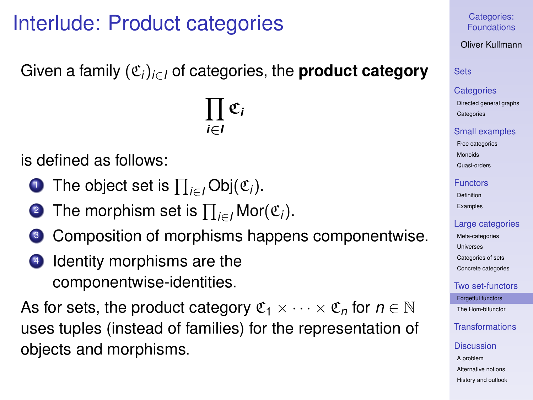## Interlude: Product categories

Given a family (C*i*)*i*∈*<sup>I</sup>* of categories, the **product category**

 $\prod$   $\mathfrak{C}_i$ *i*∈*I*

is defined as follows:

- <sup>1</sup> The object set is Q *<sup>i</sup>*∈*<sup>I</sup>* Obj(C*i*).
- <sup>2</sup> The morphism set is Q *<sup>i</sup>*∈*<sup>I</sup>* Mor(C*i*).
- <sup>3</sup> Composition of morphisms happens componentwise.
- 4 Identity morphisms are the componentwise-identities.

As for sets, the product category  $\mathfrak{C}_1 \times \cdots \times \mathfrak{C}_n$  for  $n \in \mathbb{N}$ uses tuples (instead of families) for the representation of objects and morphisms.

## Categories: [Foundations](#page-0-0)

Oliver Kullmann

**[Sets](#page-3-0)** 

#### **[Categories](#page-12-0)**

[Directed general graphs](#page-12-0) **[Categories](#page-17-0)** 

#### [Small examples](#page-20-0)

[Free categories](#page-20-0) [Monoids](#page-21-0)

[Quasi-orders](#page-26-0)

#### [Functors](#page-31-0)

[Definition](#page-31-0) [Examples](#page-35-0)

## [Large categories](#page-41-0)

[Meta-categories](#page-42-0) [Universes](#page-46-0) [Categories of sets](#page-49-0) [Concrete categories](#page-53-0)

[Two set-functors](#page-58-0)

[Forgetful functors](#page-58-0) [The Hom-bifunctor](#page-67-0)

[Transformations](#page-71-0)

#### **[Discussion](#page-76-0)**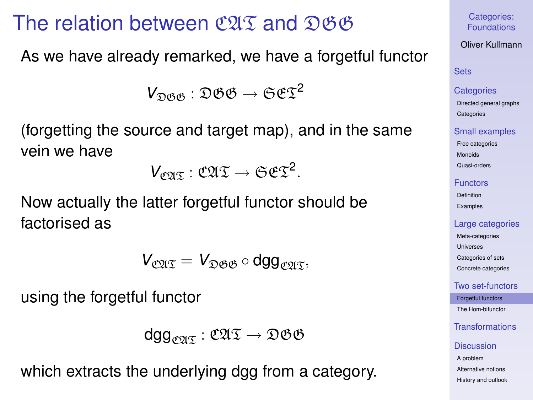## The relation between  $\mathfrak{CAT}$  and  $\mathfrak{DSB}$

As we have already remarked, we have a forgetful functor

 $V_{\Omega\beta\beta}$ :  $\mathfrak{DSB} \rightarrow \mathfrak{SET}^2$ 

(forgetting the source and target map), and in the same vein we have

 $V_{\mathfrak{CUT}}: \mathfrak{CUT} \to \mathfrak{SET}^2.$ 

Now actually the latter forgetful functor should be factorised as

$$
V_{\mathfrak{C}\mathfrak{A}\mathfrak{T}}=V_{\mathfrak{D}\mathfrak{G}\mathfrak{G}}\circ\text{dgg}_{\mathfrak{C}\mathfrak{A}\mathfrak{T}},
$$

using the forgetful functor

$$
\text{dgg}_{\mathfrak{CUT}}: \mathfrak{CUT} \to \mathfrak{DGB}
$$

which extracts the underlying dgg from a category.

Categories: [Foundations](#page-0-0)

Oliver Kullmann

## **[Sets](#page-3-0)**

#### **[Categories](#page-12-0)**

[Directed general graphs](#page-12-0) **[Categories](#page-17-0)** 

#### [Small examples](#page-20-0)

[Free categories](#page-20-0) [Monoids](#page-21-0)

[Quasi-orders](#page-26-0)

#### [Functors](#page-31-0)

[Definition](#page-31-0) [Examples](#page-35-0)

#### [Large categories](#page-41-0)

[Meta-categories](#page-42-0) [Universes](#page-46-0) [Categories of sets](#page-49-0) [Concrete categories](#page-53-0)

[Two set-functors](#page-58-0)

[Forgetful functors](#page-58-0)

[The Hom-bifunctor](#page-67-0)

[Transformations](#page-71-0)

#### **[Discussion](#page-76-0)**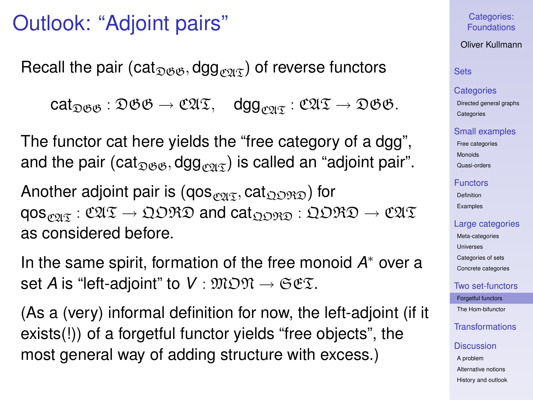## Outlook: "Adjoint pairs"

Recall the pair (cat<sub> $\Omega(\mathcal{B}, \mathcal{B})$ </sub> of reverse functors

 $cat_{\mathfrak{DSG}} : \mathfrak{DSG} \rightarrow \mathfrak{CUT}, \quad deg_{\mathfrak{CPIG}} : \mathfrak{CUT} \rightarrow \mathfrak{DSG}.$ 

The functor cat here yields the "free category of a dgg", and the pair (cat<sub> $\mathcal{D}\mathcal{B}\mathcal{B}$ </sub>, dgg<sub>c $\mathcal{D}\mathcal{A}$ </sub>) is called an "adjoint pair".

Another adjoint pair is (qos $_{\mathcal{O2}(\mathfrak{T})}$ , cat $_{\mathfrak{Q} \mathfrak{O} \mathfrak{R} \mathfrak{D}}$ ) for  $qosp_{\mathcal{O}}: \mathfrak{CUT} \to \mathfrak{QDRD}$  and  $cat_{\mathfrak{ODRO}}: \mathfrak{QDRD} \to \mathfrak{CUT}$ as considered before.

In the same spirit, formation of the free monoid *A* <sup>∗</sup> over a set *A* is "left-adjoint" to  $V : \mathfrak{M} \mathfrak{O} \mathfrak{N} \to \mathfrak{S} \mathfrak{E} \mathfrak{X}$ .

(As a (very) informal definition for now, the left-adjoint (if it exists(!)) of a forgetful functor yields "free objects", the most general way of adding structure with excess.)

### Categories: [Foundations](#page-0-0)

### Oliver Kullmann

## **[Sets](#page-3-0)**

#### **[Categories](#page-12-0)**

[Directed general graphs](#page-12-0) **[Categories](#page-17-0)** 

#### [Small examples](#page-20-0)

[Free categories](#page-20-0) [Monoids](#page-21-0) [Quasi-orders](#page-26-0)

#### [Functors](#page-31-0)

[Definition](#page-31-0) [Examples](#page-35-0)

#### [Large categories](#page-41-0)

[Meta-categories](#page-42-0) [Universes](#page-46-0) [Categories of sets](#page-49-0) [Concrete categories](#page-53-0)

#### [Two set-functors](#page-58-0)

[Forgetful functors](#page-58-0) [The Hom-bifunctor](#page-67-0)

## [Transformations](#page-71-0)

#### **[Discussion](#page-76-0)**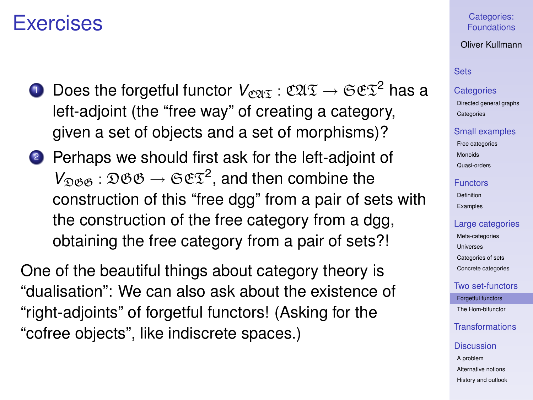## Exercises

- **1** Does the forgetful functor  $V_{\text{CPIT}}$  :  $\mathfrak{C2I} \mathfrak{T} \rightarrow \mathfrak{S} \mathfrak{C} \mathfrak{T}^2$  has a left-adjoint (the "free way" of creating a category, given a set of objects and a set of morphisms)?
- <sup>2</sup> Perhaps we should first ask for the left-adjoint of  $V_{\mathfrak{DSG}} : \mathfrak{DSG} \to \mathfrak{SET}^2$ , and then combine the construction of this "free dgg" from a pair of sets with the construction of the free category from a dgg, obtaining the free category from a pair of sets?!

One of the beautiful things about category theory is "dualisation": We can also ask about the existence of "right-adjoints" of forgetful functors! (Asking for the "cofree objects", like indiscrete spaces.)

## Categories: [Foundations](#page-0-0)

### Oliver Kullmann

## **[Sets](#page-3-0)**

#### **[Categories](#page-12-0)**

[Directed general graphs](#page-12-0) **[Categories](#page-17-0)** 

#### [Small examples](#page-20-0)

[Free categories](#page-20-0) [Monoids](#page-21-0) [Quasi-orders](#page-26-0)

#### [Functors](#page-31-0)

[Definition](#page-31-0) [Examples](#page-35-0)

#### [Large categories](#page-41-0)

[Meta-categories](#page-42-0) [Universes](#page-46-0) [Categories of sets](#page-49-0) [Concrete categories](#page-53-0)

### [Two set-functors](#page-58-0)

[Forgetful functors](#page-58-0) [The Hom-bifunctor](#page-67-0)

## [Transformations](#page-71-0)

#### **[Discussion](#page-76-0)**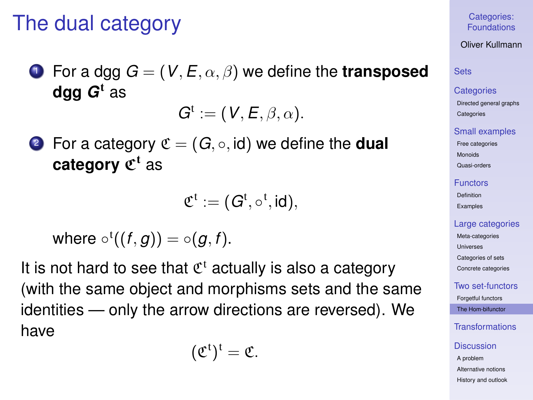## The dual category

**1** For a dgg  $G = (V, E, \alpha, \beta)$  we define the **transposed dgg** *G* <sup>t</sup> as

 $G^t := (V, E, \beta, \alpha).$ 

**2** For a category  $\mathfrak{C} = (G, \circ, id)$  we define the **dual category**  $\mathfrak{C}^{\mathfrak{t}}$  as

$$
\mathfrak{C}^t:=(G^t,\circ^t,\text{id}),
$$

where 
$$
\circ^{t}((f,g)) = \circ(g,f)
$$
.

<span id="page-67-0"></span>It is not hard to see that  $\mathfrak{C}^t$  actually is also a category (with the same object and morphisms sets and the same identities — only the arrow directions are reversed). We have

$$
(\mathfrak{C}^t)^t=\mathfrak{C}.
$$

Categories: [Foundations](#page-0-0)

Oliver Kullmann

## **[Sets](#page-3-0)**

#### **[Categories](#page-12-0)**

[Directed general graphs](#page-12-0) **[Categories](#page-17-0)** 

#### [Small examples](#page-20-0)

[Free categories](#page-20-0) [Monoids](#page-21-0)

[Quasi-orders](#page-26-0)

#### [Functors](#page-31-0)

[Definition](#page-31-0) [Examples](#page-35-0)

#### [Large categories](#page-41-0)

[Meta-categories](#page-42-0) [Universes](#page-46-0) [Categories of sets](#page-49-0) [Concrete categories](#page-53-0)

## [Two set-functors](#page-58-0)

[Forgetful functors](#page-58-0) [The Hom-bifunctor](#page-67-0)

[Transformations](#page-71-0)

#### **[Discussion](#page-76-0)**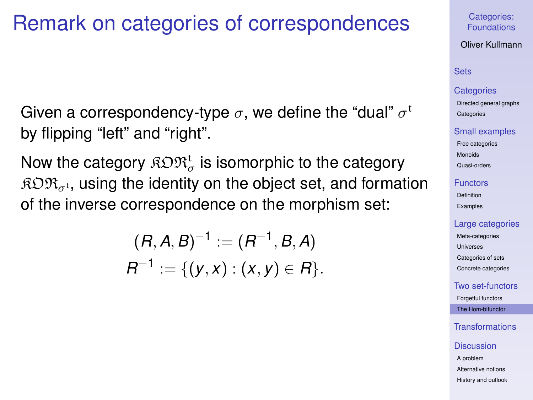## Remark on categories of correspondences

Given a correspondency-type  $\sigma,$  we define the "dual"  $\sigma^{\rm t}$ by flipping "left" and "right".

Now the category  $\mathfrak{K} \mathfrak{O} \mathfrak{R}^{\mathfrak{t}}_{\sigma}$  is isomorphic to the category  $RDR_{\sigma t}$ , using the identity on the object set, and formation of the inverse correspondence on the morphism set:

$$
(R, A, B)^{-1} := (R^{-1}, B, A)
$$
  

$$
R^{-1} := \{(y, x) : (x, y) \in R\}.
$$

#### Categories: [Foundations](#page-0-0)

Oliver Kullmann

## **[Sets](#page-3-0)**

#### **[Categories](#page-12-0)**

[Directed general graphs](#page-12-0) **[Categories](#page-17-0)** 

#### [Small examples](#page-20-0)

[Free categories](#page-20-0) [Monoids](#page-21-0) [Quasi-orders](#page-26-0)

#### [Functors](#page-31-0)

[Definition](#page-31-0) [Examples](#page-35-0)

### [Large categories](#page-41-0)

[Meta-categories](#page-42-0) [Universes](#page-46-0) [Categories of sets](#page-49-0) [Concrete categories](#page-53-0)

[Two set-functors](#page-58-0)

[Forgetful functors](#page-58-0) [The Hom-bifunctor](#page-67-0)

[Transformations](#page-71-0)

#### **[Discussion](#page-76-0)**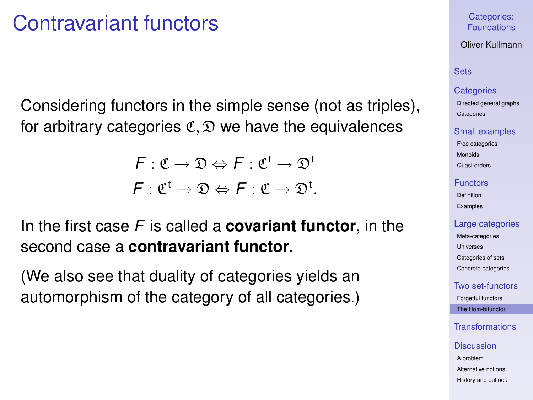## Contravariant functors

Considering functors in the simple sense (not as triples), for arbitrary categories  $\mathfrak{C}, \mathfrak{D}$  we have the equivalences

> $\mathcal{F}: \mathfrak{C} \to \mathfrak{D} \Leftrightarrow \mathcal{F}: \mathfrak{C}^{\mathfrak{t}} \to \mathfrak{D}^{\mathfrak{t}}$  $F: \mathfrak{C}^{\mathfrak{t}} \to \mathfrak{D} \Leftrightarrow F: \mathfrak{C} \to \mathfrak{D}^{\mathfrak{t}}.$

In the first case *F* is called a **covariant functor**, in the second case a **contravariant functor**.

(We also see that duality of categories yields an automorphism of the category of all categories.)

### Categories: [Foundations](#page-0-0)

Oliver Kullmann

## **[Sets](#page-3-0)**

#### **[Categories](#page-12-0)**

[Directed general graphs](#page-12-0) **[Categories](#page-17-0)** 

#### [Small examples](#page-20-0)

[Free categories](#page-20-0) [Monoids](#page-21-0) [Quasi-orders](#page-26-0)

#### [Functors](#page-31-0)

[Definition](#page-31-0) [Examples](#page-35-0)

### [Large categories](#page-41-0)

[Meta-categories](#page-42-0) [Universes](#page-46-0) [Categories of sets](#page-49-0) [Concrete categories](#page-53-0)

## [Two set-functors](#page-58-0)

[Forgetful functors](#page-58-0) [The Hom-bifunctor](#page-67-0)

## [Transformations](#page-71-0)

#### **[Discussion](#page-76-0)**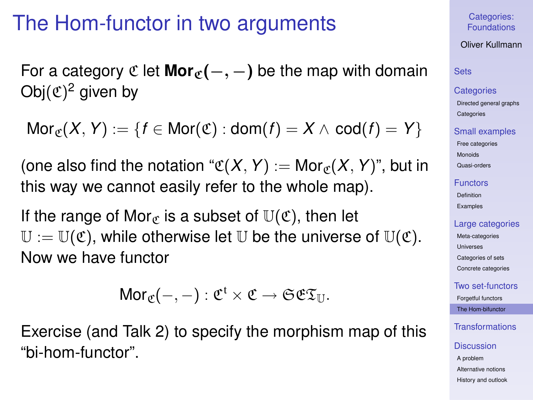## The Hom-functor in two arguments

For a category  $\mathfrak{C}$  let **Mor**<sub> $\mathfrak{C}(-, -)$  be the map with domain</sub> Obj $({\mathfrak C})^2$  given by

 $Mor_{\mathfrak{C}}(X, Y) := \{f \in Mor(\mathfrak{C}) : dom(f) = X \wedge cod(f) = Y\}$ 

(one also find the notation " $\mathfrak{C}(X, Y) := \mathsf{Mor}_{\mathfrak{C}}(X, Y)$ ", but in this way we cannot easily refer to the whole map).

If the range of Mor<sub>c</sub> is a subset of  $\mathbb{U}(\mathfrak{C})$ , then let  $\mathbb{U} := \mathbb{U}(\mathfrak{C})$ , while otherwise let U be the universe of  $\mathbb{U}(\mathfrak{C})$ . Now we have functor

 $\mathsf{Mor}_\mathfrak{C}(-,-): \mathfrak{C}^{\mathfrak{t}} \times \mathfrak{C} \to \mathfrak{S}\mathfrak{C}\mathfrak{T}_\mathbb{U}.$ 

Exercise (and Talk 2) to specify the morphism map of this "bi-hom-functor".

Categories: [Foundations](#page-0-0)

Oliver Kullmann

## **[Sets](#page-3-0)**

#### **[Categories](#page-12-0)**

[Directed general graphs](#page-12-0) **[Categories](#page-17-0)** 

### [Small examples](#page-20-0)

[Free categories](#page-20-0) [Monoids](#page-21-0) [Quasi-orders](#page-26-0)

#### [Functors](#page-31-0)

[Definition](#page-31-0) [Examples](#page-35-0)

### [Large categories](#page-41-0)

[Meta-categories](#page-42-0) [Universes](#page-46-0) [Categories of sets](#page-49-0) [Concrete categories](#page-53-0)

[Two set-functors](#page-58-0) [Forgetful functors](#page-58-0)

[The Hom-bifunctor](#page-67-0)

[Transformations](#page-71-0)

#### **[Discussion](#page-76-0)**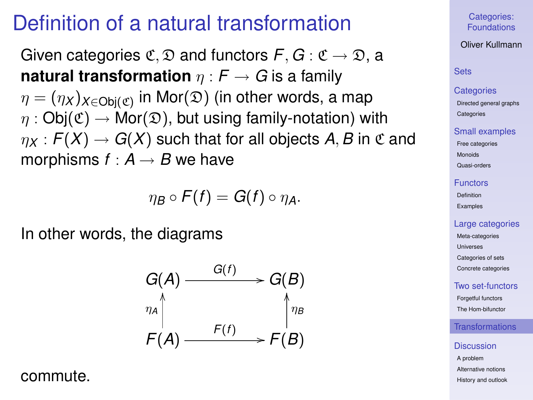## Definition of a natural transformation

Given categories  $\mathfrak{C}, \mathfrak{D}$  and functors  $F, G : \mathfrak{C} \to \mathfrak{D}$ , a **natural transformation**  $\eta$  :  $F \rightarrow G$  is a family  $\eta = (\eta_{\mathsf{X}})_{\mathsf{X} \in \mathsf{Obj}(\mathfrak{C})}$  in Mor $(\mathfrak{D})$  (in other words, a map  $\eta : \mathsf{Obj}(\mathfrak{C}) \to \mathsf{Mor}(\mathfrak{D})$ , but using family-notation) with  $\eta_X$ :  $F(X) \to G(X)$  such that for all objects A, B in C and morphisms  $f : A \rightarrow B$  we have

$$
\eta_B\circ F(f)=G(f)\circ \eta_A.
$$

In other words, the diagrams



<span id="page-71-0"></span>commute.

Categories: [Foundations](#page-0-0)

Oliver Kullmann

### **[Sets](#page-3-0)**

#### **[Categories](#page-12-0)**

[Directed general graphs](#page-12-0) **[Categories](#page-17-0)** 

#### [Small examples](#page-20-0)

[Free categories](#page-20-0) [Monoids](#page-21-0) [Quasi-orders](#page-26-0)

#### [Functors](#page-31-0)

[Definition](#page-31-0) [Examples](#page-35-0)

#### [Large categories](#page-41-0)

[Meta-categories](#page-42-0) [Universes](#page-46-0) [Categories of sets](#page-49-0) [Concrete categories](#page-53-0)

#### [Two set-functors](#page-58-0)

[Forgetful functors](#page-58-0) [The Hom-bifunctor](#page-67-0)

## [Transformations](#page-71-0)

#### **[Discussion](#page-76-0)**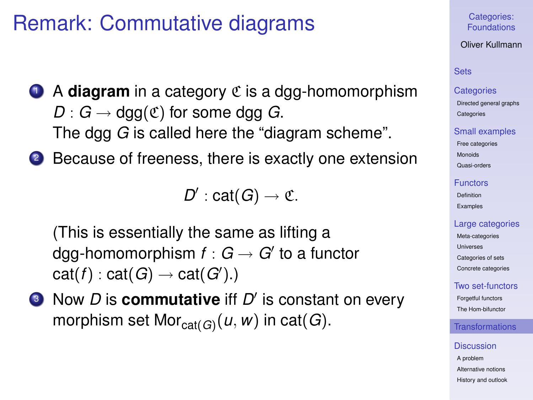# Remark: Commutative diagrams

- **1** A **diagram** in a category  $\mathfrak C$  is a dgg-homomorphism  $D: G \to \text{dgg}(\mathfrak{C})$  for some dgg *G*. The dgg *G* is called here the "diagram scheme".
- <sup>2</sup> Because of freeness, there is exactly one extension

 $D'$ : cat(*G*)  $\rightarrow$  C.

(This is essentially the same as lifting a dgg-homomorphism  $f:G\to G'$  to a functor  $\mathsf{cat}(f) : \mathsf{cat}(G) \to \mathsf{cat}(G')$ .)

**I** Now *D* is **commutative** iff *D'* is constant on every morphism set Mor $_{cat(G)}(u, w)$  in cat(*G*).

Categories: [Foundations](#page-0-0)

Oliver Kullmann

# **[Sets](#page-3-0)**

### **[Categories](#page-12-0)**

[Directed general graphs](#page-12-0) **[Categories](#page-17-0)** 

### [Small examples](#page-20-0)

[Free categories](#page-20-0) [Monoids](#page-21-0) [Quasi-orders](#page-26-0)

#### [Functors](#page-31-0)

[Definition](#page-31-0) [Examples](#page-35-0)

## [Large categories](#page-41-0)

[Meta-categories](#page-42-0) [Universes](#page-46-0) [Categories of sets](#page-49-0) [Concrete categories](#page-53-0)

## [Two set-functors](#page-58-0)

[Forgetful functors](#page-58-0) [The Hom-bifunctor](#page-67-0)

# **[Transformations](#page-71-0)**

#### **[Discussion](#page-76-0)**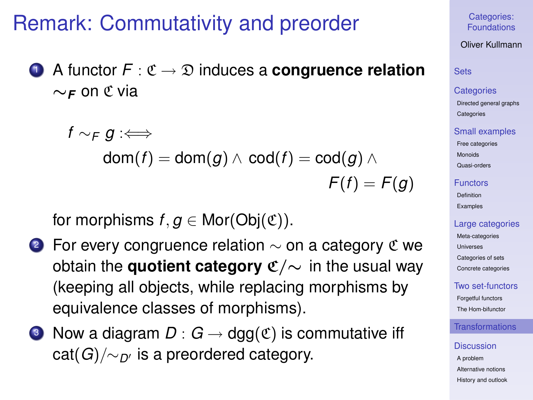# Remark: Commutativity and preorder

<sup>1</sup> A functor *F* : C → D induces a **congruence relation** ∼*<sup>F</sup>* on C via

$$
\begin{aligned} f\sim_{\digamma} g:\Longleftrightarrow\\ \mathsf{dom}(f)=\mathsf{dom}(g)\wedge\mathsf{cod}(f)=\mathsf{cod}(g)\wedge\\ \qquad\qquad\digamma(f)=\digamma(g) \end{aligned}
$$

for morphisms  $f, g \in \text{Mor}(\text{Obj}(\mathfrak{C}))$ .

- 2 For every congruence relation  $\sim$  on a category  $\mathfrak C$  we obtain the **quotient category** C/∼ in the usual way (keeping all objects, while replacing morphisms by equivalence classes of morphisms).
- **3** Now a diagram  $D: G \to \text{dgg}(\mathfrak{C})$  is commutative iff cat(*G*)/∼*D*<sup>0</sup> is a preordered category.

## Categories: [Foundations](#page-0-0)

Oliver Kullmann

# **[Sets](#page-3-0)**

## **[Categories](#page-12-0)**

[Directed general graphs](#page-12-0) **[Categories](#page-17-0)** 

### [Small examples](#page-20-0)

[Free categories](#page-20-0) [Monoids](#page-21-0)

[Quasi-orders](#page-26-0)

### [Functors](#page-31-0)

[Definition](#page-31-0) [Examples](#page-35-0)

## [Large categories](#page-41-0)

[Meta-categories](#page-42-0) [Universes](#page-46-0) [Categories of sets](#page-49-0) [Concrete categories](#page-53-0)

## [Two set-functors](#page-58-0)

[Forgetful functors](#page-58-0) [The Hom-bifunctor](#page-67-0)

# [Transformations](#page-71-0)

### **[Discussion](#page-76-0)**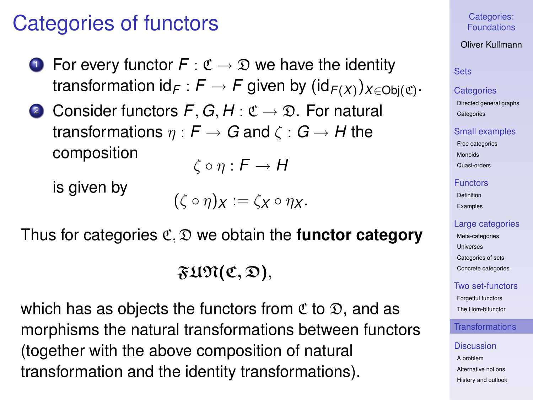# Categories of functors

- For every functor  $F : \mathfrak{C} \to \mathfrak{D}$  we have the identity transformation id $_{\digamma}: \digamma \rightarrow \digamma$  given by  $(\mathsf{id}_{\digamma(X)})_{X \in \mathsf{Obj}(\mathfrak{C})}.$
- **2** Consider functors  $F$ ,  $G$ ,  $H$  :  $\mathfrak{C} \rightarrow \mathfrak{D}$ . For natural transformations  $\eta : F \to G$  and  $\zeta : G \to H$  the composition

$$
\zeta \circ \eta : \mathsf{F} \to \mathsf{H}
$$

is given by

 $({\zeta \circ \eta})_X := {\zeta_X \circ \eta_X}.$ 

Thus for categories C, D we obtain the **functor category**

 $\mathfrak{FUPl}(\mathfrak{C},\mathfrak{D}),$ 

which has as objects the functors from  $\mathfrak C$  to  $\mathfrak D$ , and as morphisms the natural transformations between functors (together with the above composition of natural transformation and the identity transformations).

# Categories: [Foundations](#page-0-0)

# Oliver Kullmann

# **[Sets](#page-3-0)**

## **[Categories](#page-12-0)**

[Directed general graphs](#page-12-0) **[Categories](#page-17-0)** 

### [Small examples](#page-20-0)

[Free categories](#page-20-0) [Monoids](#page-21-0) [Quasi-orders](#page-26-0)

#### [Functors](#page-31-0)

[Definition](#page-31-0) [Examples](#page-35-0)

## [Large categories](#page-41-0)

[Meta-categories](#page-42-0) [Universes](#page-46-0) [Categories of sets](#page-49-0) [Concrete categories](#page-53-0)

# [Two set-functors](#page-58-0)

[Forgetful functors](#page-58-0) [The Hom-bifunctor](#page-67-0)

# **[Transformations](#page-71-0)**

#### **[Discussion](#page-76-0)**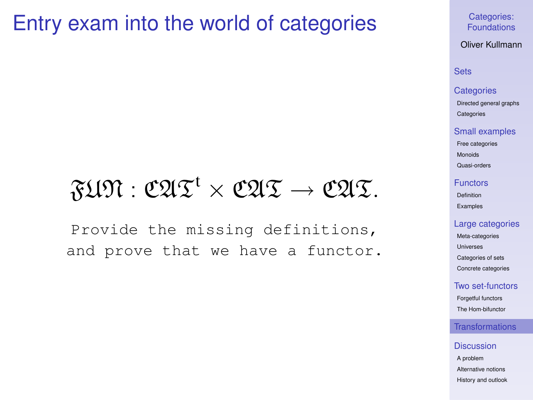# Entry exam into the world of categories

# $\mathfrak{FU} \mathfrak{N}: \mathfrak{C}\mathfrak{A} \mathfrak{T}^{\mathfrak{t}} \times \mathfrak{C}\mathfrak{A} \mathfrak{T} \to \mathfrak{C}\mathfrak{A} \mathfrak{T}.$

Provide the missing definitions, and prove that we have a functor. Categories: [Foundations](#page-0-0)

Oliver Kullmann

## **[Sets](#page-3-0)**

## **[Categories](#page-12-0)**

[Directed general graphs](#page-12-0) **[Categories](#page-17-0)** 

#### [Small examples](#page-20-0)

[Free categories](#page-20-0) [Monoids](#page-21-0)

[Quasi-orders](#page-26-0)

#### [Functors](#page-31-0)

[Definition](#page-31-0) [Examples](#page-35-0)

#### [Large categories](#page-41-0)

[Meta-categories](#page-42-0) [Universes](#page-46-0) [Categories of sets](#page-49-0) [Concrete categories](#page-53-0)

## [Two set-functors](#page-58-0)

[Forgetful functors](#page-58-0) [The Hom-bifunctor](#page-67-0)

## [Transformations](#page-71-0)

#### **[Discussion](#page-76-0)**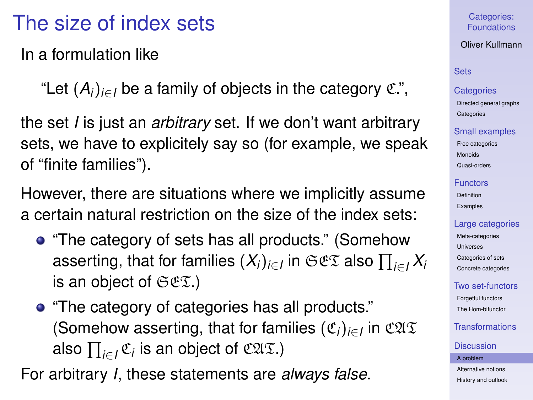# The size of index sets

In a formulation like

"Let  $(A_i)_{i \in I}$  be a family of objects in the category  $\mathfrak{C}$ .",

the set *I* is just an *arbitrary* set. If we don't want arbitrary sets, we have to explicitely say so (for example, we speak of "finite families").

However, there are situations where we implicitly assume a certain natural restriction on the size of the index sets:

- "The category of sets has all products." (Somehow asserting, that for families  $(X_i)_{i\in I}$  in  $\mathfrak{S}\mathfrak{C}\mathfrak{T}$  also  $\prod_{i\in I}X_i$ is an object of  $\mathfrak{SE}(\mathfrak{X})$
- "The category of categories has all products." (Somehow asserting, that for families (C*i*)*i*∈*<sup>I</sup>* in CAT also  $\prod_{i \in I} \mathfrak{C}_i$  is an object of  $\mathfrak{CAL}$ .)

<span id="page-76-0"></span>For arbitrary *I*, these statements are *always false*.

## Categories: [Foundations](#page-0-0)

# Oliver Kullmann

# **[Sets](#page-3-0)**

## **[Categories](#page-12-0)**

[Directed general graphs](#page-12-0) **[Categories](#page-17-0)** 

## [Small examples](#page-20-0)

[Free categories](#page-20-0) [Monoids](#page-21-0) [Quasi-orders](#page-26-0)

#### [Functors](#page-31-0)

[Definition](#page-31-0) [Examples](#page-35-0)

# [Large categories](#page-41-0)

[Meta-categories](#page-42-0) [Universes](#page-46-0) [Categories of sets](#page-49-0) [Concrete categories](#page-53-0)

# [Two set-functors](#page-58-0)

[Forgetful functors](#page-58-0) [The Hom-bifunctor](#page-67-0)

# [Transformations](#page-71-0)

### **[Discussion](#page-76-0)**

#### [A problem](#page-76-0)

[Alternative notions](#page-83-0) [History and outlook](#page-96-0)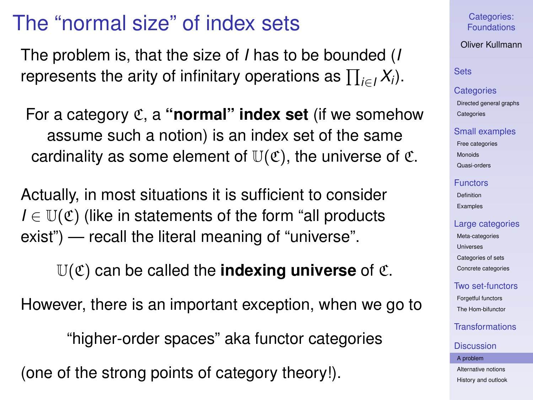# The "normal size" of index sets

The problem is, that the size of *I* has to be bounded (*I* represents the arity of infinitary operations as  $\prod_{i\in I}X_i$ ).

For a category C, a **"normal" index set** (if we somehow assume such a notion) is an index set of the same cardinality as some element of  $\mathbb{U}(\mathfrak{C})$ , the universe of  $\mathfrak{C}$ .

Actually, in most situations it is sufficient to consider  $I \in \mathbb{U}(\mathfrak{C})$  (like in statements of the form "all products") exist") — recall the literal meaning of "universe".

 $U(\mathfrak{C})$  can be called the **indexing universe** of  $\mathfrak{C}$ .

However, there is an important exception, when we go to

"higher-order spaces" aka functor categories

(one of the strong points of category theory!).

Categories: [Foundations](#page-0-0)

Oliver Kullmann

**[Sets](#page-3-0)** 

**[Categories](#page-12-0)** 

[Directed general graphs](#page-12-0) **[Categories](#page-17-0)** 

### [Small examples](#page-20-0)

[Free categories](#page-20-0) [Monoids](#page-21-0) [Quasi-orders](#page-26-0)

[Functors](#page-31-0)

[Definition](#page-31-0) [Examples](#page-35-0)

## [Large categories](#page-41-0)

[Meta-categories](#page-42-0) **[Universes](#page-46-0)** [Categories of sets](#page-49-0) [Concrete categories](#page-53-0)

[Two set-functors](#page-58-0)

[Forgetful functors](#page-58-0) [The Hom-bifunctor](#page-67-0)

[Transformations](#page-71-0)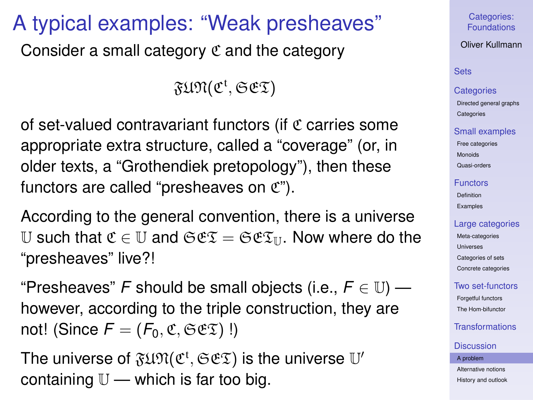# A typical examples: "Weak presheaves"

Consider a small category  $\mathfrak C$  and the category

 $\mathfrak{FUN}(\mathfrak{C}^\mathfrak{t}, \mathfrak{S}\mathfrak{C}\mathfrak{T})$ 

of set-valued contravariant functors (if  $\mathfrak C$  carries some appropriate extra structure, called a "coverage" (or, in older texts, a "Grothendiek pretopology"), then these functors are called "presheaves on  $\mathfrak{C}$ ").

According to the general convention, there is a universe U such that  $\mathfrak{C} \in \mathbb{U}$  and  $\mathfrak{S} \mathfrak{C} \mathfrak{T} = \mathfrak{S} \mathfrak{C} \mathfrak{T}_{\mathbb{U}}$ . Now where do the "presheaves" live?!

"Presheaves" *F* should be small objects (i.e.,  $F \in \mathbb{U}$ ) however, according to the triple construction, they are not! (Since  $F = (F_0, \mathfrak{C}, \mathfrak{S} \mathfrak{C} \mathfrak{T})$ !)

The universe of  $\mathfrak{FUM}(\mathfrak{C}^{\mathfrak{t}},\mathfrak{SES})$  is the universe  $\mathbb{U}'$ containing  $\mathbb{U}$  — which is far too big.

Categories: [Foundations](#page-0-0)

Oliver Kullmann

# **[Sets](#page-3-0)**

## **[Categories](#page-12-0)**

[Directed general graphs](#page-12-0) **[Categories](#page-17-0)** 

## [Small examples](#page-20-0)

[Free categories](#page-20-0) [Monoids](#page-21-0) [Quasi-orders](#page-26-0)

### [Functors](#page-31-0)

[Definition](#page-31-0) [Examples](#page-35-0)

## [Large categories](#page-41-0)

[Meta-categories](#page-42-0) [Universes](#page-46-0) [Categories of sets](#page-49-0) [Concrete categories](#page-53-0)

## [Two set-functors](#page-58-0)

[Forgetful functors](#page-58-0) [The Hom-bifunctor](#page-67-0)

# [Transformations](#page-71-0)

### **[Discussion](#page-76-0)**

#### [A problem](#page-76-0)

[Alternative notions](#page-83-0) [History and outlook](#page-96-0)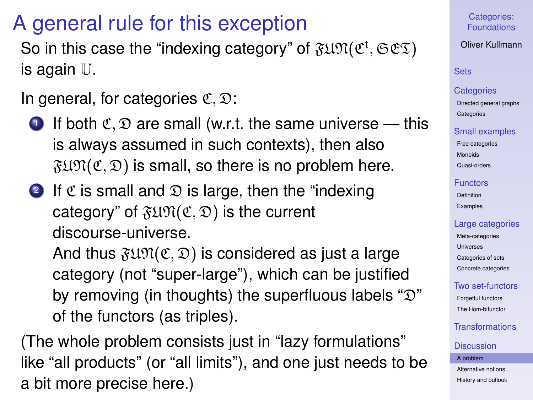# A general rule for this exception

So in this case the "indexing category" of  $\mathfrak{F}\mathfrak{U}\mathfrak{N}(\mathfrak{C}^{\mathfrak{t}},\mathfrak{S}\mathfrak{C}\mathfrak{T})$ is again U.

In general, for categories  $\mathfrak{C}, \mathfrak{D}$ :

- **1** If both  $\mathfrak{C}, \mathfrak{D}$  are small (w.r.t. the same universe this is always assumed in such contexts), then also  $F(X, \mathcal{D})$  is small, so there is no problem here.
- 2 If  $\mathfrak C$  is small and  $\mathfrak D$  is large, then the "indexing" category" of  $\mathfrak{FUPM}(\mathfrak{C}, \mathfrak{D})$  is the current discourse-universe.

And thus  $\mathfrak{FUPM}(\mathfrak{C}, \mathfrak{D})$  is considered as just a large category (not "super-large"), which can be justified by removing (in thoughts) the superfluous labels " $\mathfrak{D}$ " of the functors (as triples).

(The whole problem consists just in "lazy formulations" like "all products" (or "all limits"), and one just needs to be a bit more precise here.)

Categories: [Foundations](#page-0-0)

Oliver Kullmann

## **[Sets](#page-3-0)**

#### **[Categories](#page-12-0)**

[Directed general graphs](#page-12-0) **[Categories](#page-17-0)** 

## [Small examples](#page-20-0)

[Free categories](#page-20-0) [Monoids](#page-21-0) [Quasi-orders](#page-26-0)

#### [Functors](#page-31-0)

[Definition](#page-31-0) [Examples](#page-35-0)

## [Large categories](#page-41-0)

[Meta-categories](#page-42-0) **[Universes](#page-46-0)** [Categories of sets](#page-49-0) [Concrete categories](#page-53-0)

## [Two set-functors](#page-58-0)

[Forgetful functors](#page-58-0) [The Hom-bifunctor](#page-67-0)

# [Transformations](#page-71-0)

#### **[Discussion](#page-76-0)**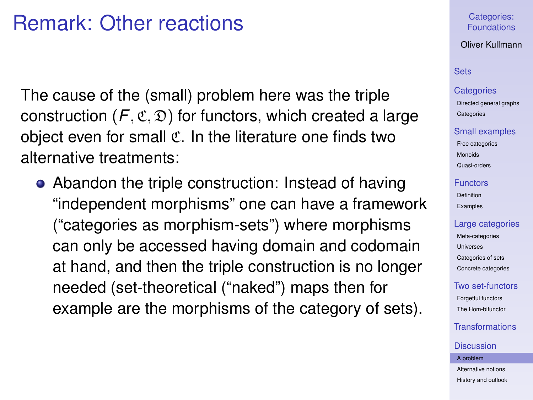# Remark: Other reactions

The cause of the (small) problem here was the triple construction  $(F, \mathfrak{C}, \mathfrak{D})$  for functors, which created a large object even for small C. In the literature one finds two alternative treatments:

• Abandon the triple construction: Instead of having "independent morphisms" one can have a framework ("categories as morphism-sets") where morphisms can only be accessed having domain and codomain at hand, and then the triple construction is no longer needed (set-theoretical ("naked") maps then for example are the morphisms of the category of sets).

## Categories: [Foundations](#page-0-0)

## Oliver Kullmann

# **[Sets](#page-3-0)**

#### **[Categories](#page-12-0)**

[Directed general graphs](#page-12-0) **[Categories](#page-17-0)** 

### [Small examples](#page-20-0)

[Free categories](#page-20-0) [Monoids](#page-21-0) [Quasi-orders](#page-26-0)

#### [Functors](#page-31-0)

[Definition](#page-31-0) [Examples](#page-35-0)

### [Large categories](#page-41-0)

[Meta-categories](#page-42-0) [Universes](#page-46-0) [Categories of sets](#page-49-0) [Concrete categories](#page-53-0)

## [Two set-functors](#page-58-0)

[Forgetful functors](#page-58-0) [The Hom-bifunctor](#page-67-0)

# [Transformations](#page-71-0)

#### **[Discussion](#page-76-0)**

#### [A problem](#page-76-0)

[Alternative notions](#page-83-0) [History and outlook](#page-96-0)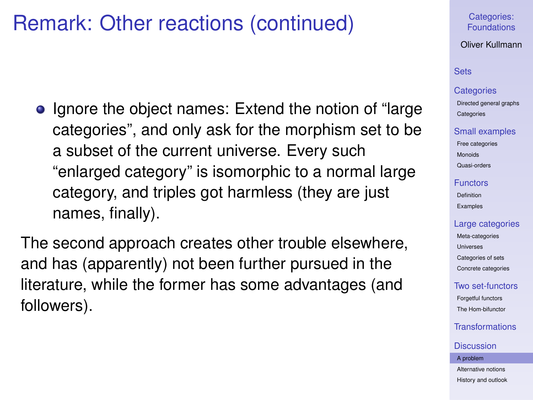# Remark: Other reactions (continued)

• Ignore the object names: Extend the notion of "large" categories", and only ask for the morphism set to be a subset of the current universe. Every such "enlarged category" is isomorphic to a normal large category, and triples got harmless (they are just names, finally).

The second approach creates other trouble elsewhere, and has (apparently) not been further pursued in the literature, while the former has some advantages (and followers).

## Categories: [Foundations](#page-0-0)

Oliver Kullmann

# **[Sets](#page-3-0)**

## **[Categories](#page-12-0)**

[Directed general graphs](#page-12-0) **[Categories](#page-17-0)** 

#### [Small examples](#page-20-0)

[Free categories](#page-20-0) [Monoids](#page-21-0) [Quasi-orders](#page-26-0)

### [Functors](#page-31-0)

[Definition](#page-31-0) [Examples](#page-35-0)

## [Large categories](#page-41-0)

[Meta-categories](#page-42-0) [Universes](#page-46-0) [Categories of sets](#page-49-0) [Concrete categories](#page-53-0)

## [Two set-functors](#page-58-0)

[Forgetful functors](#page-58-0) [The Hom-bifunctor](#page-67-0)

# [Transformations](#page-71-0)

#### **[Discussion](#page-76-0)**

[A problem](#page-76-0)

[Alternative notions](#page-83-0) [History and outlook](#page-96-0)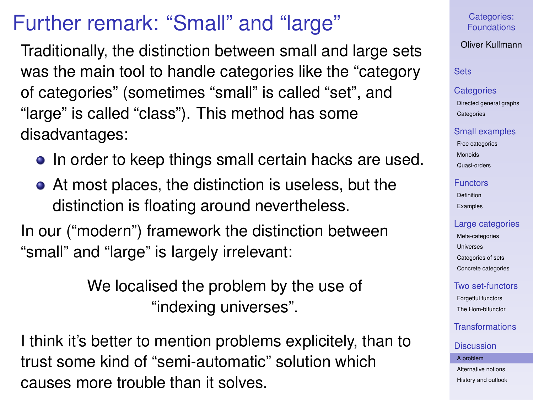# Further remark: "Small" and "large"

Traditionally, the distinction between small and large sets was the main tool to handle categories like the "category of categories" (sometimes "small" is called "set", and "large" is called "class"). This method has some disadvantages:

- In order to keep things small certain hacks are used.
- At most places, the distinction is useless, but the distinction is floating around nevertheless.

In our ("modern") framework the distinction between "small" and "large" is largely irrelevant:

> We localised the problem by the use of "indexing universes".

I think it's better to mention problems explicitely, than to trust some kind of "semi-automatic" solution which causes more trouble than it solves.

Categories: [Foundations](#page-0-0)

Oliver Kullmann

## **[Sets](#page-3-0)**

#### **[Categories](#page-12-0)**

[Directed general graphs](#page-12-0) **[Categories](#page-17-0)** 

## [Small examples](#page-20-0)

[Free categories](#page-20-0) [Monoids](#page-21-0) [Quasi-orders](#page-26-0)

### [Functors](#page-31-0)

[Definition](#page-31-0) [Examples](#page-35-0)

## [Large categories](#page-41-0)

[Meta-categories](#page-42-0) [Universes](#page-46-0) [Categories of sets](#page-49-0) [Concrete categories](#page-53-0)

# [Two set-functors](#page-58-0)

[Forgetful functors](#page-58-0) [The Hom-bifunctor](#page-67-0)

# [Transformations](#page-71-0)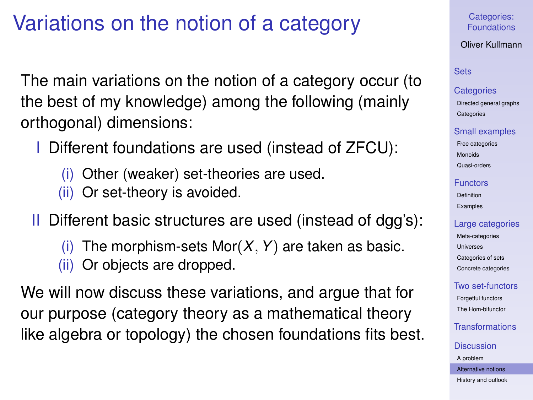# Variations on the notion of a category

The main variations on the notion of a category occur (to the best of my knowledge) among the following (mainly orthogonal) dimensions:

- Different foundations are used (instead of ZFCU):
	- (i) Other (weaker) set-theories are used.
	- (ii) Or set-theory is avoided.
- II Different basic structures are used (instead of dgg's):
	- The morphism-sets Mor $(X, Y)$  are taken as basic.
	- (ii) Or objects are dropped.

<span id="page-83-0"></span>We will now discuss these variations, and argue that for our purpose (category theory as a mathematical theory like algebra or topology) the chosen foundations fits best. Categories: [Foundations](#page-0-0)

Oliver Kullmann

# **[Sets](#page-3-0)**

## **[Categories](#page-12-0)**

[Directed general graphs](#page-12-0) **[Categories](#page-17-0)** 

## [Small examples](#page-20-0)

[Free categories](#page-20-0) [Monoids](#page-21-0) [Quasi-orders](#page-26-0)

## [Functors](#page-31-0)

[Definition](#page-31-0) [Examples](#page-35-0)

# [Large categories](#page-41-0)

[Meta-categories](#page-42-0) **[Universes](#page-46-0)** [Categories of sets](#page-49-0) [Concrete categories](#page-53-0)

# [Two set-functors](#page-58-0)

[Forgetful functors](#page-58-0) [The Hom-bifunctor](#page-67-0)

[Transformations](#page-71-0)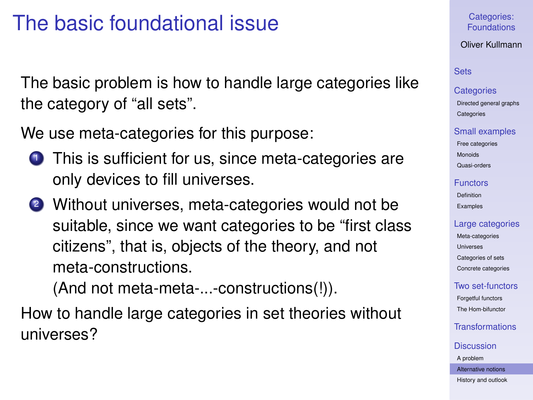# The basic foundational issue

The basic problem is how to handle large categories like the category of "all sets".

We use meta-categories for this purpose:

- **1** This is sufficient for us, since meta-categories are only devices to fill universes.
- <sup>2</sup> Without universes, meta-categories would not be suitable, since we want categories to be "first class citizens", that is, objects of the theory, and not meta-constructions.

(And not meta-meta-...-constructions(!)).

How to handle large categories in set theories without universes?

Categories: [Foundations](#page-0-0)

Oliver Kullmann

## **[Sets](#page-3-0)**

## **[Categories](#page-12-0)**

[Directed general graphs](#page-12-0) **[Categories](#page-17-0)** 

### [Small examples](#page-20-0)

[Free categories](#page-20-0) [Monoids](#page-21-0) [Quasi-orders](#page-26-0)

## [Functors](#page-31-0)

[Definition](#page-31-0) [Examples](#page-35-0)

## [Large categories](#page-41-0)

[Meta-categories](#page-42-0) [Universes](#page-46-0) [Categories of sets](#page-49-0) [Concrete categories](#page-53-0)

# [Two set-functors](#page-58-0)

[Forgetful functors](#page-58-0) [The Hom-bifunctor](#page-67-0)

# [Transformations](#page-71-0)

#### **[Discussion](#page-76-0)**

[A problem](#page-76-0)

[Alternative notions](#page-83-0)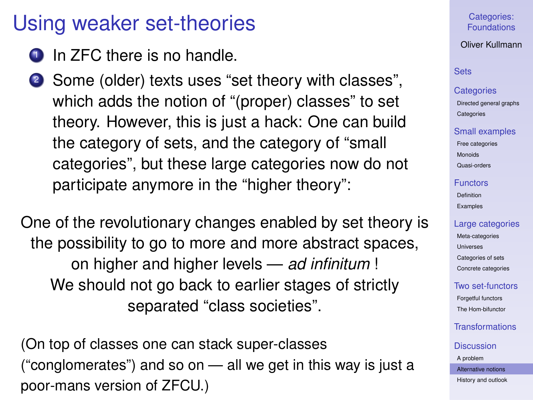# Using weaker set-theories

- In ZFC there is no handle.
- <sup>2</sup> Some (older) texts uses "set theory with classes", which adds the notion of "(proper) classes" to set theory. However, this is just a hack: One can build the category of sets, and the category of "small categories", but these large categories now do not participate anymore in the "higher theory":

One of the revolutionary changes enabled by set theory is the possibility to go to more and more abstract spaces, on higher and higher levels — *ad infinitum* ! We should not go back to earlier stages of strictly separated "class societies".

(On top of classes one can stack super-classes ("conglomerates") and so on — all we get in this way is just a poor-mans version of ZFCU.)

# Categories: [Foundations](#page-0-0)

## Oliver Kullmann

## **[Sets](#page-3-0)**

### **[Categories](#page-12-0)**

[Directed general graphs](#page-12-0) **[Categories](#page-17-0)** 

## [Small examples](#page-20-0)

[Free categories](#page-20-0) [Monoids](#page-21-0) [Quasi-orders](#page-26-0)

### [Functors](#page-31-0)

[Definition](#page-31-0) [Examples](#page-35-0)

## [Large categories](#page-41-0)

[Meta-categories](#page-42-0) [Universes](#page-46-0) [Categories of sets](#page-49-0) [Concrete categories](#page-53-0)

# [Two set-functors](#page-58-0)

[Forgetful functors](#page-58-0) [The Hom-bifunctor](#page-67-0)

# [Transformations](#page-71-0)

### **[Discussion](#page-76-0)**

[A problem](#page-76-0) [Alternative notions](#page-83-0)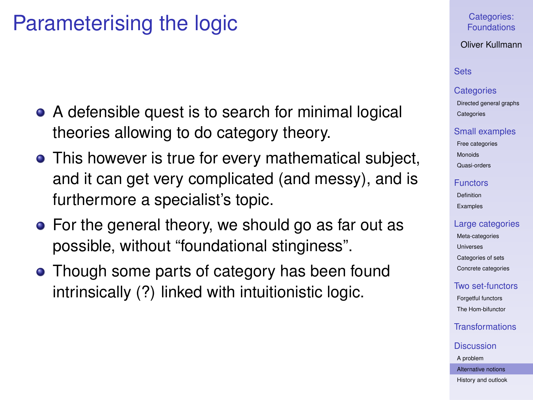# Parameterising the logic

- A defensible quest is to search for minimal logical theories allowing to do category theory.
- This however is true for every mathematical subject, and it can get very complicated (and messy), and is furthermore a specialist's topic.
- For the general theory, we should go as far out as possible, without "foundational stinginess".
- Though some parts of category has been found intrinsically (?) linked with intuitionistic logic.

## Categories: [Foundations](#page-0-0)

## Oliver Kullmann

# **[Sets](#page-3-0)**

#### **[Categories](#page-12-0)**

[Directed general graphs](#page-12-0) **[Categories](#page-17-0)** 

#### [Small examples](#page-20-0)

[Free categories](#page-20-0) [Monoids](#page-21-0) [Quasi-orders](#page-26-0)

## [Functors](#page-31-0)

[Definition](#page-31-0) [Examples](#page-35-0)

## [Large categories](#page-41-0)

[Meta-categories](#page-42-0) [Universes](#page-46-0) [Categories of sets](#page-49-0) [Concrete categories](#page-53-0)

## [Two set-functors](#page-58-0)

[Forgetful functors](#page-58-0) [The Hom-bifunctor](#page-67-0)

# [Transformations](#page-71-0)

#### **[Discussion](#page-76-0)**

[A problem](#page-76-0)

[Alternative notions](#page-83-0)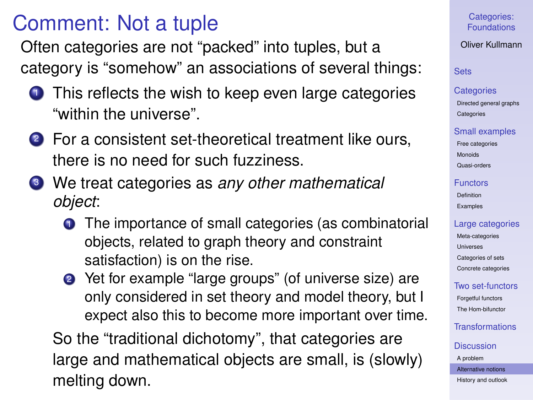# Comment: Not a tuple

Often categories are not "packed" into tuples, but a category is "somehow" an associations of several things:

- **1** This reflects the wish to keep even large categories "within the universe".
- 2 For a consistent set-theoretical treatment like ours, there is no need for such fuzziness.
- <sup>3</sup> We treat categories as *any other mathematical object*:
	- **1** The importance of small categories (as combinatorial objects, related to graph theory and constraint satisfaction) is on the rise.
	- 2 Yet for example "large groups" (of universe size) are only considered in set theory and model theory, but I expect also this to become more important over time.

So the "traditional dichotomy", that categories are large and mathematical objects are small, is (slowly) melting down.

Categories: [Foundations](#page-0-0)

Oliver Kullmann

**[Sets](#page-3-0)** 

#### **[Categories](#page-12-0)**

[Directed general graphs](#page-12-0) **[Categories](#page-17-0)** 

### [Small examples](#page-20-0)

[Free categories](#page-20-0) [Monoids](#page-21-0) [Quasi-orders](#page-26-0)

### [Functors](#page-31-0)

[Definition](#page-31-0) [Examples](#page-35-0)

## [Large categories](#page-41-0)

[Meta-categories](#page-42-0) **[Universes](#page-46-0)** [Categories of sets](#page-49-0) [Concrete categories](#page-53-0)

# [Two set-functors](#page-58-0)

[Forgetful functors](#page-58-0) [The Hom-bifunctor](#page-67-0)

[Transformations](#page-71-0)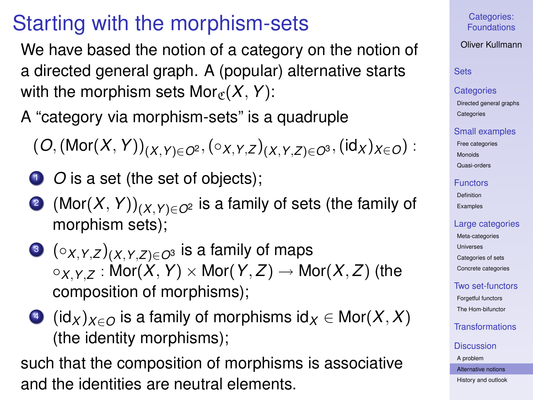# Starting with the morphism-sets

We have based the notion of a category on the notion of a directed general graph. A (popular) alternative starts with the morphism sets  $Mor_{\mathcal{C}}(X, Y)$ :

A "category via morphism-sets" is a quadruple

$$
(\textit{O},(\textit{Mor}(X,Y))_{(X,Y)\in O^{2}},(\circ_{X,Y,Z})_{(X,Y,Z)\in O^{3}},(\textit{id}_{X})_{X\in O}):
$$

- **1** *O* is a set (the set of objects);
- <sup>2</sup> (Mor(*X*,*Y*))(*X*,*Y*)∈*O*<sup>2</sup> is a family of sets (the family of morphism sets);
- $\bullet$  ( $\circ$ *X,Y,Z*) $(X, Y, Z) \in \mathcal{O}^3$  is a family of maps  $\circ$ *x*  $\circ$  *z* : Mor(*X*, *Y*)  $\times$  Mor(*Y*, *Z*)  $\rightarrow$  Mor(*X*, *Z*) (the composition of morphisms);
- $\triangleleft$  (id<sub>*X*</sub>) $_{X \in O}$  is a family of morphisms id $_X \in \text{Mor}(X, X)$ (the identity morphisms);

such that the composition of morphisms is associative and the identities are neutral elements.

## Categories: [Foundations](#page-0-0)

# Oliver Kullmann

## **[Sets](#page-3-0)**

#### **[Categories](#page-12-0)**

[Directed general graphs](#page-12-0) **[Categories](#page-17-0)** 

## [Small examples](#page-20-0)

[Free categories](#page-20-0) [Monoids](#page-21-0) [Quasi-orders](#page-26-0)

### [Functors](#page-31-0)

[Definition](#page-31-0) [Examples](#page-35-0)

## [Large categories](#page-41-0)

[Meta-categories](#page-42-0) **[Universes](#page-46-0)** [Categories of sets](#page-49-0) [Concrete categories](#page-53-0)

# [Two set-functors](#page-58-0)

[Forgetful functors](#page-58-0) [The Hom-bifunctor](#page-67-0)

# [Transformations](#page-71-0)

## **[Discussion](#page-76-0)**

[A problem](#page-76-0)

#### [Alternative notions](#page-83-0)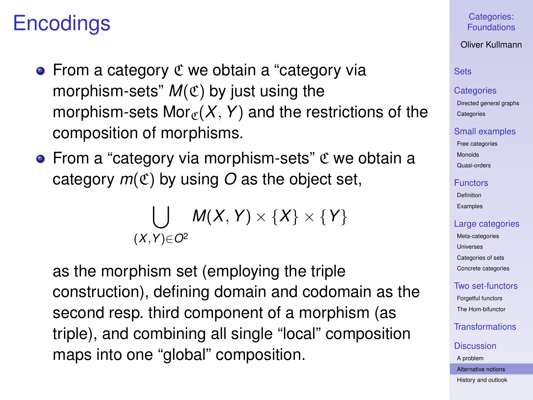# **Encodings**

- $\bullet$  From a category  $\mathfrak C$  we obtain a "category via morphism-sets"  $M(\mathfrak{C})$  by just using the morphism-sets Mor<sub> $g(X, Y)$ </sub> and the restrictions of the composition of morphisms.
- From a "category via morphism-sets"  $\mathfrak C$  we obtain a category  $m(\mathfrak{C})$  by using O as the object set,

$$
\bigcup_{(X,Y)\in O^2}M(X,Y)\times\{X\}\times\{Y\}
$$

as the morphism set (employing the triple construction), defining domain and codomain as the second resp. third component of a morphism (as triple), and combining all single "local" composition maps into one "global" composition.

Categories: [Foundations](#page-0-0)

Oliver Kullmann

# **[Sets](#page-3-0)**

#### **[Categories](#page-12-0)**

[Directed general graphs](#page-12-0) **[Categories](#page-17-0)** 

### [Small examples](#page-20-0)

[Free categories](#page-20-0) [Monoids](#page-21-0) [Quasi-orders](#page-26-0)

#### [Functors](#page-31-0)

[Definition](#page-31-0) [Examples](#page-35-0)

### [Large categories](#page-41-0)

[Meta-categories](#page-42-0) [Universes](#page-46-0) [Categories of sets](#page-49-0) [Concrete categories](#page-53-0)

## [Two set-functors](#page-58-0)

[Forgetful functors](#page-58-0) [The Hom-bifunctor](#page-67-0)

# [Transformations](#page-71-0)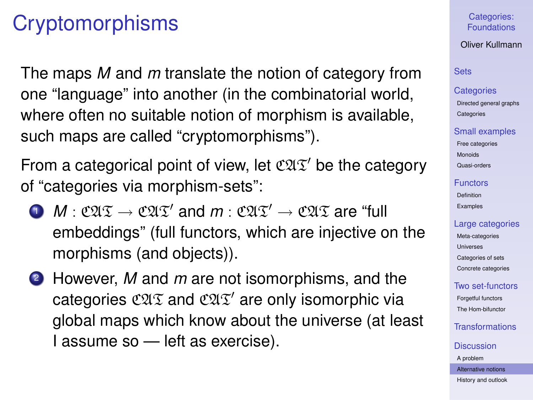# **Cryptomorphisms**

The maps *M* and *m* translate the notion of category from one "language" into another (in the combinatorial world, where often no suitable notion of morphism is available, such maps are called "cryptomorphisms").

From a categorical point of view, let  $\mathfrak{CIX}'$  be the category of "categories via morphism-sets":

- $\bullet \quad M : \mathfrak{C2I} \mathfrak{T} \rightarrow \mathfrak{C2I} \mathfrak{T}'$  and  $m : \mathfrak{C2I} \mathfrak{T}' \rightarrow \mathfrak{C2I} \mathfrak{T}$  are "full embeddings" (full functors, which are injective on the morphisms (and objects)).
- <sup>2</sup> However, *M* and *m* are not isomorphisms, and the categories  $\mathfrak{CAT}$  and  $\mathfrak{CAT}'$  are only isomorphic via global maps which know about the universe (at least I assume so — left as exercise).

Categories: [Foundations](#page-0-0)

Oliver Kullmann

## **[Sets](#page-3-0)**

#### **[Categories](#page-12-0)**

[Directed general graphs](#page-12-0) **[Categories](#page-17-0)** 

#### [Small examples](#page-20-0)

[Free categories](#page-20-0) [Monoids](#page-21-0) [Quasi-orders](#page-26-0)

## [Functors](#page-31-0)

[Definition](#page-31-0) [Examples](#page-35-0)

## [Large categories](#page-41-0)

[Meta-categories](#page-42-0) [Universes](#page-46-0) [Categories of sets](#page-49-0) [Concrete categories](#page-53-0)

# [Two set-functors](#page-58-0)

[Forgetful functors](#page-58-0) [The Hom-bifunctor](#page-67-0)

[Transformations](#page-71-0)

## **[Discussion](#page-76-0)**

[A problem](#page-76-0)

[Alternative notions](#page-83-0)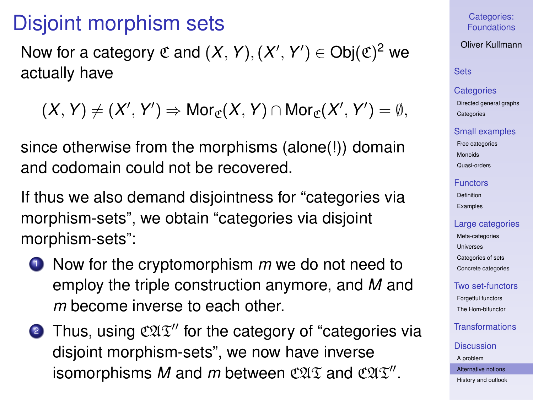# Disjoint morphism sets

Now for a category  $\mathfrak C$  and  $(X, Y), (X', Y') \in \mathrm{Obj}(\mathfrak C)^2$  we actually have

$$
(X,Y)\neq (X',Y')\Rightarrow \text{Mor}_{\mathfrak{C}}(X,Y)\cap \text{Mor}_{\mathfrak{C}}(X',Y')=\emptyset,
$$

since otherwise from the morphisms (alone(!)) domain and codomain could not be recovered.

If thus we also demand disjointness for "categories via morphism-sets", we obtain "categories via disjoint morphism-sets":

- <sup>1</sup> Now for the cryptomorphism *m* we do not need to employ the triple construction anymore, and *M* and *m* become inverse to each other.
- **2** Thus, using  $\mathfrak{CAT}''$  for the category of "categories via disjoint morphism-sets", we now have inverse isomorphisms M and m between  $\mathfrak{CAT}$  and  $\mathfrak{CAT}''$ .

Categories: [Foundations](#page-0-0)

Oliver Kullmann

# **[Sets](#page-3-0)**

## **[Categories](#page-12-0)**

[Directed general graphs](#page-12-0) **[Categories](#page-17-0)** 

### [Small examples](#page-20-0)

[Free categories](#page-20-0) [Monoids](#page-21-0) [Quasi-orders](#page-26-0)

### [Functors](#page-31-0)

[Definition](#page-31-0) [Examples](#page-35-0)

## [Large categories](#page-41-0)

[Meta-categories](#page-42-0) [Universes](#page-46-0) [Categories of sets](#page-49-0) [Concrete categories](#page-53-0)

# [Two set-functors](#page-58-0)

[Forgetful functors](#page-58-0) [The Hom-bifunctor](#page-67-0)

**[Transformations](#page-71-0)** 

### **[Discussion](#page-76-0)**

[A problem](#page-76-0) [Alternative notions](#page-83-0)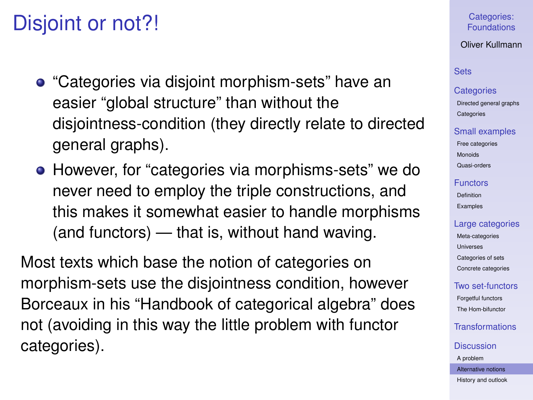# Disjoint or not?!

- "Categories via disjoint morphism-sets" have an easier "global structure" than without the disjointness-condition (they directly relate to directed general graphs).
- However, for "categories via morphisms-sets" we do never need to employ the triple constructions, and this makes it somewhat easier to handle morphisms (and functors) — that is, without hand waving.

Most texts which base the notion of categories on morphism-sets use the disjointness condition, however Borceaux in his "Handbook of categorical algebra" does not (avoiding in this way the little problem with functor categories).

## Categories: [Foundations](#page-0-0)

## Oliver Kullmann

# **[Sets](#page-3-0)**

## **[Categories](#page-12-0)**

[Directed general graphs](#page-12-0) **[Categories](#page-17-0)** 

## [Small examples](#page-20-0)

[Free categories](#page-20-0) [Monoids](#page-21-0) [Quasi-orders](#page-26-0)

#### [Functors](#page-31-0)

[Definition](#page-31-0) [Examples](#page-35-0)

## [Large categories](#page-41-0)

[Meta-categories](#page-42-0) [Universes](#page-46-0) [Categories of sets](#page-49-0) [Concrete categories](#page-53-0)

# [Two set-functors](#page-58-0)

[Forgetful functors](#page-58-0) [The Hom-bifunctor](#page-67-0)

# **[Transformations](#page-71-0)**

# **[Discussion](#page-76-0)**

[A problem](#page-76-0)

[Alternative notions](#page-83-0)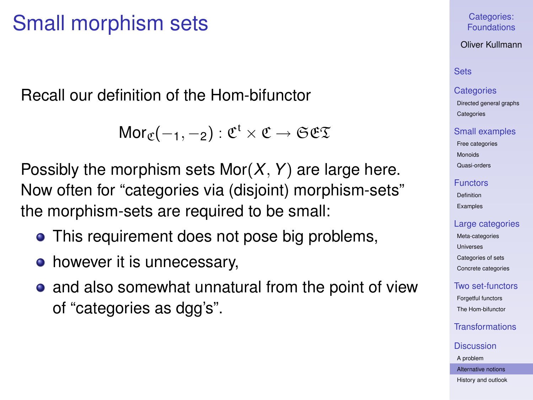# Small morphism sets

Recall our definition of the Hom-bifunctor

 $\mathsf{Mor}_\mathfrak{C}(-_1,-_2) : \mathfrak{C}^\mathfrak{t} \times \mathfrak{C} \to \mathfrak{S}\mathfrak{C}\mathfrak{T}$ 

Possibly the morphism sets Mor(*X*,*Y*) are large here. Now often for "categories via (disjoint) morphism-sets" the morphism-sets are required to be small:

- This requirement does not pose big problems,
- however it is unnecessary,
- and also somewhat unnatural from the point of view of "categories as dgg's".

# Categories: [Foundations](#page-0-0)

## Oliver Kullmann

# **[Sets](#page-3-0)**

### **[Categories](#page-12-0)**

[Directed general graphs](#page-12-0) **[Categories](#page-17-0)** 

### [Small examples](#page-20-0)

[Free categories](#page-20-0) [Monoids](#page-21-0) [Quasi-orders](#page-26-0)

### [Functors](#page-31-0)

[Definition](#page-31-0) [Examples](#page-35-0)

## [Large categories](#page-41-0)

[Meta-categories](#page-42-0) [Universes](#page-46-0) [Categories of sets](#page-49-0) [Concrete categories](#page-53-0)

# [Two set-functors](#page-58-0)

[Forgetful functors](#page-58-0) [The Hom-bifunctor](#page-67-0)

# [Transformations](#page-71-0)

#### **[Discussion](#page-76-0)**

[A problem](#page-76-0)

[Alternative notions](#page-83-0)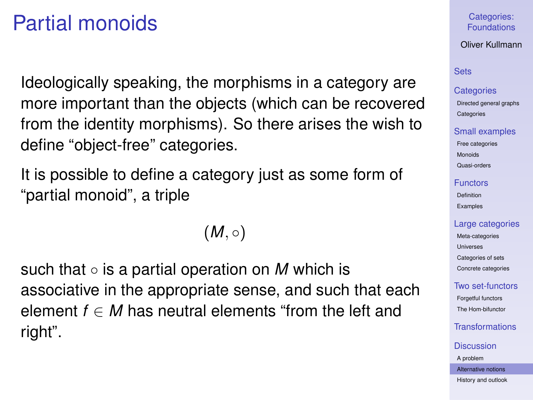# Partial monoids

Ideologically speaking, the morphisms in a category are more important than the objects (which can be recovered from the identity morphisms). So there arises the wish to define "object-free" categories.

It is possible to define a category just as some form of "partial monoid", a triple

 $(M, \circ)$ 

such that ◦ is a partial operation on *M* which is associative in the appropriate sense, and such that each element  $f \in M$  has neutral elements "from the left and right".

## Categories: [Foundations](#page-0-0)

## Oliver Kullmann

# **[Sets](#page-3-0)**

## **[Categories](#page-12-0)**

[Directed general graphs](#page-12-0) **[Categories](#page-17-0)** 

### [Small examples](#page-20-0)

[Free categories](#page-20-0) [Monoids](#page-21-0) [Quasi-orders](#page-26-0)

#### [Functors](#page-31-0)

[Definition](#page-31-0) [Examples](#page-35-0)

## [Large categories](#page-41-0)

[Meta-categories](#page-42-0) [Universes](#page-46-0) [Categories of sets](#page-49-0) [Concrete categories](#page-53-0)

# [Two set-functors](#page-58-0)

[Forgetful functors](#page-58-0) [The Hom-bifunctor](#page-67-0)

# [Transformations](#page-71-0)

#### **[Discussion](#page-76-0)**

[A problem](#page-76-0)

[Alternative notions](#page-83-0)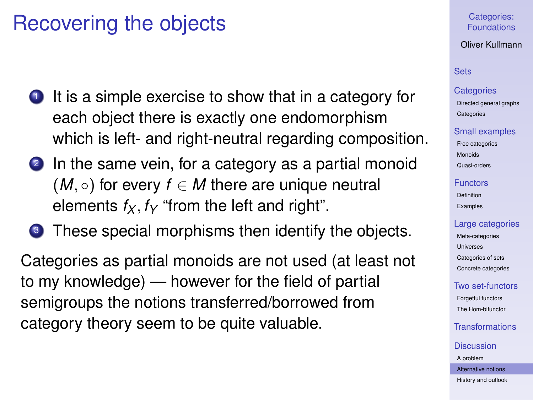# Recovering the objects

- $\bullet$  It is a simple exercise to show that in a category for each object there is exactly one endomorphism which is left- and right-neutral regarding composition.
- 2 In the same vein, for a category as a partial monoid  $(M, \circ)$  for every  $f \in M$  there are unique neutral elements  $f_X, f_Y$  "from the left and right".
- **3** These special morphisms then identify the objects.

Categories as partial monoids are not used (at least not to my knowledge) — however for the field of partial semigroups the notions transferred/borrowed from category theory seem to be quite valuable.

Categories: [Foundations](#page-0-0)

Oliver Kullmann

# **[Sets](#page-3-0)**

#### **[Categories](#page-12-0)**

[Directed general graphs](#page-12-0) **[Categories](#page-17-0)** 

### [Small examples](#page-20-0)

[Free categories](#page-20-0) [Monoids](#page-21-0) [Quasi-orders](#page-26-0)

#### [Functors](#page-31-0)

[Definition](#page-31-0) [Examples](#page-35-0)

## [Large categories](#page-41-0)

[Meta-categories](#page-42-0) [Universes](#page-46-0) [Categories of sets](#page-49-0) [Concrete categories](#page-53-0)

## [Two set-functors](#page-58-0)

[Forgetful functors](#page-58-0) [The Hom-bifunctor](#page-67-0)

[Transformations](#page-71-0)

#### **[Discussion](#page-76-0)**

[A problem](#page-76-0)

[Alternative notions](#page-83-0)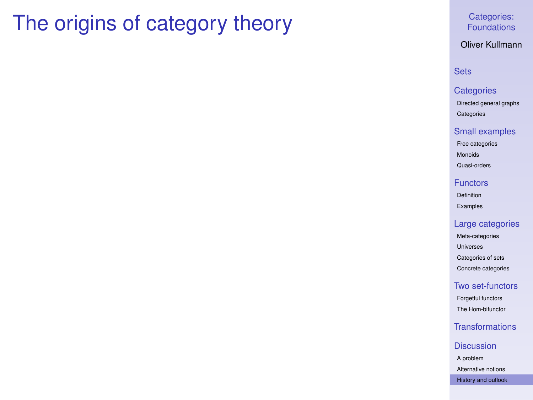# <span id="page-96-0"></span>The origins of category theory

## Categories: [Foundations](#page-0-0)

## Oliver Kullmann

## **[Sets](#page-3-0)**

## **[Categories](#page-12-0)**

[Directed general graphs](#page-12-0) [Categories](#page-17-0)

### [Small examples](#page-20-0)

[Free categories](#page-20-0) [Monoids](#page-21-0)

[Quasi-orders](#page-26-0)

#### **[Functors](#page-31-0)**

[Definition](#page-31-0) [Examples](#page-35-0)

## [Large categories](#page-41-0)

[Meta-categories](#page-42-0) [Universes](#page-46-0) [Categories of sets](#page-49-0) [Concrete categories](#page-53-0)

## [Two set-functors](#page-58-0)

[Forgetful functors](#page-58-0) [The Hom-bifunctor](#page-67-0)

# [Transformations](#page-71-0)

#### **[Discussion](#page-76-0)**

[A problem](#page-76-0) [Alternative notions](#page-83-0)